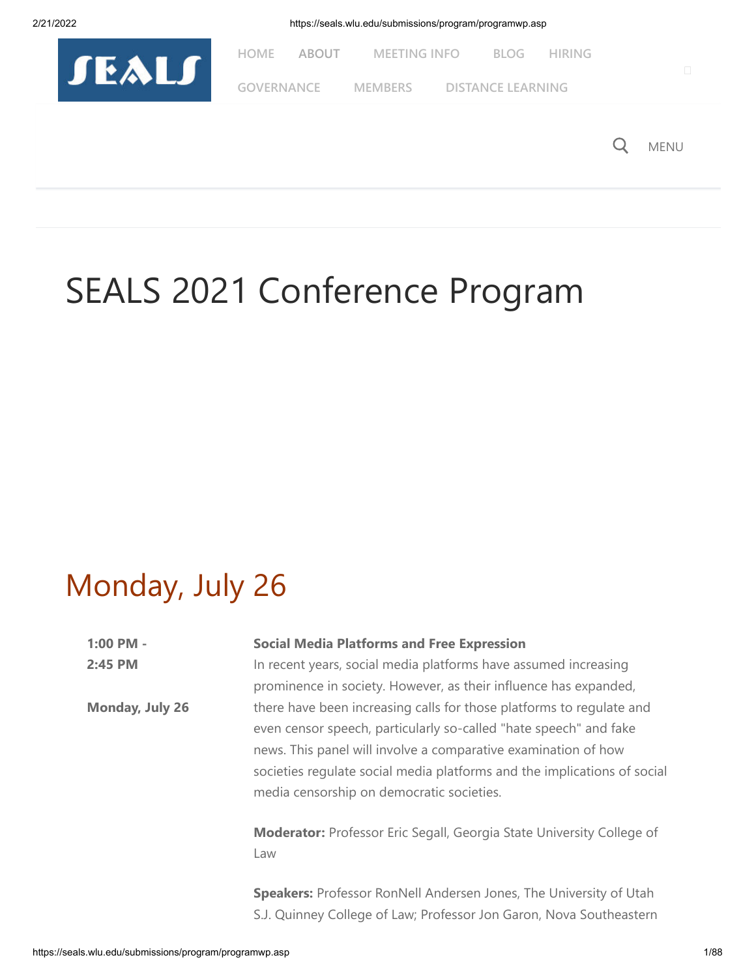



# SEALS 2021 Conference Program

# Monday, July 26

| $1:00$ PM -<br>2:45 PM | <b>Social Media Platforms and Free Expression</b><br>In recent years, social media platforms have assumed increasing<br>prominence in society. However, as their influence has expanded,                                                                                                                                             |
|------------------------|--------------------------------------------------------------------------------------------------------------------------------------------------------------------------------------------------------------------------------------------------------------------------------------------------------------------------------------|
| Monday, July 26        | there have been increasing calls for those platforms to regulate and<br>even censor speech, particularly so-called "hate speech" and fake<br>news. This panel will involve a comparative examination of how<br>societies regulate social media platforms and the implications of social<br>media censorship on democratic societies. |
|                        | <b>Moderator:</b> Professor Eric Segall, Georgia State University College of<br>Law                                                                                                                                                                                                                                                  |
|                        | <b>Speakers:</b> Professor RonNell Andersen Jones, The University of Utah                                                                                                                                                                                                                                                            |

S.J. Quinney College of Law; Professor Jon Garon, Nova Southeastern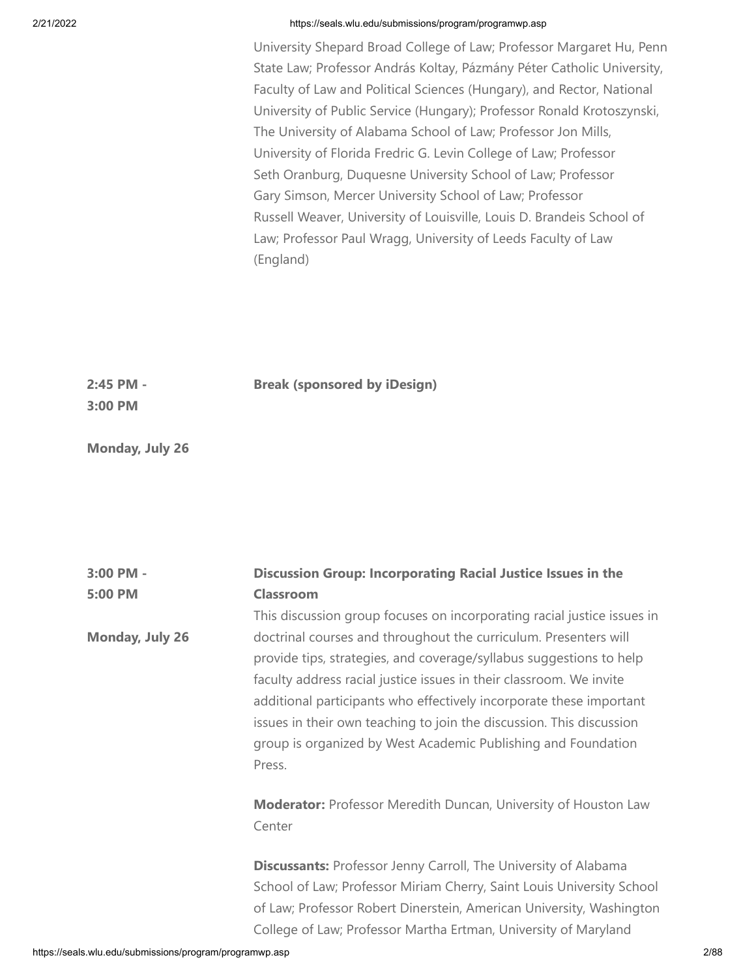University Shepard Broad College of Law; Professor Margaret Hu, Penn State Law; Professor András Koltay, Pázmány Péter Catholic University, Faculty of Law and Political Sciences (Hungary), and Rector, National University of Public Service (Hungary); Professor Ronald Krotoszynski, The University of Alabama School of Law; Professor Jon Mills, University of Florida Fredric G. Levin College of Law; Professor Seth Oranburg, Duquesne University School of Law; Professor Gary Simson, Mercer University School of Law; Professor Russell Weaver, University of Louisville, Louis D. Brandeis School of Law; Professor Paul Wragg, University of Leeds Faculty of Law (England)

**Discussion Group: Incorporating Racial Justice Issues in the**

**2:45 PM - Break (sponsored by iDesign)**

**3:00 PM**

**3:00 PM -**

**Monday, July 26**

| <b>Classroom</b><br>This discussion group focuses on incorporating racial justice issues in<br>doctrinal courses and throughout the curriculum. Presenters will<br>provide tips, strategies, and coverage/syllabus suggestions to help                                                        |
|-----------------------------------------------------------------------------------------------------------------------------------------------------------------------------------------------------------------------------------------------------------------------------------------------|
|                                                                                                                                                                                                                                                                                               |
|                                                                                                                                                                                                                                                                                               |
| faculty address racial justice issues in their classroom. We invite<br>additional participants who effectively incorporate these important<br>issues in their own teaching to join the discussion. This discussion<br>group is organized by West Academic Publishing and Foundation<br>Press. |
| <b>Moderator:</b> Professor Meredith Duncan, University of Houston Law<br>Center                                                                                                                                                                                                              |
| Discussants: Professor Jenny Carroll, The University of Alabama<br>School of Law; Professor Miriam Cherry, Saint Louis University School<br>of Law; Professor Robert Dinerstein, American University, Washington<br>College of Law; Professor Martha Ertman, University of Maryland           |
|                                                                                                                                                                                                                                                                                               |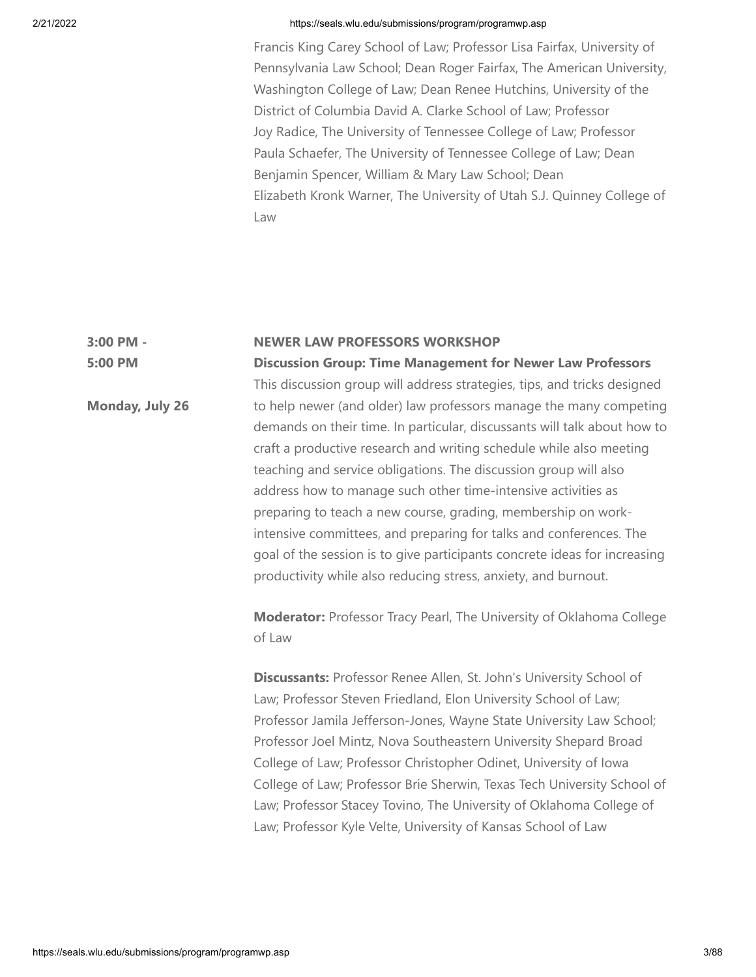Francis King Carey School of Law; Professor Lisa Fairfax, University of Pennsylvania Law School; Dean Roger Fairfax, The American University, Washington College of Law; Dean Renee Hutchins, University of the District of Columbia David A. Clarke School of Law; Professor Joy Radice, The University of Tennessee College of Law; Professor Paula Schaefer, The University of Tennessee College of Law; Dean Benjamin Spencer, William & Mary Law School; Dean Elizabeth Kronk Warner, The University of Utah S.J. Quinney College of Law

#### **3:00 PM - NEWER LAW PROFESSORS WORKSHOP**

**5:00 PM**

**Monday, July 26**

**Discussion Group: Time Management for Newer Law Professors** This discussion group will address strategies, tips, and tricks designed to help newer (and older) law professors manage the many competing demands on their time. In particular, discussants will talk about how to craft a productive research and writing schedule while also meeting teaching and service obligations. The discussion group will also address how to manage such other time-intensive activities as preparing to teach a new course, grading, membership on workintensive committees, and preparing for talks and conferences. The goal of the session is to give participants concrete ideas for increasing productivity while also reducing stress, anxiety, and burnout.

**Moderator:** Professor Tracy Pearl, The University of Oklahoma College of Law

**Discussants:** Professor Renee Allen, St. John's University School of Law; Professor Steven Friedland, Elon University School of Law; Professor Jamila Jefferson-Jones, Wayne State University Law School; Professor Joel Mintz, Nova Southeastern University Shepard Broad College of Law; Professor Christopher Odinet, University of Iowa College of Law; Professor Brie Sherwin, Texas Tech University School of Law; Professor Stacey Tovino, The University of Oklahoma College of Law; Professor Kyle Velte, University of Kansas School of Law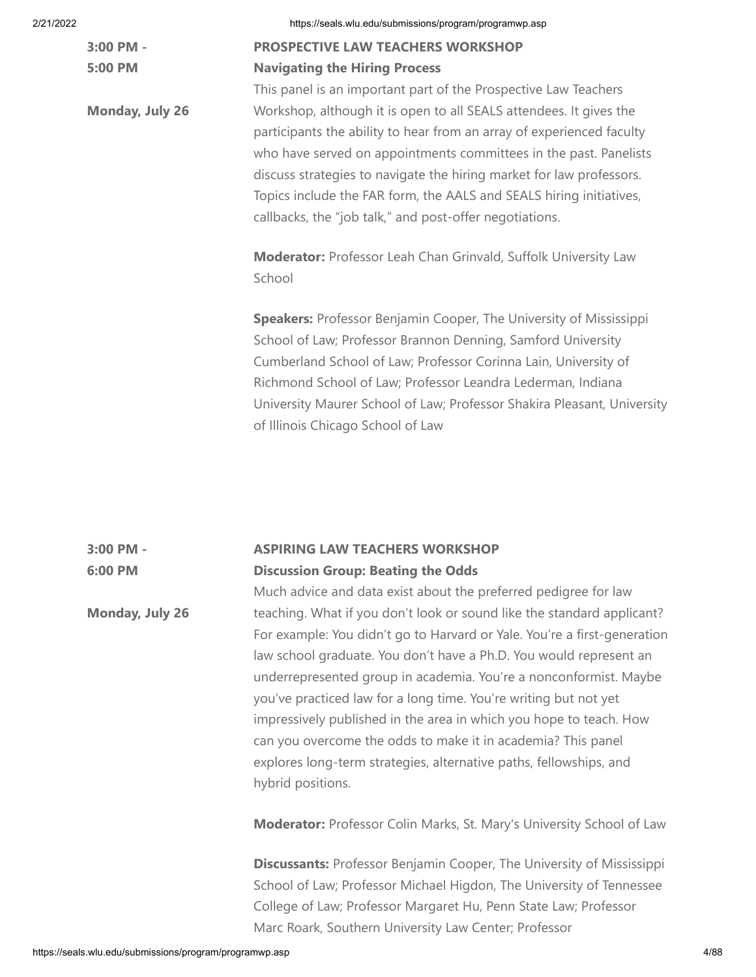**3:00 PM - 5:00 PM**

**Monday, July 26**

| <b>PROSPECTIVE LAW TEACHERS WORKSHOP</b> |  |  |
|------------------------------------------|--|--|
| <b>Navigating the Hiring Process</b>     |  |  |

This panel is an important part of the Prospective Law Teachers Workshop, although it is open to all SEALS attendees. It gives the participants the ability to hear from an array of experienced faculty who have served on appointments committees in the past. Panelists discuss strategies to navigate the hiring market for law professors. Topics include the FAR form, the AALS and SEALS hiring initiatives, callbacks, the "job talk," and post-offer negotiations.

**Moderator:** Professor Leah Chan Grinvald, Suffolk University Law School

**Speakers:** Professor Benjamin Cooper, The University of Mississippi School of Law; Professor Brannon Denning, Samford University Cumberland School of Law; Professor Corinna Lain, University of Richmond School of Law; Professor Leandra Lederman, Indiana University Maurer School of Law; Professor Shakira Pleasant, University of Illinois Chicago School of Law

### **3:00 PM - 6:00 PM ASPIRING LAW TEACHERS WORKSHOP Discussion Group: Beating the Odds**

Much advice and data exist about the preferred pedigree for law teaching. What if you don't look or sound like the standard applicant? For example: You didn't go to Harvard or Yale. You're a first-generation law school graduate. You don't have a Ph.D. You would represent an underrepresented group in academia. You're a nonconformist. Maybe you've practiced law for a long time. You're writing but not yet impressively published in the area in which you hope to teach. How can you overcome the odds to make it in academia? This panel explores long-term strategies, alternative paths, fellowships, and hybrid positions.

**Moderator:** Professor Colin Marks, St. Mary's University School of Law

**Discussants:** Professor Benjamin Cooper, The University of Mississippi School of Law; Professor Michael Higdon, The University of Tennessee College of Law; Professor Margaret Hu, Penn State Law; Professor Marc Roark, Southern University Law Center; Professor

**Monday, July 26**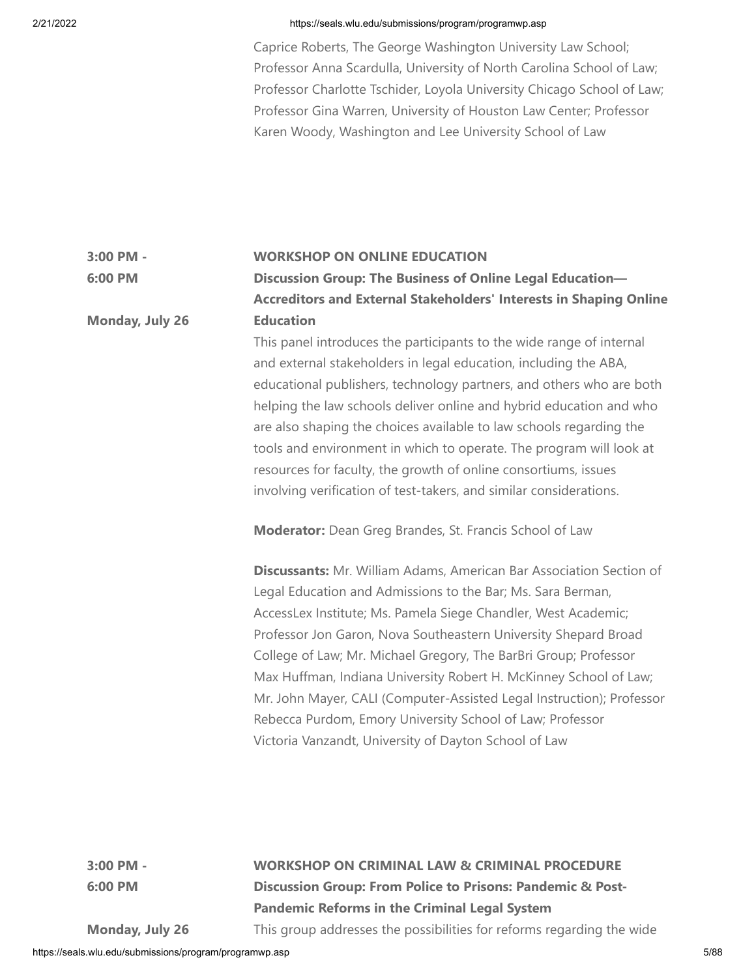**6:00 PM**

## 2/21/2022 https://seals.wlu.edu/submissions/program/programwp.asp

Caprice Roberts, The George Washington University Law School; Professor Anna Scardulla, University of North Carolina School of Law; Professor Charlotte Tschider, Loyola University Chicago School of Law; Professor Gina Warren, University of Houston Law Center; Professor Karen Woody, Washington and Lee University School of Law

#### **3:00 PM - WORKSHOP ON ONLINE EDUCATION**

**Monday, July 26 Discussion Group: The Business of Online Legal Education— Accreditors and External Stakeholders' Interests in Shaping Online Education**

> This panel introduces the participants to the wide range of internal and external stakeholders in legal education, including the ABA, educational publishers, technology partners, and others who are both helping the law schools deliver online and hybrid education and who are also shaping the choices available to law schools regarding the tools and environment in which to operate. The program will look at resources for faculty, the growth of online consortiums, issues involving verification of test-takers, and similar considerations.

**Moderator:** Dean Greg Brandes, St. Francis School of Law

**Discussants:** Mr. William Adams, American Bar Association Section of Legal Education and Admissions to the Bar; Ms. Sara Berman, AccessLex Institute; Ms. Pamela Siege Chandler, West Academic; Professor Jon Garon, Nova Southeastern University Shepard Broad College of Law; Mr. Michael Gregory, The BarBri Group; Professor Max Huffman, Indiana University Robert H. McKinney School of Law; Mr. John Mayer, CALI (Computer-Assisted Legal Instruction); Professor Rebecca Purdom, Emory University School of Law; Professor Victoria Vanzandt, University of Dayton School of Law

**3:00 PM - 6:00 PM**

**WORKSHOP ON CRIMINAL LAW & CRIMINAL PROCEDURE Discussion Group: From Police to Prisons: Pandemic & Post-Pandemic Reforms in the Criminal Legal System** This group addresses the possibilities for reforms regarding the wide

**Monday, July 26**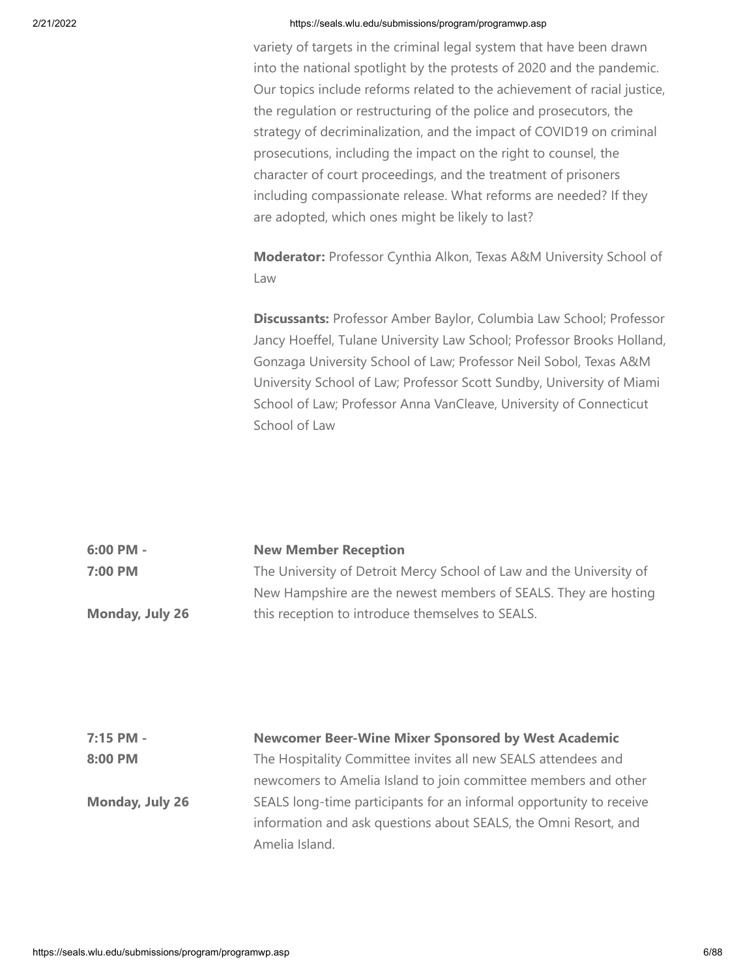variety of targets in the criminal legal system that have been drawn into the national spotlight by the protests of 2020 and the pandemic. Our topics include reforms related to the achievement of racial justice, the regulation or restructuring of the police and prosecutors, the strategy of decriminalization, and the impact of COVID19 on criminal prosecutions, including the impact on the right to counsel, the character of court proceedings, and the treatment of prisoners including compassionate release. What reforms are needed? If they are adopted, which ones might be likely to last?

**Moderator:** Professor Cynthia Alkon, Texas A&M University School of Law

**Discussants:** Professor Amber Baylor, Columbia Law School; Professor Jancy Hoeffel, Tulane University Law School; Professor Brooks Holland, Gonzaga University School of Law; Professor Neil Sobol, Texas A&M University School of Law; Professor Scott Sundby, University of Miami School of Law; Professor Anna VanCleave, University of Connecticut School of Law

| 6:00 PM -       | <b>New Member Reception</b>                                         |
|-----------------|---------------------------------------------------------------------|
| 7:00 PM         | The University of Detroit Mercy School of Law and the University of |
|                 | New Hampshire are the newest members of SEALS. They are hosting     |
| Monday, July 26 | this reception to introduce themselves to SEALS.                    |

| 7:15 PM -       | <b>Newcomer Beer-Wine Mixer Sponsored by West Academic</b>          |
|-----------------|---------------------------------------------------------------------|
| 8:00 PM         | The Hospitality Committee invites all new SEALS attendees and       |
|                 | newcomers to Amelia Island to join committee members and other      |
| Monday, July 26 | SEALS long-time participants for an informal opportunity to receive |
|                 | information and ask questions about SEALS, the Omni Resort, and     |
|                 | Amelia Island.                                                      |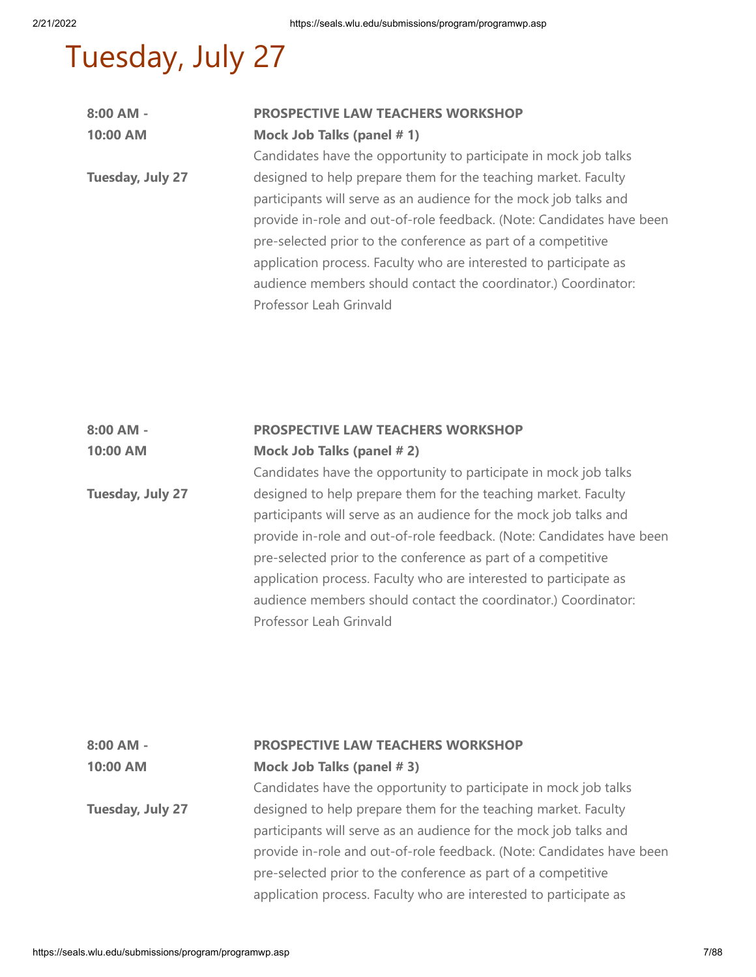# Tuesday, July 27

| $8:00$ AM -      | <b>PROSPECTIVE LAW TEACHERS WORKSHOP</b>                              |
|------------------|-----------------------------------------------------------------------|
| 10:00 AM         | Mock Job Talks (panel #1)                                             |
|                  | Candidates have the opportunity to participate in mock job talks      |
| Tuesday, July 27 | designed to help prepare them for the teaching market. Faculty        |
|                  | participants will serve as an audience for the mock job talks and     |
|                  | provide in-role and out-of-role feedback. (Note: Candidates have been |
|                  | pre-selected prior to the conference as part of a competitive         |
|                  | application process. Faculty who are interested to participate as     |
|                  | audience members should contact the coordinator.) Coordinator:        |
|                  | Professor Leah Grinvald                                               |

# **8:00 AM - 10:00 AM PROSPECTIVE LAW TEACHERS WORKSHOP Mock Job Talks (panel # 2)** Candidates have the opportunity to participate in mock job talks

**Tuesday, July 27** designed to help prepare them for the teaching market. Faculty participants will serve as an audience for the mock job talks and provide in-role and out-of-role feedback. (Note: Candidates have been pre-selected prior to the conference as part of a competitive application process. Faculty who are interested to participate as audience members should contact the coordinator.) Coordinator: Professor Leah Grinvald

| $8:00$ AM -      | PROSPECTIVE LAW TEACHERS WORKSHOP                                     |
|------------------|-----------------------------------------------------------------------|
| 10:00 AM         | Mock Job Talks (panel #3)                                             |
|                  | Candidates have the opportunity to participate in mock job talks      |
| Tuesday, July 27 | designed to help prepare them for the teaching market. Faculty        |
|                  | participants will serve as an audience for the mock job talks and     |
|                  | provide in-role and out-of-role feedback. (Note: Candidates have been |
|                  | pre-selected prior to the conference as part of a competitive         |
|                  | application process. Faculty who are interested to participate as     |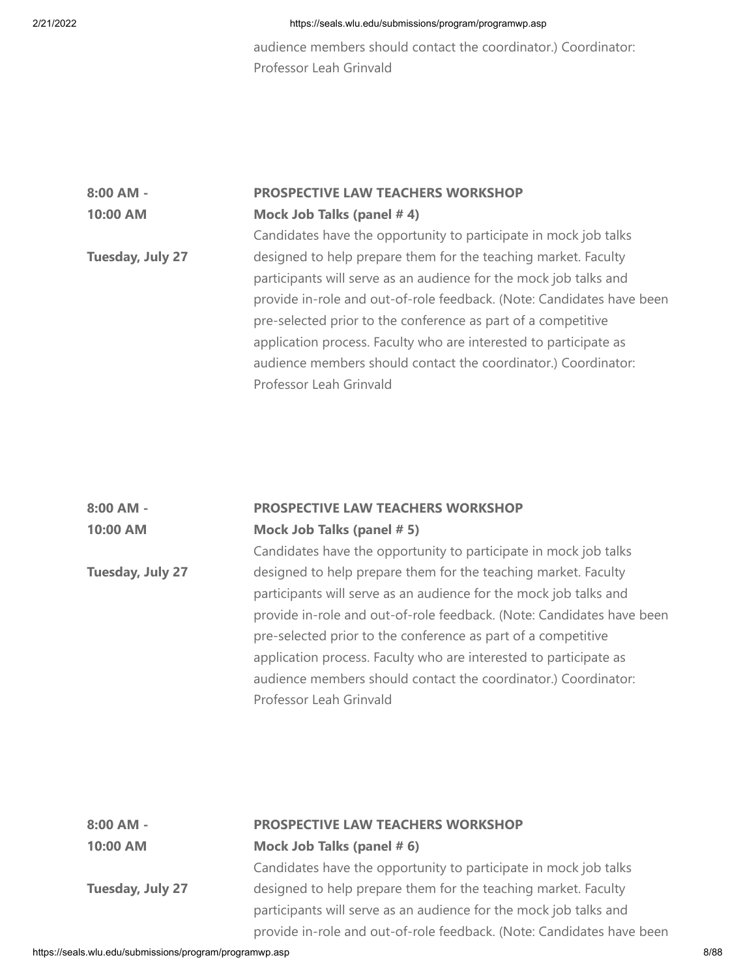audience members should contact the coordinator.) Coordinator: Professor Leah Grinvald

# **8:00 AM - 10:00 AM Tuesday, July 27 PROSPECTIVE LAW TEACHERS WORKSHOP Mock Job Talks (panel # 4)** Candidates have the opportunity to participate in mock job talks designed to help prepare them for the teaching market. Faculty participants will serve as an audience for the mock job talks and provide in-role and out-of-role feedback. (Note: Candidates have been pre-selected prior to the conference as part of a competitive application process. Faculty who are interested to participate as

audience members should contact the coordinator.) Coordinator: Professor Leah Grinvald

| $8:00$ AM - | <b>PROSPECTIVE LAW TEACHERS WORKSHOP</b> |
|-------------|------------------------------------------|
| 10:00 AM    | Mock Job Talks (panel # 5)               |

**Tuesday, July 27** Candidates have the opportunity to participate in mock job talks designed to help prepare them for the teaching market. Faculty participants will serve as an audience for the mock job talks and provide in-role and out-of-role feedback. (Note: Candidates have been pre-selected prior to the conference as part of a competitive application process. Faculty who are interested to participate as audience members should contact the coordinator.) Coordinator: Professor Leah Grinvald

| 8:00 AM -        | PROSPECTIVE LAW TEACHERS WORKSHOP                                     |
|------------------|-----------------------------------------------------------------------|
| 10:00 AM         | Mock Job Talks (panel # 6)                                            |
|                  | Candidates have the opportunity to participate in mock job talks      |
| Tuesday, July 27 | designed to help prepare them for the teaching market. Faculty        |
|                  | participants will serve as an audience for the mock job talks and     |
|                  | provide in-role and out-of-role feedback. (Note: Candidates have been |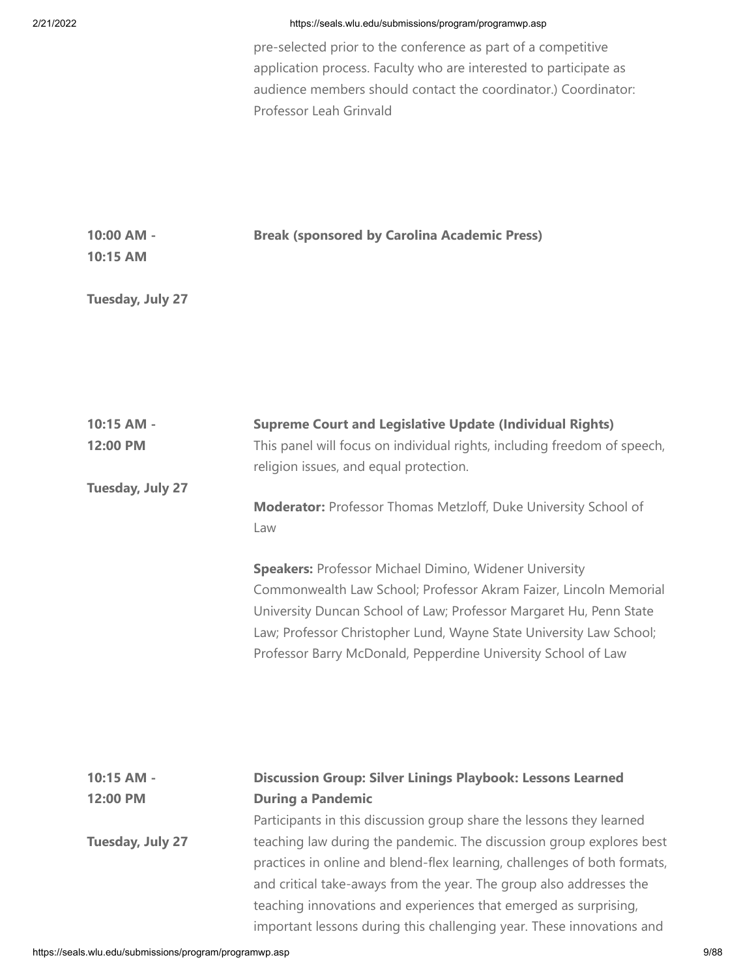pre-selected prior to the conference as part of a competitive application process. Faculty who are interested to participate as audience members should contact the coordinator.) Coordinator: Professor Leah Grinvald

| $10:00$ AM - | <b>Break (sponsored by Carolina Academic Press)</b> |
|--------------|-----------------------------------------------------|
| 10:15 AM     |                                                     |

# **Tuesday, July 27**

| 10:15 AM -       | <b>Supreme Court and Legislative Update (Individual Rights)</b>          |
|------------------|--------------------------------------------------------------------------|
| 12:00 PM         | This panel will focus on individual rights, including freedom of speech, |
|                  | religion issues, and equal protection.                                   |
| Tuesday, July 27 |                                                                          |
|                  | <b>Moderator:</b> Professor Thomas Metzloff, Duke University School of   |
|                  | Law                                                                      |
|                  | <b>Speakers: Professor Michael Dimino, Widener University</b>            |
|                  | Commonwealth Law School; Professor Akram Faizer, Lincoln Memorial        |
|                  | University Duncan School of Law; Professor Margaret Hu, Penn State       |
|                  | Law; Professor Christopher Lund, Wayne State University Law School;      |
|                  | Professor Barry McDonald, Pepperdine University School of Law            |
|                  |                                                                          |
|                  |                                                                          |
|                  |                                                                          |
| 10:15 AM -       | <b>Discussion Group: Silver Linings Playbook: Lessons Learned</b>        |
| 12:00 PM         | <b>During a Pandemic</b>                                                 |
|                  | Participants in this discussion group share the lessons they learned     |
| Tuesday, July 27 | teaching law during the pandemic. The discussion group explores best     |
|                  | practices in online and blend-flex learning, challenges of both formats, |
|                  | and critical take-aways from the year. The group also addresses the      |

teaching innovations and experiences that emerged as surprising, important lessons during this challenging year. These innovations and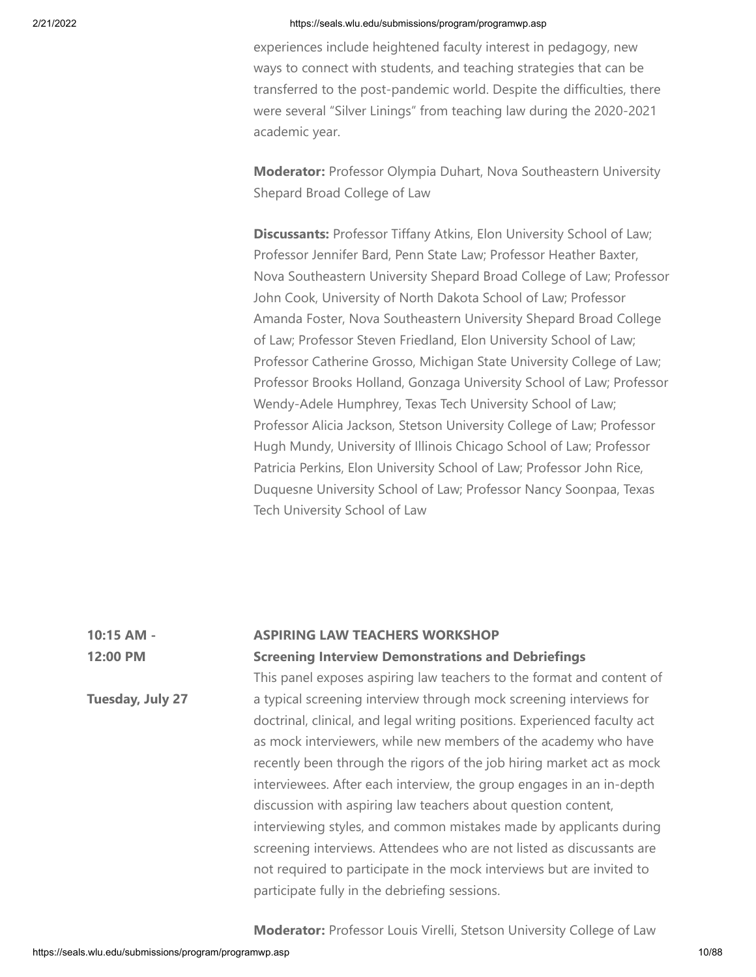experiences include heightened faculty interest in pedagogy, new ways to connect with students, and teaching strategies that can be transferred to the post-pandemic world. Despite the difficulties, there were several "Silver Linings" from teaching law during the 2020-2021 academic year.

**Moderator:** Professor Olympia Duhart, Nova Southeastern University Shepard Broad College of Law

**Discussants:** Professor Tiffany Atkins, Elon University School of Law; Professor Jennifer Bard, Penn State Law; Professor Heather Baxter, Nova Southeastern University Shepard Broad College of Law; Professor John Cook, University of North Dakota School of Law; Professor Amanda Foster, Nova Southeastern University Shepard Broad College of Law; Professor Steven Friedland, Elon University School of Law; Professor Catherine Grosso, Michigan State University College of Law; Professor Brooks Holland, Gonzaga University School of Law; Professor Wendy-Adele Humphrey, Texas Tech University School of Law; Professor Alicia Jackson, Stetson University College of Law; Professor Hugh Mundy, University of Illinois Chicago School of Law; Professor Patricia Perkins, Elon University School of Law; Professor John Rice, Duquesne University School of Law; Professor Nancy Soonpaa, Texas Tech University School of Law

| 10:15 AM -       | <b>ASPIRING LAW TEACHERS WORKSHOP</b>                                     |
|------------------|---------------------------------------------------------------------------|
| 12:00 PM         | <b>Screening Interview Demonstrations and Debriefings</b>                 |
|                  | This panel exposes aspiring law teachers to the format and content of     |
| Tuesday, July 27 | a typical screening interview through mock screening interviews for       |
|                  | doctrinal, clinical, and legal writing positions. Experienced faculty act |
|                  | as mock interviewers, while new members of the academy who have           |
|                  | recently been through the rigors of the job hiring market act as mock     |
|                  | interviewees. After each interview, the group engages in an in-depth      |
|                  | discussion with aspiring law teachers about question content,             |
|                  | interviewing styles, and common mistakes made by applicants during        |
|                  | screening interviews. Attendees who are not listed as discussants are     |
|                  | not required to participate in the mock interviews but are invited to     |
|                  | participate fully in the debriefing sessions.                             |

**Moderator:** Professor Louis Virelli, Stetson University College of Law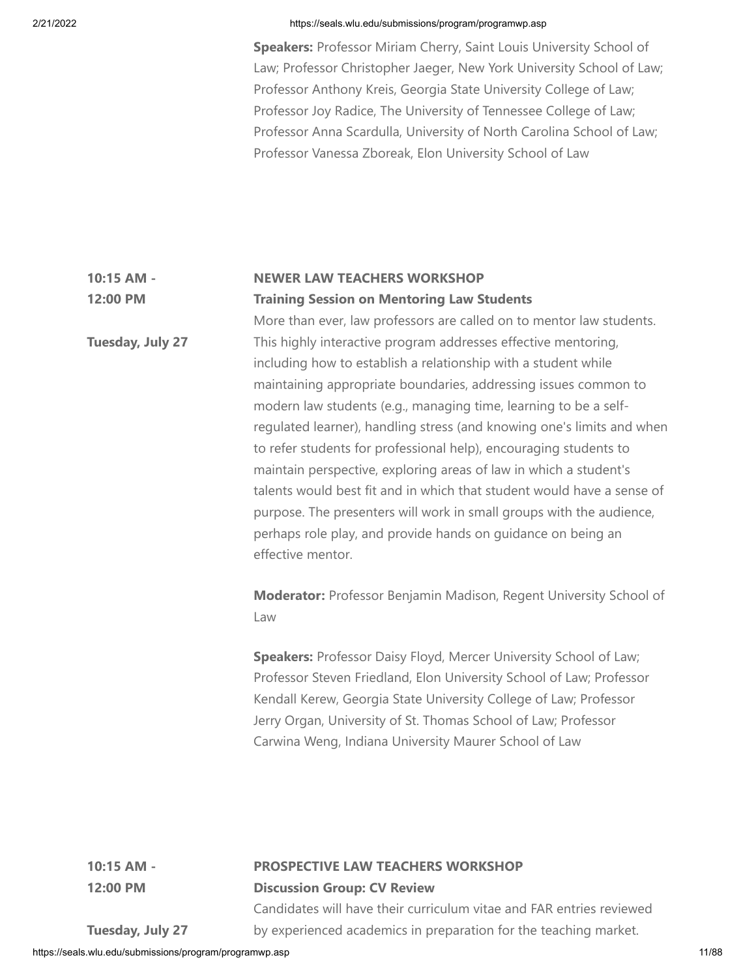**Speakers:** Professor Miriam Cherry, Saint Louis University School of Law; Professor Christopher Jaeger, New York University School of Law; Professor Anthony Kreis, Georgia State University College of Law; Professor Joy Radice, The University of Tennessee College of Law; Professor Anna Scardulla, University of North Carolina School of Law; Professor Vanessa Zboreak, Elon University School of Law

#### **10:15 AM - 12:00 PM NEWER LAW TEACHERS WORKSHOP Training Session on Mentoring Law Students**

More than ever, law professors are called on to mentor law students. This highly interactive program addresses effective mentoring, including how to establish a relationship with a student while maintaining appropriate boundaries, addressing issues common to modern law students (e.g., managing time, learning to be a selfregulated learner), handling stress (and knowing one's limits and when to refer students for professional help), encouraging students to maintain perspective, exploring areas of law in which a student's talents would best fit and in which that student would have a sense of purpose. The presenters will work in small groups with the audience, perhaps role play, and provide hands on guidance on being an effective mentor.

**Moderator:** Professor Benjamin Madison, Regent University School of Law

**Speakers:** Professor Daisy Floyd, Mercer University School of Law; Professor Steven Friedland, Elon University School of Law; Professor Kendall Kerew, Georgia State University College of Law; Professor Jerry Organ, University of St. Thomas School of Law; Professor Carwina Weng, Indiana University Maurer School of Law

**10:15 AM - 12:00 PM**

# **PROSPECTIVE LAW TEACHERS WORKSHOP**

**Discussion Group: CV Review**

Candidates will have their curriculum vitae and FAR entries reviewed by experienced academics in preparation for the teaching market.

**Tuesday, July 27**

**Tuesday, July 27**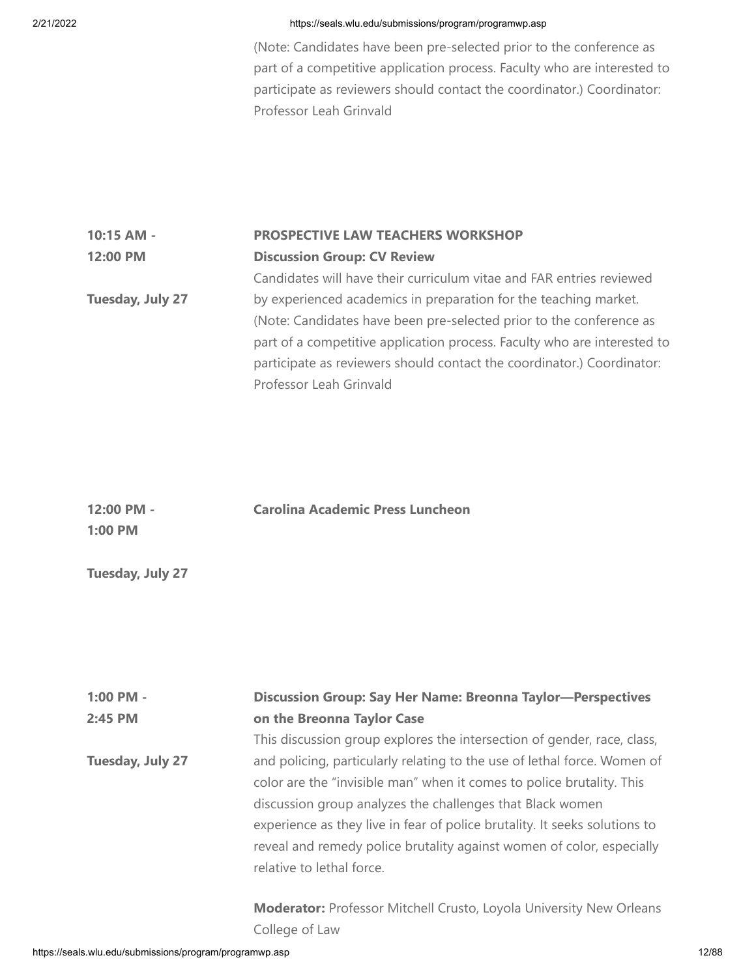(Note: Candidates have been pre-selected prior to the conference as part of a competitive application process. Faculty who are interested to participate as reviewers should contact the coordinator.) Coordinator: Professor Leah Grinvald

# **10:15 AM - 12:00 PM Tuesday, July 27 PROSPECTIVE LAW TEACHERS WORKSHOP Discussion Group: CV Review** Candidates will have their curriculum vitae and FAR entries reviewed by experienced academics in preparation for the teaching market.

(Note: Candidates have been pre-selected prior to the conference as part of a competitive application process. Faculty who are interested to participate as reviewers should contact the coordinator.) Coordinator: Professor Leah Grinvald

| $12:00$ PM -     | <b>Carolina Academic Press Luncheon</b> |
|------------------|-----------------------------------------|
| $1:00$ PM        |                                         |
|                  |                                         |
| Tuesday, July 27 |                                         |

| 1:00 PM -        | <b>Discussion Group: Say Her Name: Breonna Taylor-Perspectives</b>         |
|------------------|----------------------------------------------------------------------------|
| 2:45 PM          | on the Breonna Taylor Case                                                 |
|                  | This discussion group explores the intersection of gender, race, class,    |
| Tuesday, July 27 | and policing, particularly relating to the use of lethal force. Women of   |
|                  | color are the "invisible man" when it comes to police brutality. This      |
|                  | discussion group analyzes the challenges that Black women                  |
|                  | experience as they live in fear of police brutality. It seeks solutions to |
|                  | reveal and remedy police brutality against women of color, especially      |
|                  | relative to lethal force.                                                  |
|                  |                                                                            |
|                  |                                                                            |

**Moderator:** Professor Mitchell Crusto, Loyola University New Orleans College of Law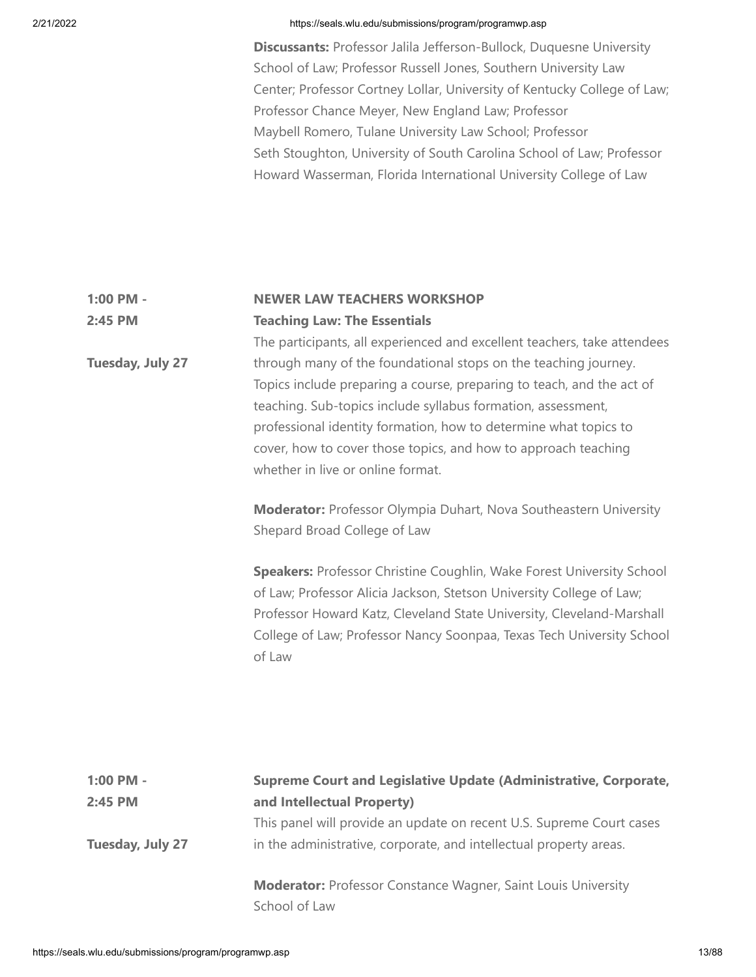**Discussants:** Professor Jalila Jefferson-Bullock, Duquesne University School of Law; Professor Russell Jones, Southern University Law Center; Professor Cortney Lollar, University of Kentucky College of Law; Professor Chance Meyer, New England Law; Professor Maybell Romero, Tulane University Law School; Professor Seth Stoughton, University of South Carolina School of Law; Professor Howard Wasserman, Florida International University College of Law

### **1:00 PM - 2:45 PM NEWER LAW TEACHERS WORKSHOP Teaching Law: The Essentials**

**Tuesday, July 27** The participants, all experienced and excellent teachers, take attendees through many of the foundational stops on the teaching journey. Topics include preparing a course, preparing to teach, and the act of teaching. Sub-topics include syllabus formation, assessment, professional identity formation, how to determine what topics to cover, how to cover those topics, and how to approach teaching whether in live or online format.

> **Moderator:** Professor Olympia Duhart, Nova Southeastern University Shepard Broad College of Law

**Speakers:** Professor Christine Coughlin, Wake Forest University School of Law; Professor Alicia Jackson, Stetson University College of Law; Professor Howard Katz, Cleveland State University, Cleveland-Marshall College of Law; Professor Nancy Soonpaa, Texas Tech University School of Law

| $1:00$ PM -<br>$2:45$ PM | Supreme Court and Legislative Update (Administrative, Corporate,<br>and Intellectual Property)                                             |
|--------------------------|--------------------------------------------------------------------------------------------------------------------------------------------|
| Tuesday, July 27         | This panel will provide an update on recent U.S. Supreme Court cases<br>in the administrative, corporate, and intellectual property areas. |
|                          | <b>Moderator:</b> Professor Constance Wagner, Saint Louis University<br>School of Law                                                      |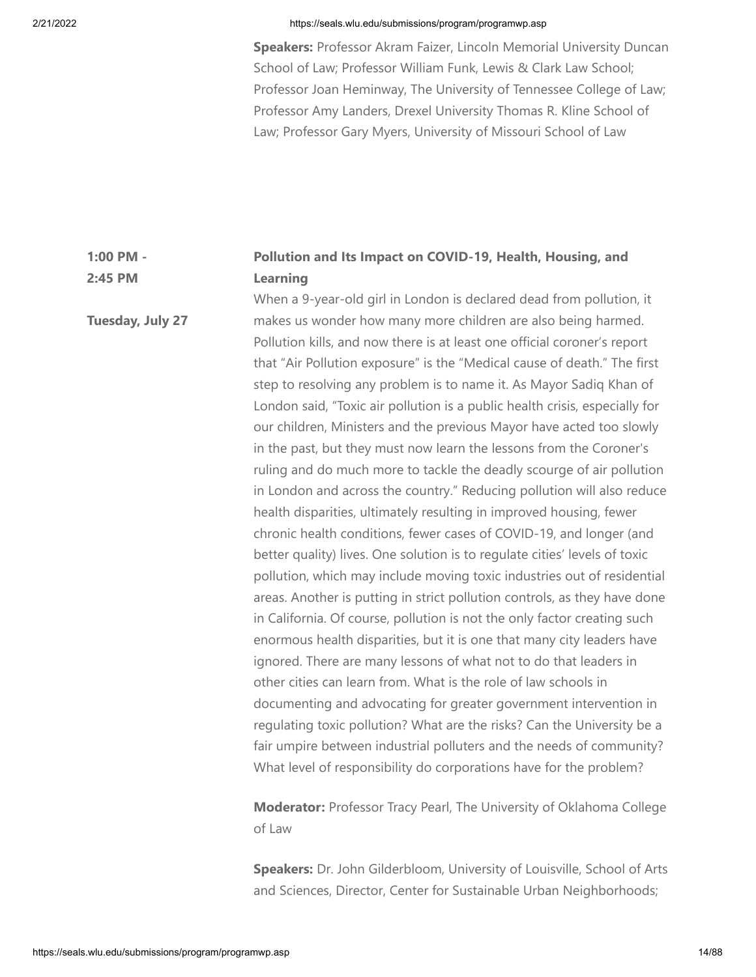**Tuesday, July 27**

### 2/21/2022 https://seals.wlu.edu/submissions/program/programwp.asp

**Speakers:** Professor Akram Faizer, Lincoln Memorial University Duncan School of Law; Professor William Funk, Lewis & Clark Law School; Professor Joan Heminway, The University of Tennessee College of Law; Professor Amy Landers, Drexel University Thomas R. Kline School of Law; Professor Gary Myers, University of Missouri School of Law

### **1:00 PM - 2:45 PM Pollution and Its Impact on COVID-19, Health, Housing, and Learning**

When a 9-year-old girl in London is declared dead from pollution, it makes us wonder how many more children are also being harmed. Pollution kills, and now there is at least one official coroner's report that "Air Pollution exposure" is the "Medical cause of death." The first step to resolving any problem is to name it. As Mayor Sadiq Khan of London said, "Toxic air pollution is a public health crisis, especially for our children, Ministers and the previous Mayor have acted too slowly in the past, but they must now learn the lessons from the Coroner's ruling and do much more to tackle the deadly scourge of air pollution in London and across the country." Reducing pollution will also reduce health disparities, ultimately resulting in improved housing, fewer chronic health conditions, fewer cases of COVID-19, and longer (and better quality) lives. One solution is to regulate cities' levels of toxic pollution, which may include moving toxic industries out of residential areas. Another is putting in strict pollution controls, as they have done in California. Of course, pollution is not the only factor creating such enormous health disparities, but it is one that many city leaders have ignored. There are many lessons of what not to do that leaders in other cities can learn from. What is the role of law schools in documenting and advocating for greater government intervention in regulating toxic pollution? What are the risks? Can the University be a fair umpire between industrial polluters and the needs of community? What level of responsibility do corporations have for the problem?

> **Moderator:** Professor Tracy Pearl, The University of Oklahoma College of Law

> **Speakers:** Dr. John Gilderbloom, University of Louisville, School of Arts and Sciences, Director, Center for Sustainable Urban Neighborhoods;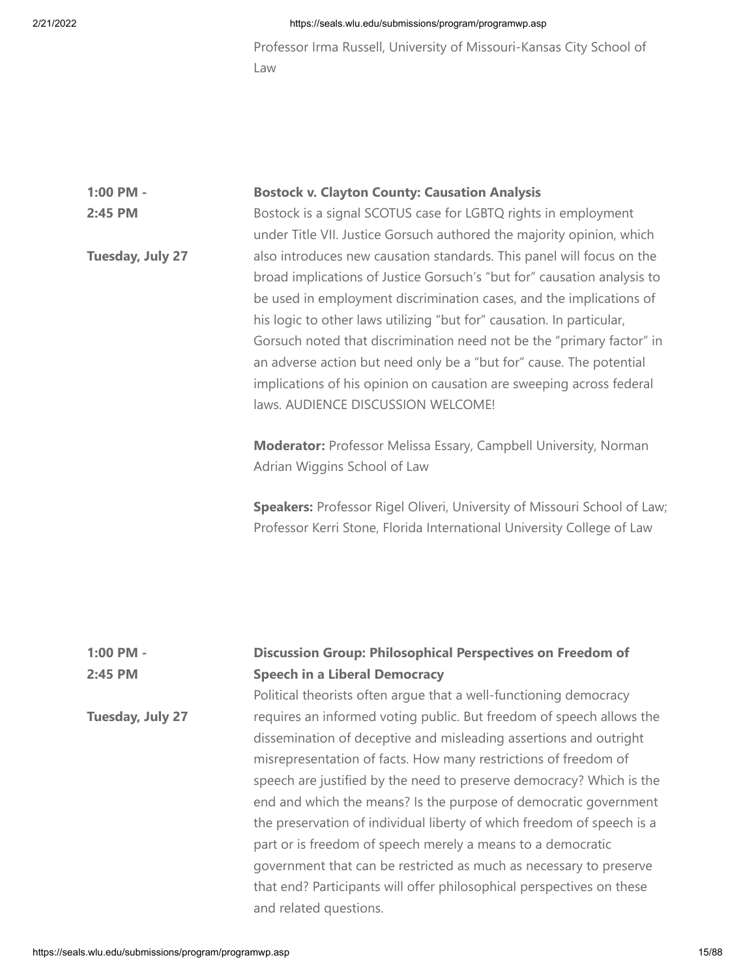**Tuesday, July 27**

### 2/21/2022 https://seals.wlu.edu/submissions/program/programwp.asp

Professor Irma Russell, University of Missouri-Kansas City School of Law

# **1:00 PM - 2:45 PM Bostock v. Clayton County: Causation Analysis** Bostock is a signal SCOTUS case for LGBTQ rights in employment

under Title VII. Justice Gorsuch authored the majority opinion, which also introduces new causation standards. This panel will focus on the broad implications of Justice Gorsuch's "but for" causation analysis to be used in employment discrimination cases, and the implications of his logic to other laws utilizing "but for" causation. In particular, Gorsuch noted that discrimination need not be the "primary factor" in an adverse action but need only be a "but for" cause. The potential implications of his opinion on causation are sweeping across federal laws. AUDIENCE DISCUSSION WELCOME!

**Moderator:** Professor Melissa Essary, Campbell University, Norman Adrian Wiggins School of Law

**Speakers:** Professor Rigel Oliveri, University of Missouri School of Law; Professor Kerri Stone, Florida International University College of Law

### **1:00 PM - 2:45 PM Discussion Group: Philosophical Perspectives on Freedom of Speech in a Liberal Democracy**

Political theorists often argue that a well-functioning democracy requires an informed voting public. But freedom of speech allows the dissemination of deceptive and misleading assertions and outright misrepresentation of facts. How many restrictions of freedom of speech are justified by the need to preserve democracy? Which is the end and which the means? Is the purpose of democratic government the preservation of individual liberty of which freedom of speech is a part or is freedom of speech merely a means to a democratic government that can be restricted as much as necessary to preserve that end? Participants will offer philosophical perspectives on these and related questions.

**Tuesday, July 27**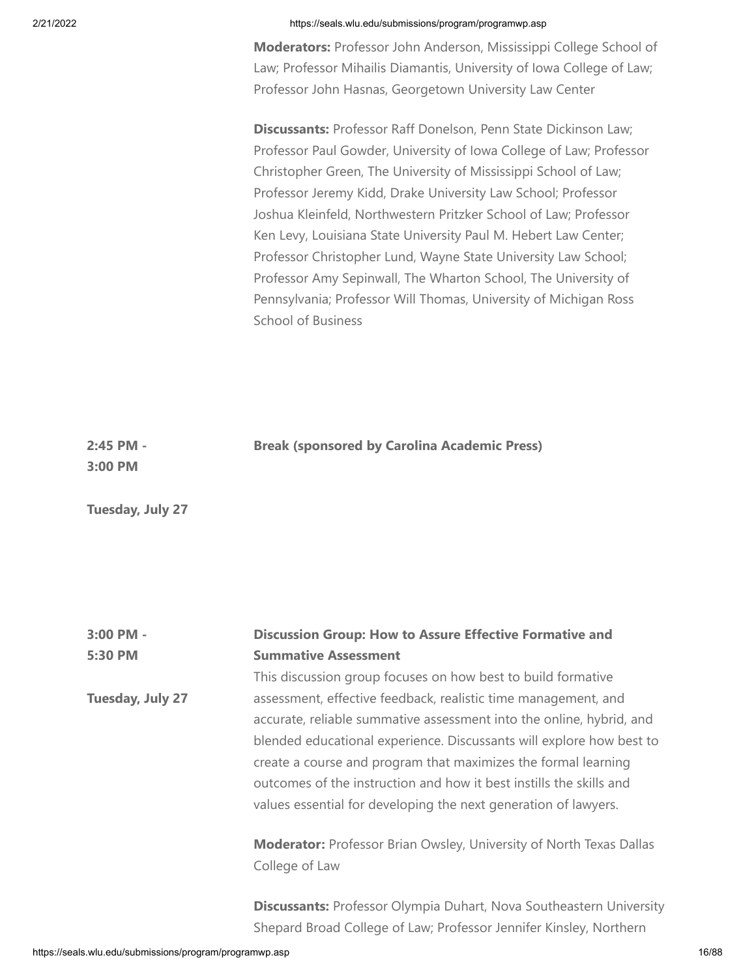**Moderators:** Professor John Anderson, Mississippi College School of Law; Professor Mihailis Diamantis, University of Iowa College of Law; Professor John Hasnas, Georgetown University Law Center

**Discussants:** Professor Raff Donelson, Penn State Dickinson Law; Professor Paul Gowder, University of Iowa College of Law; Professor Christopher Green, The University of Mississippi School of Law; Professor Jeremy Kidd, Drake University Law School; Professor Joshua Kleinfeld, Northwestern Pritzker School of Law; Professor Ken Levy, Louisiana State University Paul M. Hebert Law Center; Professor Christopher Lund, Wayne State University Law School; Professor Amy Sepinwall, The Wharton School, The University of Pennsylvania; Professor Will Thomas, University of Michigan Ross School of Business

| 2:45 PM - | <b>Break (sponsored by Carolina Academic Press)</b> |
|-----------|-----------------------------------------------------|
| 3:00 PM   |                                                     |
|           |                                                     |

**3:00 PM - 5:30 PM Tuesday, July 27 Discussion Group: How to Assure Effective Formative and Summative Assessment** This discussion group focuses on how best to build formative assessment, effective feedback, realistic time management, and accurate, reliable summative assessment into the online, hybrid, and blended educational experience. Discussants will explore how best to create a course and program that maximizes the formal learning outcomes of the instruction and how it best instills the skills and values essential for developing the next generation of lawyers. **Moderator:** Professor Brian Owsley, University of North Texas Dallas College of Law

> **Discussants:** Professor Olympia Duhart, Nova Southeastern University Shepard Broad College of Law; Professor Jennifer Kinsley, Northern

**Tuesday, July 27**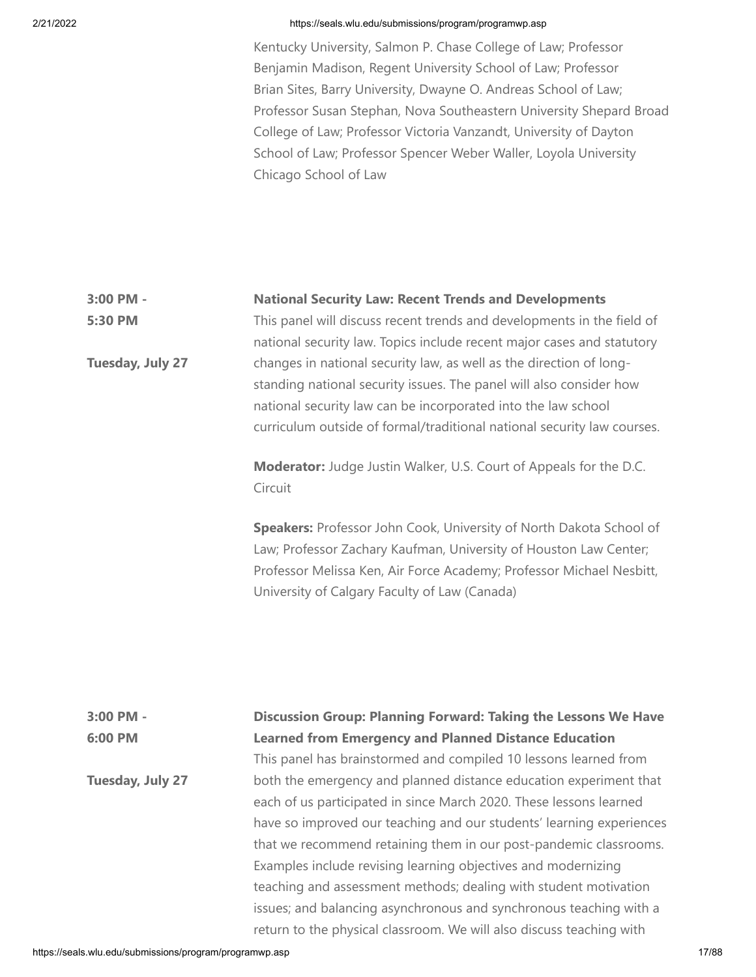Kentucky University, Salmon P. Chase College of Law; Professor Benjamin Madison, Regent University School of Law; Professor Brian Sites, Barry University, Dwayne O. Andreas School of Law; Professor Susan Stephan, Nova Southeastern University Shepard Broad College of Law; Professor Victoria Vanzandt, University of Dayton School of Law; Professor Spencer Weber Waller, Loyola University Chicago School of Law

#### **3:00 PM - National Security Law: Recent Trends and Developments**

**5:30 PM**

**Tuesday, July 27**

This panel will discuss recent trends and developments in the field of national security law. Topics include recent major cases and statutory changes in national security law, as well as the direction of longstanding national security issues. The panel will also consider how national security law can be incorporated into the law school curriculum outside of formal/traditional national security law courses.

**Moderator:** Judge Justin Walker, U.S. Court of Appeals for the D.C. Circuit

**Speakers:** Professor John Cook, University of North Dakota School of Law; Professor Zachary Kaufman, University of Houston Law Center; Professor Melissa Ken, Air Force Academy; Professor Michael Nesbitt, University of Calgary Faculty of Law (Canada)

# **3:00 PM - 6:00 PM Tuesday, July 27 Discussion Group: Planning Forward: Taking the Lessons We Have Learned from Emergency and Planned Distance Education** This panel has brainstormed and compiled 10 lessons learned from both the emergency and planned distance education experiment that each of us participated in since March 2020. These lessons learned have so improved our teaching and our students' learning experiences that we recommend retaining them in our post-pandemic classrooms. Examples include revising learning objectives and modernizing teaching and assessment methods; dealing with student motivation issues; and balancing asynchronous and synchronous teaching with a return to the physical classroom. We will also discuss teaching with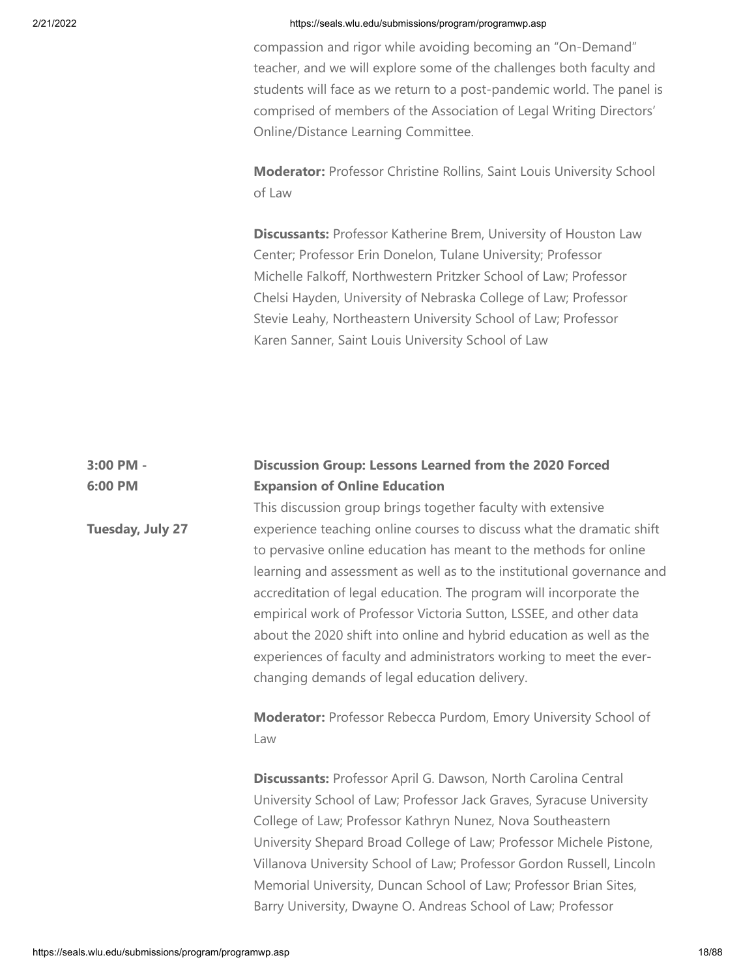compassion and rigor while avoiding becoming an "On-Demand" teacher, and we will explore some of the challenges both faculty and students will face as we return to a post-pandemic world. The panel is comprised of members of the Association of Legal Writing Directors' Online/Distance Learning Committee.

**Moderator:** Professor Christine Rollins, Saint Louis University School of Law

**Discussants:** Professor Katherine Brem, University of Houston Law Center; Professor Erin Donelon, Tulane University; Professor Michelle Falkoff, Northwestern Pritzker School of Law; Professor Chelsi Hayden, University of Nebraska College of Law; Professor Stevie Leahy, Northeastern University School of Law; Professor Karen Sanner, Saint Louis University School of Law

### **3:00 PM - 6:00 PM Discussion Group: Lessons Learned from the 2020 Forced Expansion of Online Education**

This discussion group brings together faculty with extensive experience teaching online courses to discuss what the dramatic shift to pervasive online education has meant to the methods for online learning and assessment as well as to the institutional governance and accreditation of legal education. The program will incorporate the empirical work of Professor Victoria Sutton, LSSEE, and other data about the 2020 shift into online and hybrid education as well as the experiences of faculty and administrators working to meet the everchanging demands of legal education delivery.

**Moderator:** Professor Rebecca Purdom, Emory University School of Law

**Discussants:** Professor April G. Dawson, North Carolina Central University School of Law; Professor Jack Graves, Syracuse University College of Law; Professor Kathryn Nunez, Nova Southeastern University Shepard Broad College of Law; Professor Michele Pistone, Villanova University School of Law; Professor Gordon Russell, Lincoln Memorial University, Duncan School of Law; Professor Brian Sites, Barry University, Dwayne O. Andreas School of Law; Professor

**Tuesday, July 27**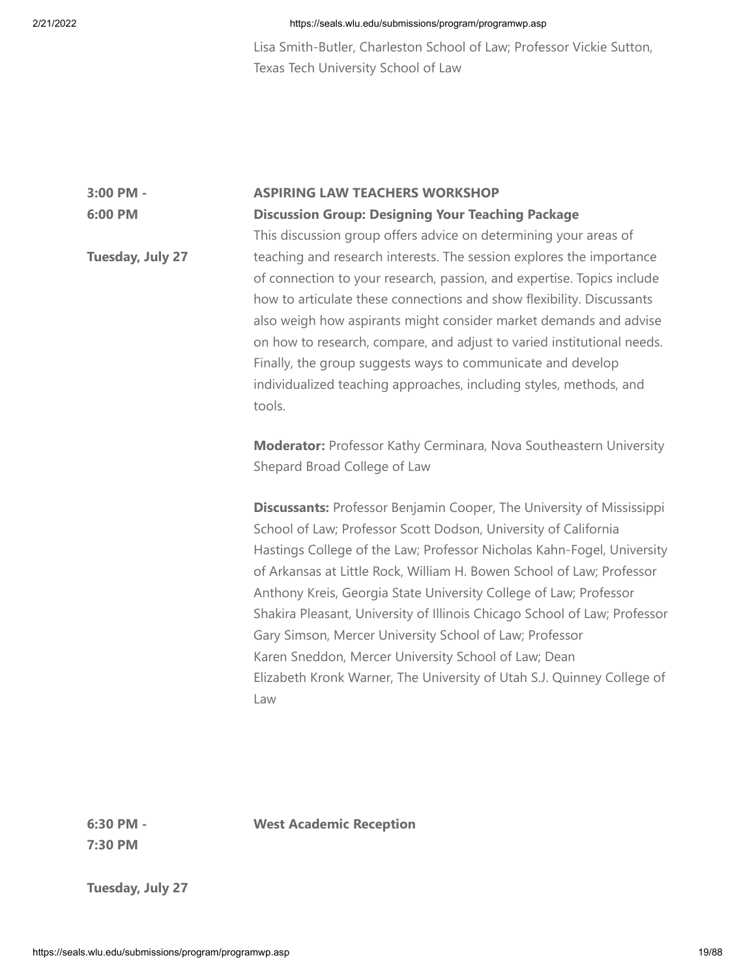Lisa Smith-Butler, Charleston School of Law; Professor Vickie Sutton, Texas Tech University School of Law

### **3:00 PM - 6:00 PM ASPIRING LAW TEACHERS WORKSHOP Discussion Group: Designing Your Teaching Package** This discussion group offers advice on determining your areas of

**West Academic Reception**

**Tuesday, July 27** teaching and research interests. The session explores the importance of connection to your research, passion, and expertise. Topics include how to articulate these connections and show flexibility. Discussants also weigh how aspirants might consider market demands and advise on how to research, compare, and adjust to varied institutional needs. Finally, the group suggests ways to communicate and develop individualized teaching approaches, including styles, methods, and tools.

> **Moderator:** Professor Kathy Cerminara, Nova Southeastern University Shepard Broad College of Law

> **Discussants:** Professor Benjamin Cooper, The University of Mississippi School of Law; Professor Scott Dodson, University of California Hastings College of the Law; Professor Nicholas Kahn-Fogel, University of Arkansas at Little Rock, William H. Bowen School of Law; Professor Anthony Kreis, Georgia State University College of Law; Professor Shakira Pleasant, University of Illinois Chicago School of Law; Professor Gary Simson, Mercer University School of Law; Professor Karen Sneddon, Mercer University School of Law; Dean Elizabeth Kronk Warner, The University of Utah S.J. Quinney College of Law

**6:30 PM - 7:30 PM**

**Tuesday, July 27**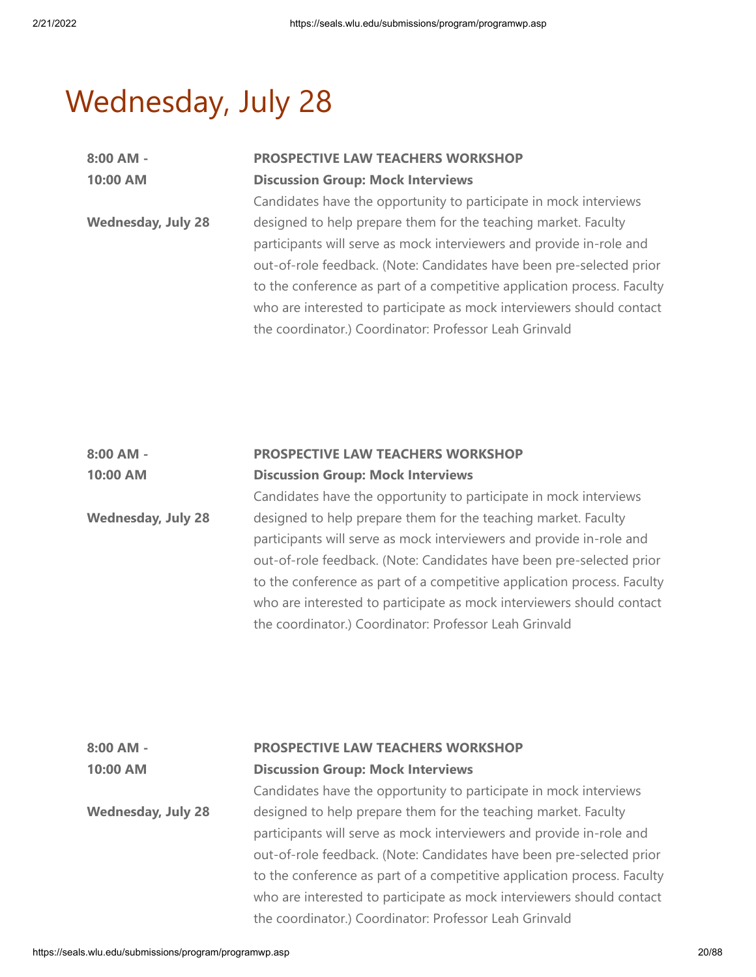# Wednesday, July 28

| 8:00 AM -                 | <b>PROSPECTIVE LAW TEACHERS WORKSHOP</b>                                |
|---------------------------|-------------------------------------------------------------------------|
| 10:00 AM                  | <b>Discussion Group: Mock Interviews</b>                                |
|                           | Candidates have the opportunity to participate in mock interviews       |
| <b>Wednesday, July 28</b> | designed to help prepare them for the teaching market. Faculty          |
|                           | participants will serve as mock interviewers and provide in-role and    |
|                           | out-of-role feedback. (Note: Candidates have been pre-selected prior    |
|                           | to the conference as part of a competitive application process. Faculty |
|                           | who are interested to participate as mock interviewers should contact   |
|                           | the coordinator.) Coordinator: Professor Leah Grinvald                  |

| 8:00 AM -                 | PROSPECTIVE LAW TEACHERS WORKSHOP                                       |
|---------------------------|-------------------------------------------------------------------------|
| 10:00 AM                  | <b>Discussion Group: Mock Interviews</b>                                |
|                           | Candidates have the opportunity to participate in mock interviews       |
| <b>Wednesday, July 28</b> | designed to help prepare them for the teaching market. Faculty          |
|                           | participants will serve as mock interviewers and provide in-role and    |
|                           | out-of-role feedback. (Note: Candidates have been pre-selected prior    |
|                           | to the conference as part of a competitive application process. Faculty |
|                           | who are interested to participate as mock interviewers should contact   |
|                           | the coordinator.) Coordinator: Professor Leah Grinvald                  |

| $8:00$ AM -<br>10:00 AM   | PROSPECTIVE LAW TEACHERS WORKSHOP<br><b>Discussion Group: Mock Interviews</b> |
|---------------------------|-------------------------------------------------------------------------------|
|                           | Candidates have the opportunity to participate in mock interviews             |
| <b>Wednesday, July 28</b> | designed to help prepare them for the teaching market. Faculty                |
|                           | participants will serve as mock interviewers and provide in-role and          |
|                           | out-of-role feedback. (Note: Candidates have been pre-selected prior          |
|                           | to the conference as part of a competitive application process. Faculty       |
|                           | who are interested to participate as mock interviewers should contact         |
|                           | the coordinator.) Coordinator: Professor Leah Grinvald                        |
|                           |                                                                               |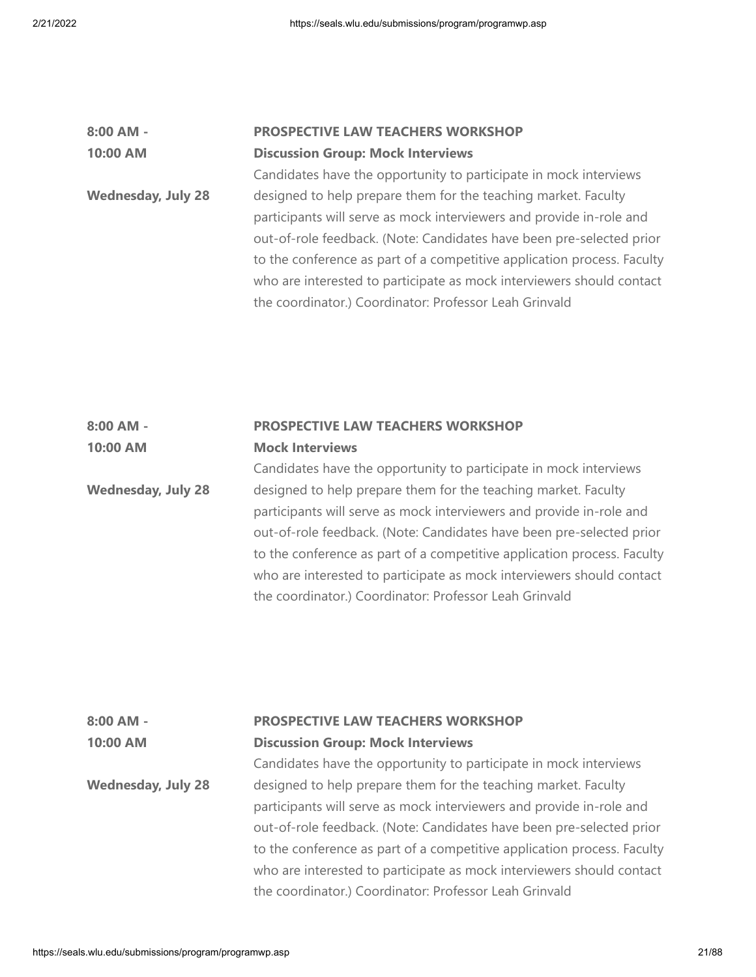# **8:00 AM - 10:00 AM Wednesday, July 28 PROSPECTIVE LAW TEACHERS WORKSHOP Discussion Group: Mock Interviews** Candidates have the opportunity to participate in mock interviews designed to help prepare them for the teaching market. Faculty participants will serve as mock interviewers and provide in-role and out-of-role feedback. (Note: Candidates have been pre-selected prior to the conference as part of a competitive application process. Faculty who are interested to participate as mock interviewers should contact the coordinator.) Coordinator: Professor Leah Grinvald

### **8:00 AM - 10:00 AM PROSPECTIVE LAW TEACHERS WORKSHOP Mock Interviews**

**Wednesday, July 28** Candidates have the opportunity to participate in mock interviews designed to help prepare them for the teaching market. Faculty participants will serve as mock interviewers and provide in-role and out-of-role feedback. (Note: Candidates have been pre-selected prior to the conference as part of a competitive application process. Faculty who are interested to participate as mock interviewers should contact the coordinator.) Coordinator: Professor Leah Grinvald

# **8:00 AM - 10:00 AM Wednesday, July 28 PROSPECTIVE LAW TEACHERS WORKSHOP Discussion Group: Mock Interviews** Candidates have the opportunity to participate in mock interviews designed to help prepare them for the teaching market. Faculty participants will serve as mock interviewers and provide in-role and out-of-role feedback. (Note: Candidates have been pre-selected prior to the conference as part of a competitive application process. Faculty who are interested to participate as mock interviewers should contact the coordinator.) Coordinator: Professor Leah Grinvald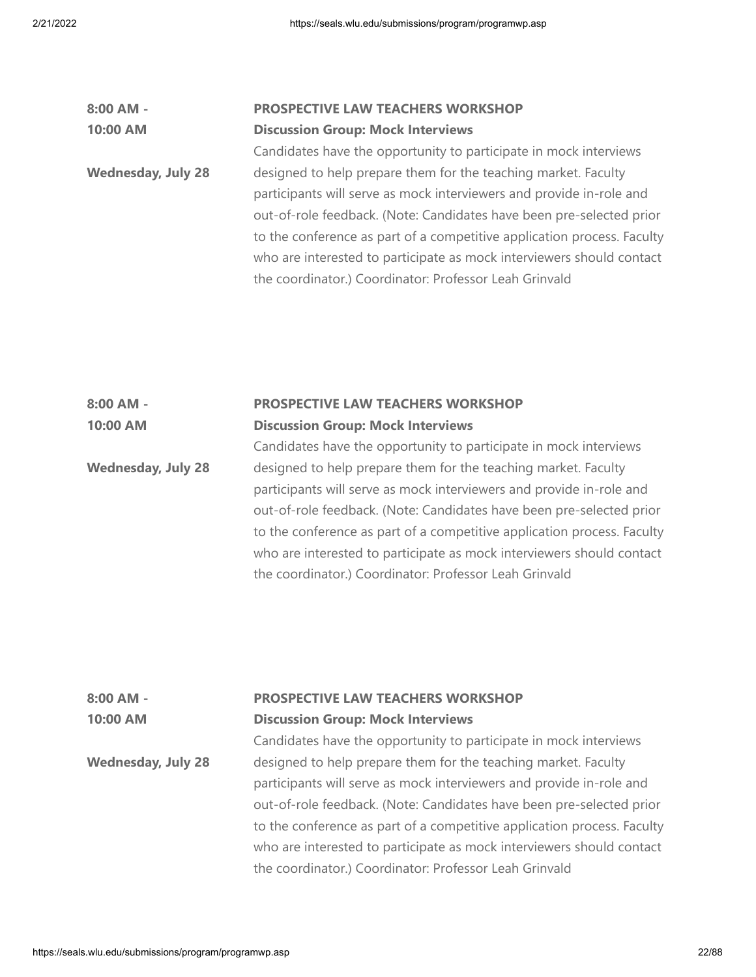| 8:00 AM -                 | <b>PROSPECTIVE LAW TEACHERS WORKSHOP</b>                                |
|---------------------------|-------------------------------------------------------------------------|
| 10:00 AM                  | <b>Discussion Group: Mock Interviews</b>                                |
|                           | Candidates have the opportunity to participate in mock interviews       |
| <b>Wednesday, July 28</b> | designed to help prepare them for the teaching market. Faculty          |
|                           | participants will serve as mock interviewers and provide in-role and    |
|                           | out-of-role feedback. (Note: Candidates have been pre-selected prior    |
|                           | to the conference as part of a competitive application process. Faculty |
|                           | who are interested to participate as mock interviewers should contact   |
|                           | the coordinator.) Coordinator: Professor Leah Grinvald                  |
|                           |                                                                         |

### **8:00 AM - 10:00 AM PROSPECTIVE LAW TEACHERS WORKSHOP Discussion Group: Mock Interviews** Candidates have the opportunity to participate in mock interviews

**Wednesday, July 28** designed to help prepare them for the teaching market. Faculty participants will serve as mock interviewers and provide in-role and out-of-role feedback. (Note: Candidates have been pre-selected prior to the conference as part of a competitive application process. Faculty who are interested to participate as mock interviewers should contact the coordinator.) Coordinator: Professor Leah Grinvald

| 8:00 AM -                 | PROSPECTIVE LAW TEACHERS WORKSHOP                                       |
|---------------------------|-------------------------------------------------------------------------|
| 10:00 AM                  | <b>Discussion Group: Mock Interviews</b>                                |
|                           | Candidates have the opportunity to participate in mock interviews       |
| <b>Wednesday, July 28</b> | designed to help prepare them for the teaching market. Faculty          |
|                           | participants will serve as mock interviewers and provide in-role and    |
|                           | out-of-role feedback. (Note: Candidates have been pre-selected prior    |
|                           | to the conference as part of a competitive application process. Faculty |
|                           | who are interested to participate as mock interviewers should contact   |
|                           | the coordinator.) Coordinator: Professor Leah Grinvald                  |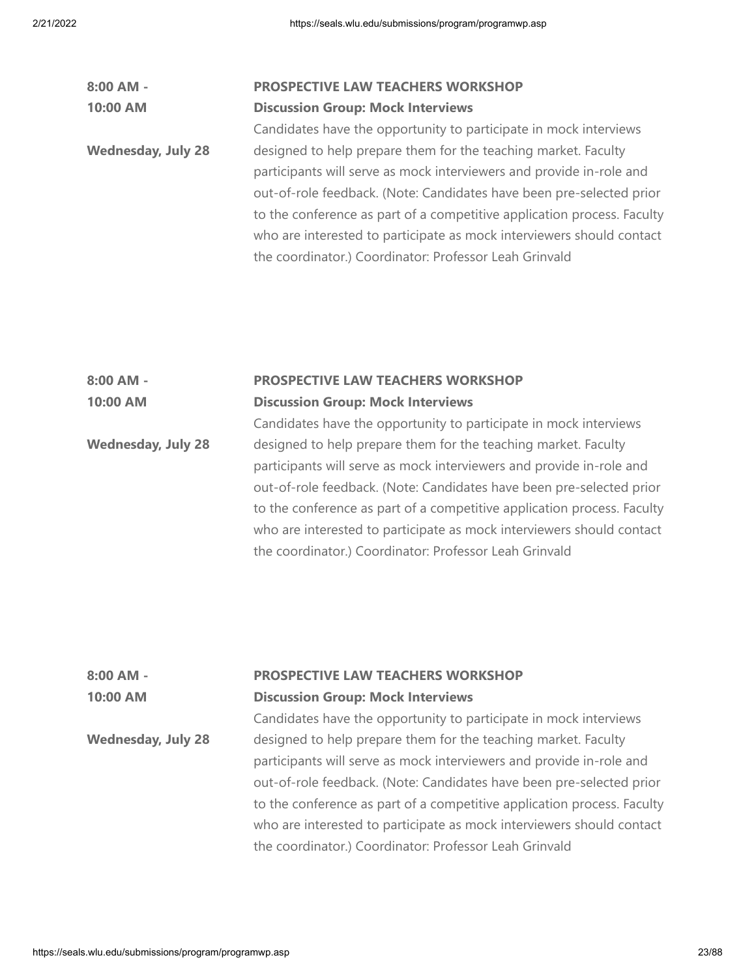| 8:00 AM -                 | <b>PROSPECTIVE LAW TEACHERS WORKSHOP</b>                                |
|---------------------------|-------------------------------------------------------------------------|
| 10:00 AM                  | <b>Discussion Group: Mock Interviews</b>                                |
|                           | Candidates have the opportunity to participate in mock interviews       |
| <b>Wednesday, July 28</b> | designed to help prepare them for the teaching market. Faculty          |
|                           | participants will serve as mock interviewers and provide in-role and    |
|                           | out-of-role feedback. (Note: Candidates have been pre-selected prior    |
|                           | to the conference as part of a competitive application process. Faculty |
|                           | who are interested to participate as mock interviewers should contact   |
|                           | the coordinator.) Coordinator: Professor Leah Grinvald                  |
|                           |                                                                         |

### **8:00 AM - 10:00 AM PROSPECTIVE LAW TEACHERS WORKSHOP Discussion Group: Mock Interviews**

**Wednesday, July 28** Candidates have the opportunity to participate in mock interviews designed to help prepare them for the teaching market. Faculty participants will serve as mock interviewers and provide in-role and out-of-role feedback. (Note: Candidates have been pre-selected prior to the conference as part of a competitive application process. Faculty who are interested to participate as mock interviewers should contact the coordinator.) Coordinator: Professor Leah Grinvald

| $8:00$ AM -               | PROSPECTIVE LAW TEACHERS WORKSHOP                                       |
|---------------------------|-------------------------------------------------------------------------|
| 10:00 AM                  | <b>Discussion Group: Mock Interviews</b>                                |
|                           | Candidates have the opportunity to participate in mock interviews       |
| <b>Wednesday, July 28</b> | designed to help prepare them for the teaching market. Faculty          |
|                           | participants will serve as mock interviewers and provide in-role and    |
|                           | out-of-role feedback. (Note: Candidates have been pre-selected prior    |
|                           | to the conference as part of a competitive application process. Faculty |
|                           | who are interested to participate as mock interviewers should contact   |
|                           | the coordinator.) Coordinator: Professor Leah Grinvald                  |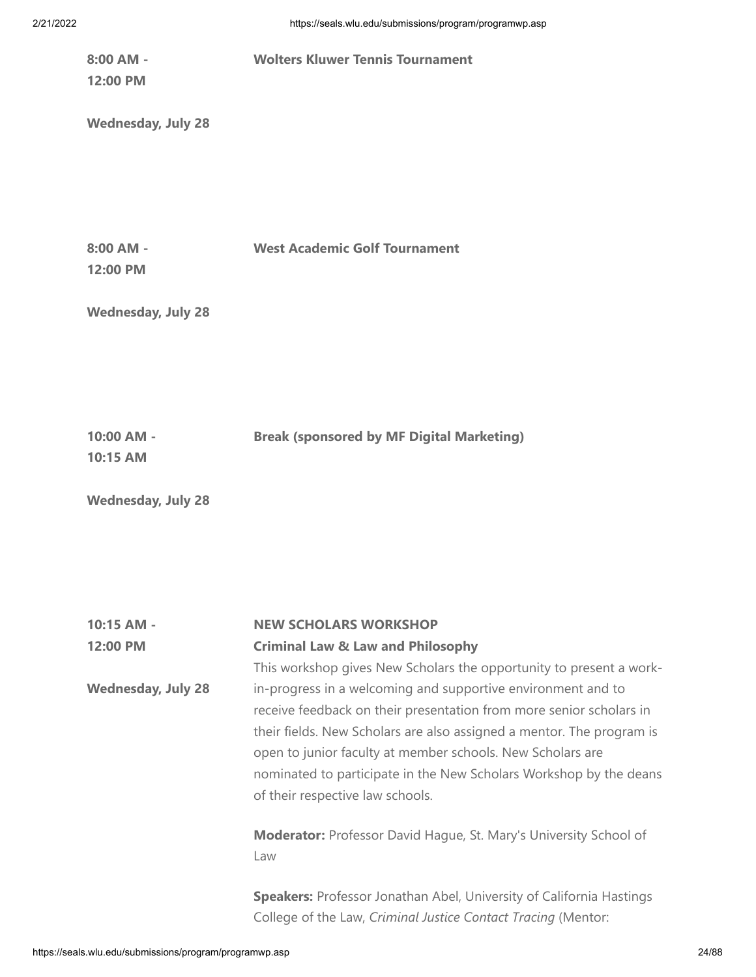**8:00 AM - 12:00 PM Wednesday, July 28 Wolters Kluwer Tennis Tournament 8:00 AM - 12:00 PM Wednesday, July 28 West Academic Golf Tournament 10:00 AM - 10:15 AM Wednesday, July 28 Break (sponsored by MF Digital Marketing) 10:15 AM - NEW SCHOLARS WORKSHOP**

**12:00 PM Wednesday, July 28 Criminal Law & Law and Philosophy** This workshop gives New Scholars the opportunity to present a workin-progress in a welcoming and supportive environment and to receive feedback on their presentation from more senior scholars in their fields. New Scholars are also assigned a mentor. The program is open to junior faculty at member schools. New Scholars are nominated to participate in the New Scholars Workshop by the deans of their respective law schools. **Moderator:** Professor David Hague, St. Mary's University School of Law **Speakers:** Professor Jonathan Abel, University of California Hastings College of the Law, *Criminal Justice Contact Tracing* (Mentor: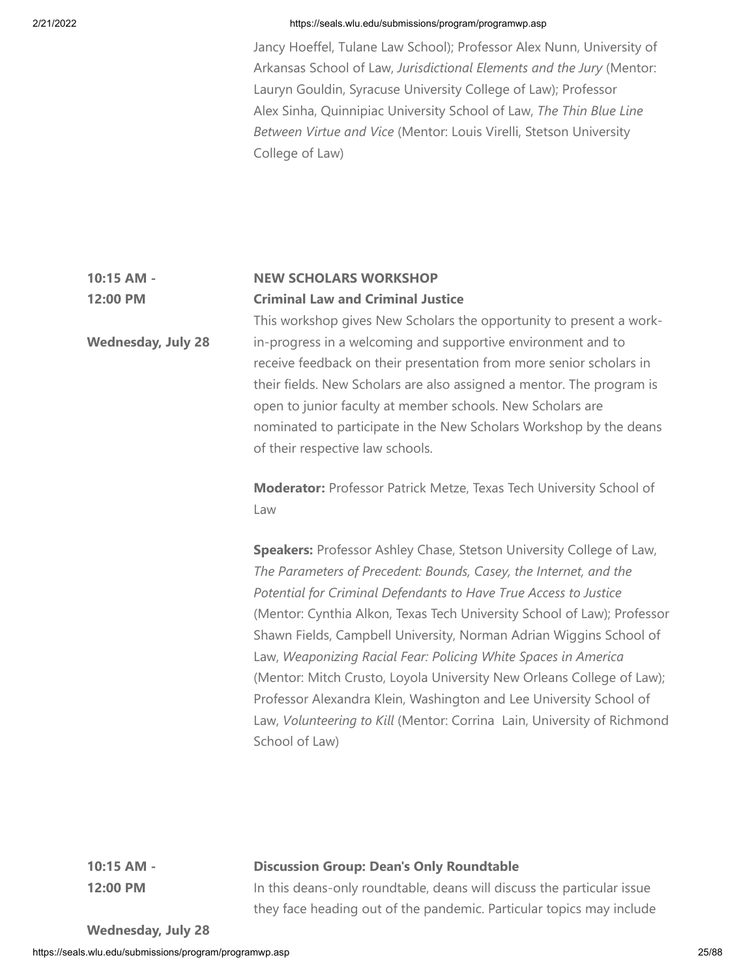Jancy Hoeffel, Tulane Law School); Professor Alex Nunn, University of Arkansas School of Law, *Jurisdictional Elements and the Jury* (Mentor: Lauryn Gouldin, Syracuse University College of Law); Professor Alex Sinha, Quinnipiac University School of Law, *The Thin Blue Line Between Virtue and Vice* (Mentor: Louis Virelli, Stetson University College of Law)

### **10:15 AM - 12:00 PM NEW SCHOLARS WORKSHOP Criminal Law and Criminal Justice**

**Wednesday, July 28** This workshop gives New Scholars the opportunity to present a workin-progress in a welcoming and supportive environment and to receive feedback on their presentation from more senior scholars in their fields. New Scholars are also assigned a mentor. The program is open to junior faculty at member schools. New Scholars are nominated to participate in the New Scholars Workshop by the deans of their respective law schools.

> **Moderator:** Professor Patrick Metze, Texas Tech University School of Law

**Speakers:** Professor Ashley Chase, Stetson University College of Law, *The Parameters of Precedent: Bounds, Casey, the Internet, and the Potential for Criminal Defendants to Have True Access to Justice* (Mentor: Cynthia Alkon, Texas Tech University School of Law); Professor Shawn Fields, Campbell University, Norman Adrian Wiggins School of Law, *Weaponizing Racial Fear: Policing White Spaces in America* (Mentor: Mitch Crusto, Loyola University New Orleans College of Law); Professor Alexandra Klein, Washington and Lee University School of Law, *Volunteering to Kill* (Mentor: Corrina Lain, University of Richmond School of Law)

# **10:15 AM - 12:00 PM**

# **Discussion Group: Dean's Only Roundtable**

In this deans-only roundtable, deans will discuss the particular issue they face heading out of the pandemic. Particular topics may include

**Wednesday, July 28**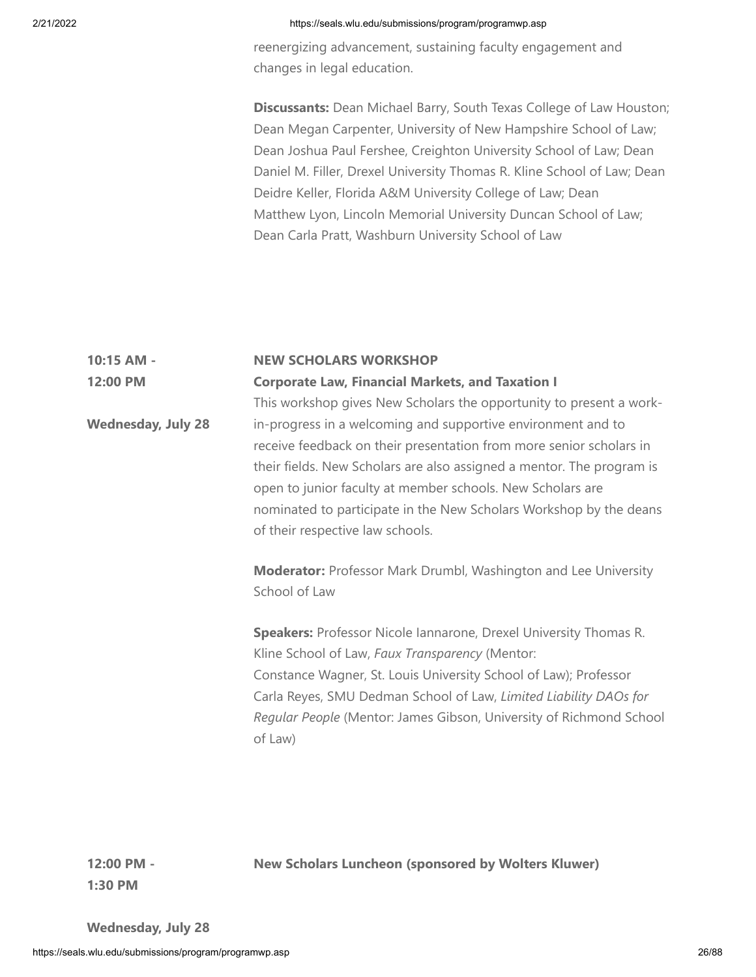reenergizing advancement, sustaining faculty engagement and changes in legal education.

**Discussants:** Dean Michael Barry, South Texas College of Law Houston; Dean Megan Carpenter, University of New Hampshire School of Law; Dean Joshua Paul Fershee, Creighton University School of Law; Dean Daniel M. Filler, Drexel University Thomas R. Kline School of Law; Dean Deidre Keller, Florida A&M University College of Law; Dean Matthew Lyon, Lincoln Memorial University Duncan School of Law; Dean Carla Pratt, Washburn University School of Law

# **10:15 AM - 12:00 PM Wednesday, July 28 NEW SCHOLARS WORKSHOP Corporate Law, Financial Markets, and Taxation I** This workshop gives New Scholars the opportunity to present a workin-progress in a welcoming and supportive environment and to receive feedback on their presentation from more senior scholars in their fields. New Scholars are also assigned a mentor. The program is open to junior faculty at member schools. New Scholars are nominated to participate in the New Scholars Workshop by the deans of their respective law schools. **Moderator:** Professor Mark Drumbl, Washington and Lee University School of Law

**Speakers:** Professor Nicole Iannarone, Drexel University Thomas R. Kline School of Law, *Faux Transparency* (Mentor: Constance Wagner, St. Louis University School of Law); Professor Carla Reyes, SMU Dedman School of Law, *Limited Liability DAOs for Regular People* (Mentor: James Gibson, University of Richmond School of Law)

**12:00 PM - 1:30 PM**

**New Scholars Luncheon (sponsored by Wolters Kluwer)**

**Wednesday, July 28**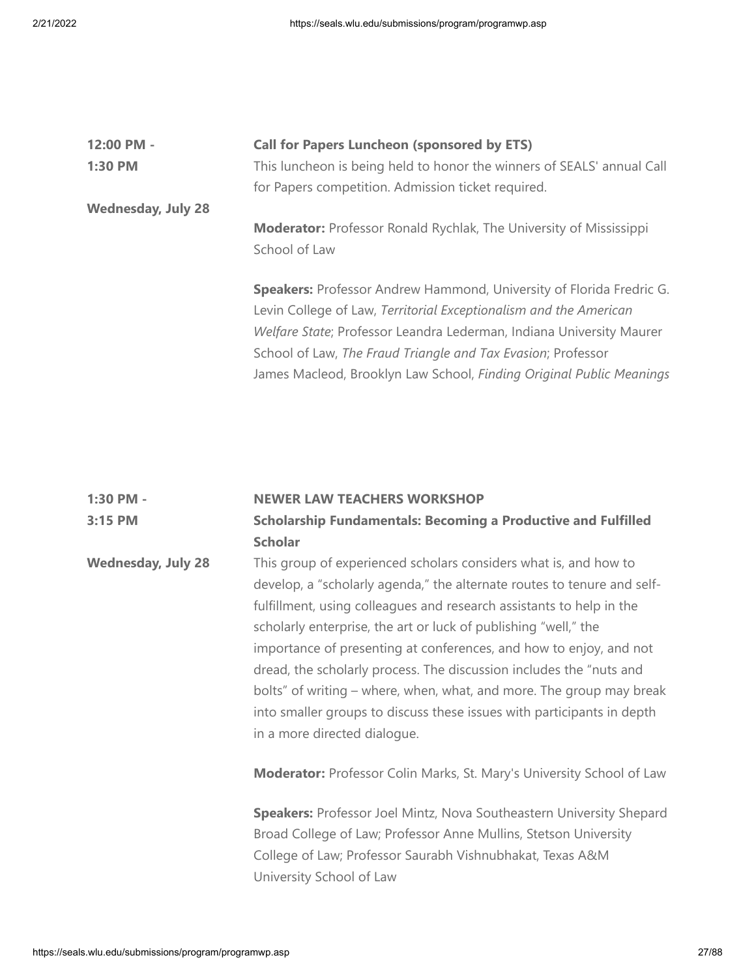| 12:00 PM -                | <b>Call for Papers Luncheon (sponsored by ETS)</b>                          |
|---------------------------|-----------------------------------------------------------------------------|
| 1:30 PM                   | This luncheon is being held to honor the winners of SEALS' annual Call      |
|                           | for Papers competition. Admission ticket required.                          |
| <b>Wednesday, July 28</b> |                                                                             |
|                           | <b>Moderator:</b> Professor Ronald Rychlak, The University of Mississippi   |
|                           | School of Law                                                               |
|                           |                                                                             |
|                           | <b>Speakers:</b> Professor Andrew Hammond, University of Florida Fredric G. |
|                           | Levin College of Law, Territorial Exceptionalism and the American           |
|                           | Welfare State; Professor Leandra Lederman, Indiana University Maurer        |
|                           | School of Law, The Fraud Triangle and Tax Evasion; Professor                |
|                           | James Macleod, Brooklyn Law School, Finding Original Public Meanings        |
|                           |                                                                             |

# **1:30 PM - 3:15 PM Wednesday, July 28 NEWER LAW TEACHERS WORKSHOP Scholarship Fundamentals: Becoming a Productive and Fulfilled Scholar** This group of experienced scholars considers what is, and how to develop, a "scholarly agenda," the alternate routes to tenure and selffulfillment, using colleagues and research assistants to help in the scholarly enterprise, the art or luck of publishing "well," the importance of presenting at conferences, and how to enjoy, and not dread, the scholarly process. The discussion includes the "nuts and bolts" of writing – where, when, what, and more. The group may break into smaller groups to discuss these issues with participants in depth in a more directed dialogue. **Moderator:** Professor Colin Marks, St. Mary's University School of Law **Speakers:** Professor Joel Mintz, Nova Southeastern University Shepard Broad College of Law; Professor Anne Mullins, Stetson University

College of Law; Professor Saurabh Vishnubhakat, Texas A&M University School of Law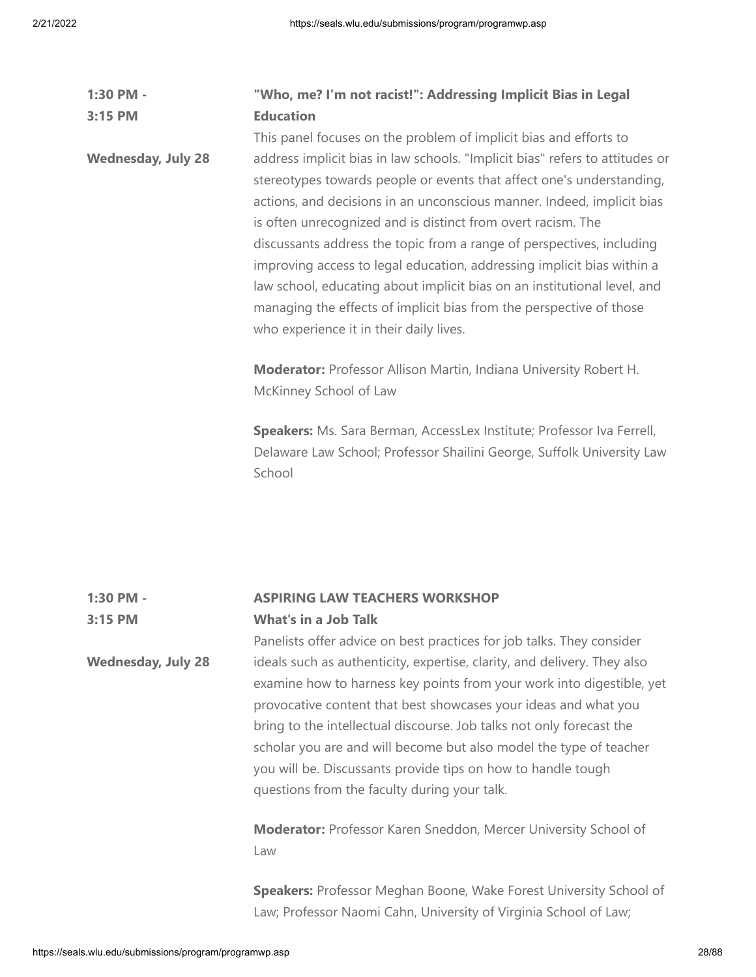| 1:30 PM -                 | "Who, me? I'm not racist!": Addressing Implicit Bias in Legal                                                                                                                                                                                                                                                                                                                                                                                                                                                                                                                                                                                    |  |
|---------------------------|--------------------------------------------------------------------------------------------------------------------------------------------------------------------------------------------------------------------------------------------------------------------------------------------------------------------------------------------------------------------------------------------------------------------------------------------------------------------------------------------------------------------------------------------------------------------------------------------------------------------------------------------------|--|
| 3:15 PM                   | <b>Education</b>                                                                                                                                                                                                                                                                                                                                                                                                                                                                                                                                                                                                                                 |  |
|                           | This panel focuses on the problem of implicit bias and efforts to                                                                                                                                                                                                                                                                                                                                                                                                                                                                                                                                                                                |  |
| <b>Wednesday, July 28</b> | address implicit bias in law schools. "Implicit bias" refers to attitudes or<br>stereotypes towards people or events that affect one's understanding,<br>actions, and decisions in an unconscious manner. Indeed, implicit bias<br>is often unrecognized and is distinct from overt racism. The<br>discussants address the topic from a range of perspectives, including<br>improving access to legal education, addressing implicit bias within a<br>law school, educating about implicit bias on an institutional level, and<br>managing the effects of implicit bias from the perspective of those<br>who experience it in their daily lives. |  |
|                           | <b>Moderator:</b> Professor Allison Martin, Indiana University Robert H.<br>McKinney School of Law<br>Speakers: Ms. Sara Berman, AccessLex Institute; Professor Iva Ferrell,<br>Delaware Law School; Professor Shailini George, Suffolk University Law<br>School                                                                                                                                                                                                                                                                                                                                                                                 |  |

### **1:30 PM - 3:15 PM ASPIRING LAW TEACHERS WORKSHOP What's in a Job Talk**

**Wednesday, July 28** Panelists offer advice on best practices for job talks. They consider ideals such as authenticity, expertise, clarity, and delivery. They also examine how to harness key points from your work into digestible, yet provocative content that best showcases your ideas and what you bring to the intellectual discourse. Job talks not only forecast the scholar you are and will become but also model the type of teacher you will be. Discussants provide tips on how to handle tough questions from the faculty during your talk.

> **Moderator:** Professor Karen Sneddon, Mercer University School of Law

**Speakers:** Professor Meghan Boone, Wake Forest University School of Law; Professor Naomi Cahn, University of Virginia School of Law;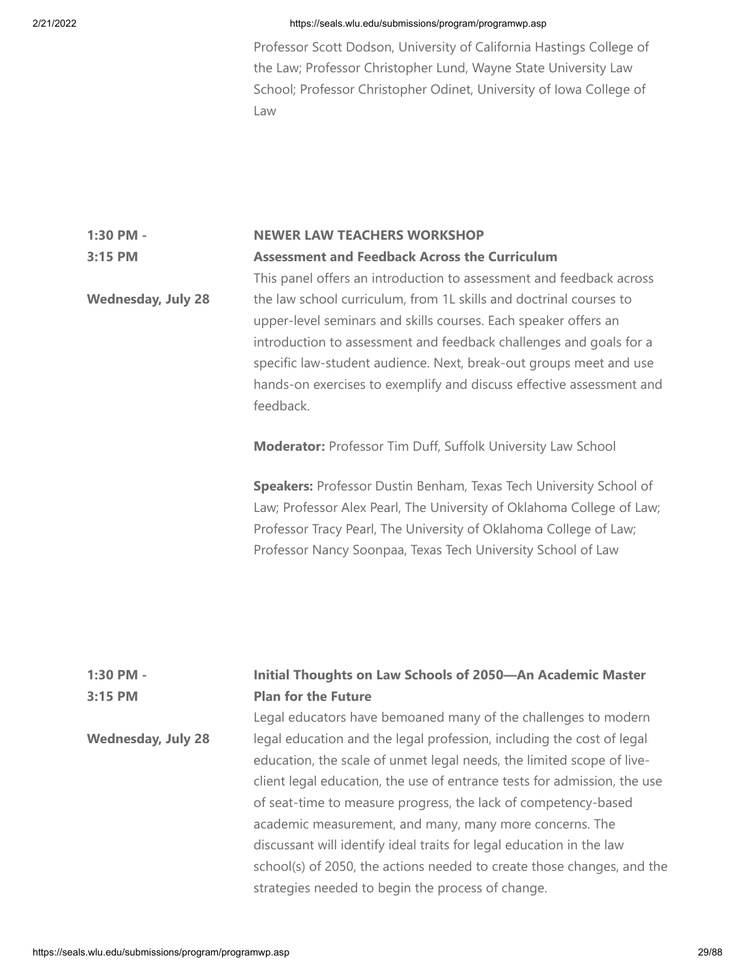Professor Scott Dodson, University of California Hastings College of the Law; Professor Christopher Lund, Wayne State University Law School; Professor Christopher Odinet, University of Iowa College of Law

### **1:30 PM - 3:15 PM NEWER LAW TEACHERS WORKSHOP Assessment and Feedback Across the Curriculum**

**Wednesday, July 28** This panel offers an introduction to assessment and feedback across the law school curriculum, from 1L skills and doctrinal courses to upper-level seminars and skills courses. Each speaker offers an introduction to assessment and feedback challenges and goals for a specific law-student audience. Next, break-out groups meet and use hands-on exercises to exemplify and discuss effective assessment and feedback.

**Moderator:** Professor Tim Duff, Suffolk University Law School

**Speakers:** Professor Dustin Benham, Texas Tech University School of Law; Professor Alex Pearl, The University of Oklahoma College of Law; Professor Tracy Pearl, The University of Oklahoma College of Law; Professor Nancy Soonpaa, Texas Tech University School of Law

| 1:30 PM -<br>3:15 PM      | <b>Initial Thoughts on Law Schools of 2050-An Academic Master</b><br><b>Plan for the Future</b> |  |
|---------------------------|-------------------------------------------------------------------------------------------------|--|
|                           | Legal educators have bemoaned many of the challenges to modern                                  |  |
| <b>Wednesday, July 28</b> | legal education and the legal profession, including the cost of legal                           |  |
|                           | education, the scale of unmet legal needs, the limited scope of live-                           |  |
|                           | client legal education, the use of entrance tests for admission, the use                        |  |
|                           | of seat-time to measure progress, the lack of competency-based                                  |  |
|                           | academic measurement, and many, many more concerns. The                                         |  |
|                           | discussant will identify ideal traits for legal education in the law                            |  |
|                           | school(s) of 2050, the actions needed to create those changes, and the                          |  |
|                           | strategies needed to begin the process of change.                                               |  |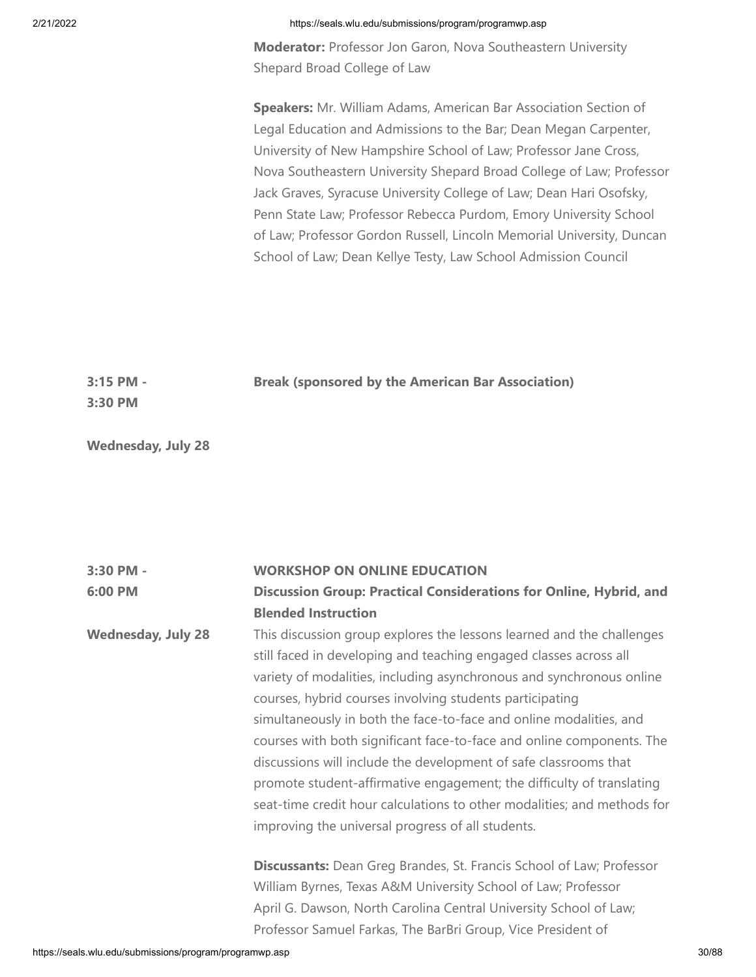**Moderator:** Professor Jon Garon, Nova Southeastern University Shepard Broad College of Law

**Speakers:** Mr. William Adams, American Bar Association Section of Legal Education and Admissions to the Bar; Dean Megan Carpenter, University of New Hampshire School of Law; Professor Jane Cross, Nova Southeastern University Shepard Broad College of Law; Professor Jack Graves, Syracuse University College of Law; Dean Hari Osofsky, Penn State Law; Professor Rebecca Purdom, Emory University School of Law; Professor Gordon Russell, Lincoln Memorial University, Duncan School of Law; Dean Kellye Testy, Law School Admission Council

| $3:15$ PM - | <b>Break (sponsored by the American Bar Association)</b> |
|-------------|----------------------------------------------------------|
| $3:30$ PM   |                                                          |

**Wednesday, July 28**

| 3:30 PM -                 | <b>WORKSHOP ON ONLINE EDUCATION</b>                                         |  |
|---------------------------|-----------------------------------------------------------------------------|--|
| 6:00 PM                   | Discussion Group: Practical Considerations for Online, Hybrid, and          |  |
|                           | <b>Blended Instruction</b>                                                  |  |
| <b>Wednesday, July 28</b> | This discussion group explores the lessons learned and the challenges       |  |
|                           | still faced in developing and teaching engaged classes across all           |  |
|                           | variety of modalities, including asynchronous and synchronous online        |  |
|                           | courses, hybrid courses involving students participating                    |  |
|                           | simultaneously in both the face-to-face and online modalities, and          |  |
|                           | courses with both significant face-to-face and online components. The       |  |
|                           | discussions will include the development of safe classrooms that            |  |
|                           | promote student-affirmative engagement; the difficulty of translating       |  |
|                           | seat-time credit hour calculations to other modalities; and methods for     |  |
|                           | improving the universal progress of all students.                           |  |
|                           | <b>Discussants:</b> Dean Greg Brandes, St. Francis School of Law; Professor |  |
|                           | William Byrnes, Texas A&M University School of Law; Professor               |  |
|                           | April G. Dawson, North Carolina Central University School of Law;           |  |
|                           | Professor Samuel Farkas, The BarBri Group, Vice President of                |  |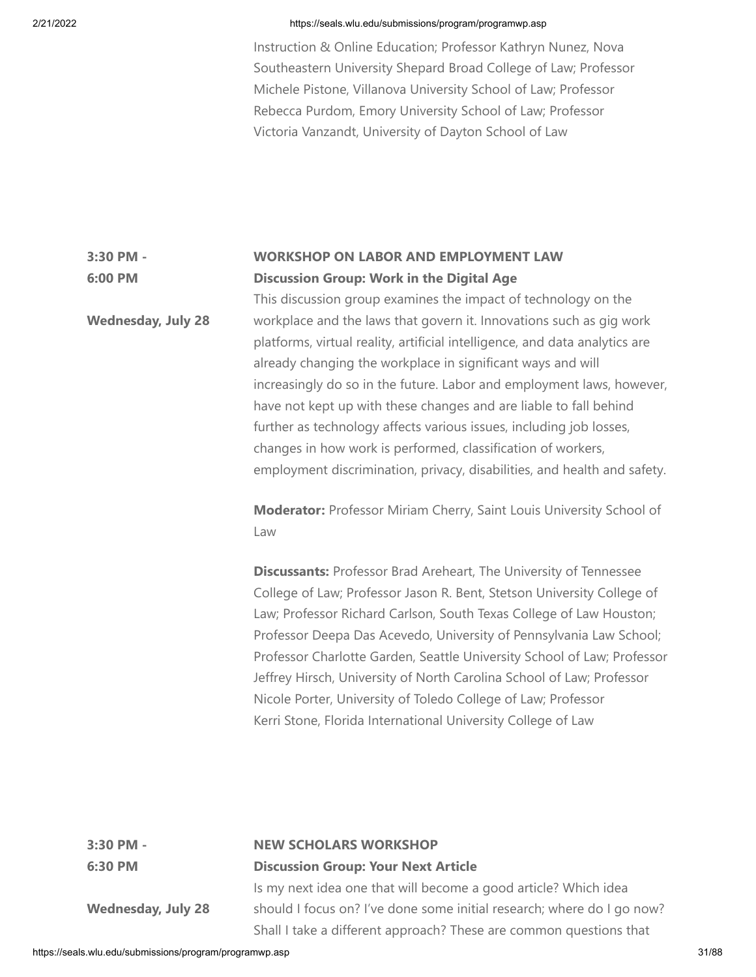Instruction & Online Education; Professor Kathryn Nunez, Nova Southeastern University Shepard Broad College of Law; Professor Michele Pistone, Villanova University School of Law; Professor Rebecca Purdom, Emory University School of Law; Professor Victoria Vanzandt, University of Dayton School of Law

### **3:30 PM - 6:00 PM WORKSHOP ON LABOR AND EMPLOYMENT LAW Discussion Group: Work in the Digital Age**

**Wednesday, July 28** This discussion group examines the impact of technology on the workplace and the laws that govern it. Innovations such as gig work platforms, virtual reality, artificial intelligence, and data analytics are already changing the workplace in significant ways and will increasingly do so in the future. Labor and employment laws, however, have not kept up with these changes and are liable to fall behind further as technology affects various issues, including job losses, changes in how work is performed, classification of workers, employment discrimination, privacy, disabilities, and health and safety.

> **Moderator:** Professor Miriam Cherry, Saint Louis University School of Law

**Discussants:** Professor Brad Areheart, The University of Tennessee College of Law; Professor Jason R. Bent, Stetson University College of Law; Professor Richard Carlson, South Texas College of Law Houston; Professor Deepa Das Acevedo, University of Pennsylvania Law School; Professor Charlotte Garden, Seattle University School of Law; Professor Jeffrey Hirsch, University of North Carolina School of Law; Professor Nicole Porter, University of Toledo College of Law; Professor Kerri Stone, Florida International University College of Law

| 3:30 PM -                 | <b>NEW SCHOLARS WORKSHOP</b><br><b>Discussion Group: Your Next Article</b> |  |
|---------------------------|----------------------------------------------------------------------------|--|
| 6:30 PM                   |                                                                            |  |
|                           | Is my next idea one that will become a good article? Which idea            |  |
| <b>Wednesday, July 28</b> | should I focus on? I've done some initial research; where do I go now?     |  |
|                           | Shall I take a different approach? These are common questions that         |  |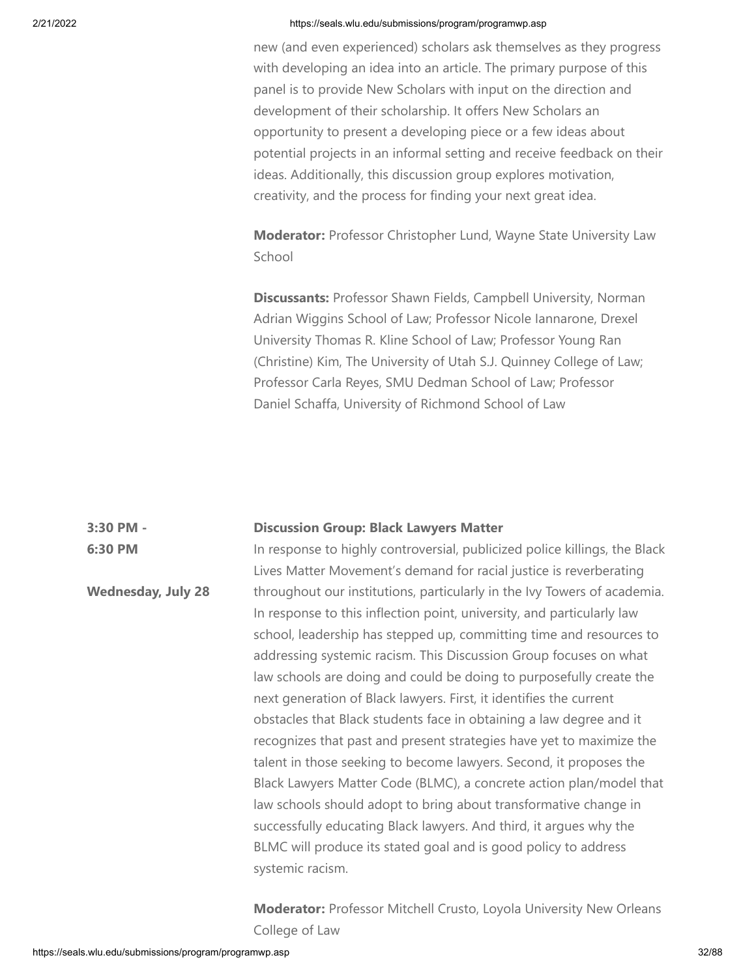new (and even experienced) scholars ask themselves as they progress with developing an idea into an article. The primary purpose of this panel is to provide New Scholars with input on the direction and development of their scholarship. It offers New Scholars an opportunity to present a developing piece or a few ideas about potential projects in an informal setting and receive feedback on their ideas. Additionally, this discussion group explores motivation, creativity, and the process for finding your next great idea.

**Moderator:** Professor Christopher Lund, Wayne State University Law School

**Discussants:** Professor Shawn Fields, Campbell University, Norman Adrian Wiggins School of Law; Professor Nicole Iannarone, Drexel University Thomas R. Kline School of Law; Professor Young Ran (Christine) Kim, The University of Utah S.J. Quinney College of Law; Professor Carla Reyes, SMU Dedman School of Law; Professor Daniel Schaffa, University of Richmond School of Law

#### **3:30 PM - Discussion Group: Black Lawyers Matter**

**6:30 PM Wednesday, July 28** In response to highly controversial, publicized police killings, the Black Lives Matter Movement's demand for racial justice is reverberating throughout our institutions, particularly in the Ivy Towers of academia. In response to this inflection point, university, and particularly law school, leadership has stepped up, committing time and resources to addressing systemic racism. This Discussion Group focuses on what law schools are doing and could be doing to purposefully create the next generation of Black lawyers. First, it identifies the current obstacles that Black students face in obtaining a law degree and it recognizes that past and present strategies have yet to maximize the talent in those seeking to become lawyers. Second, it proposes the Black Lawyers Matter Code (BLMC), a concrete action plan/model that law schools should adopt to bring about transformative change in successfully educating Black lawyers. And third, it argues why the BLMC will produce its stated goal and is good policy to address systemic racism.

> **Moderator:** Professor Mitchell Crusto, Loyola University New Orleans College of Law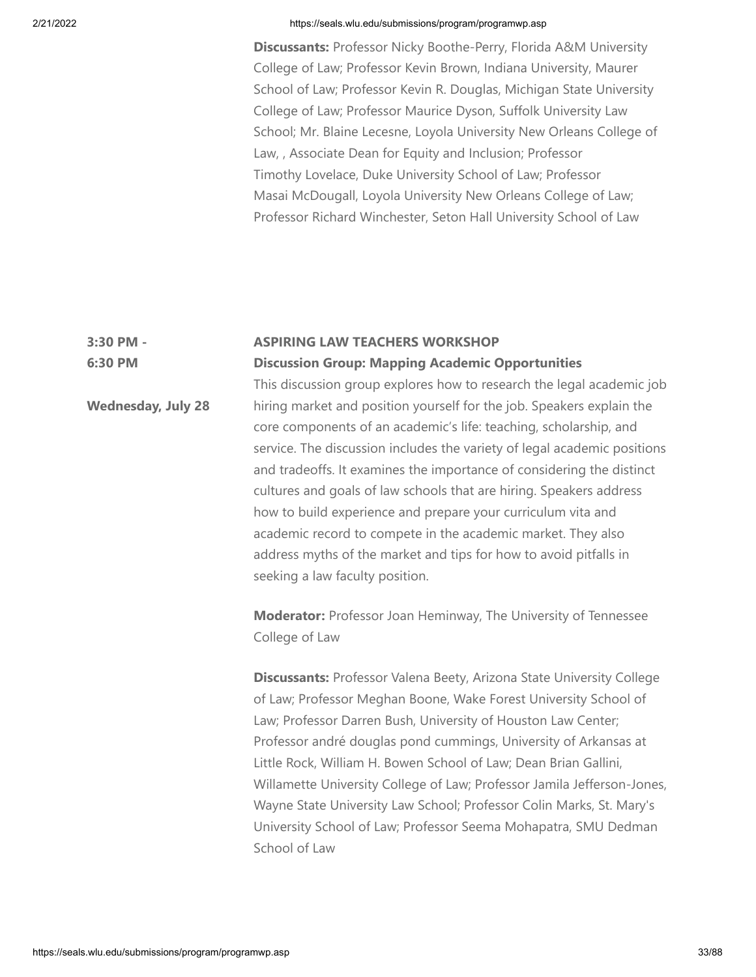**Discussants:** Professor Nicky Boothe-Perry, Florida A&M University College of Law; Professor Kevin Brown, Indiana University, Maurer School of Law; Professor Kevin R. Douglas, Michigan State University College of Law; Professor Maurice Dyson, Suffolk University Law School; Mr. Blaine Lecesne, Loyola University New Orleans College of Law, , Associate Dean for Equity and Inclusion; Professor Timothy Lovelace, Duke University School of Law; Professor Masai McDougall, Loyola University New Orleans College of Law; Professor Richard Winchester, Seton Hall University School of Law

### **3:30 PM - 6:30 PM ASPIRING LAW TEACHERS WORKSHOP Discussion Group: Mapping Academic Opportunities**

**Wednesday, July 28** This discussion group explores how to research the legal academic job hiring market and position yourself for the job. Speakers explain the core components of an academic's life: teaching, scholarship, and service. The discussion includes the variety of legal academic positions and tradeoffs. It examines the importance of considering the distinct cultures and goals of law schools that are hiring. Speakers address how to build experience and prepare your curriculum vita and academic record to compete in the academic market. They also address myths of the market and tips for how to avoid pitfalls in seeking a law faculty position.

> **Moderator:** Professor Joan Heminway, The University of Tennessee College of Law

**Discussants:** Professor Valena Beety, Arizona State University College of Law; Professor Meghan Boone, Wake Forest University School of Law; Professor Darren Bush, University of Houston Law Center; Professor andré douglas pond cummings, University of Arkansas at Little Rock, William H. Bowen School of Law; Dean Brian Gallini, Willamette University College of Law; Professor Jamila Jefferson-Jones, Wayne State University Law School; Professor Colin Marks, St. Mary's University School of Law; Professor Seema Mohapatra, SMU Dedman School of Law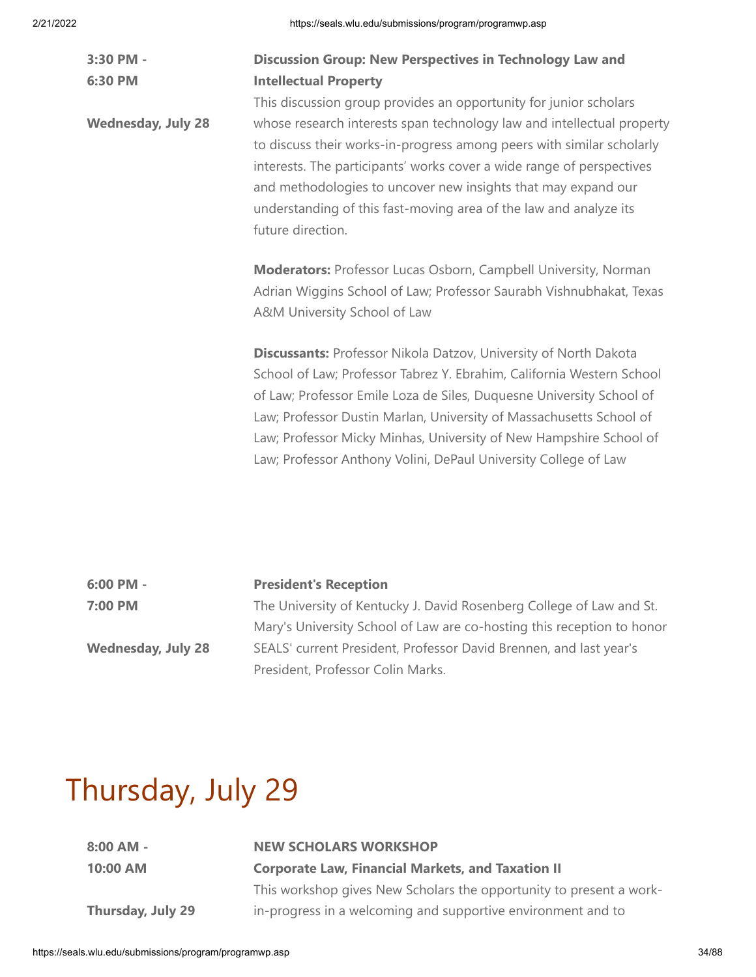| 3:30 PM -                 | <b>Discussion Group: New Perspectives in Technology Law and</b>                                                                                                                                                                                                                                                                                                                                                                          |  |  |
|---------------------------|------------------------------------------------------------------------------------------------------------------------------------------------------------------------------------------------------------------------------------------------------------------------------------------------------------------------------------------------------------------------------------------------------------------------------------------|--|--|
| 6:30 PM                   | <b>Intellectual Property</b>                                                                                                                                                                                                                                                                                                                                                                                                             |  |  |
|                           | This discussion group provides an opportunity for junior scholars                                                                                                                                                                                                                                                                                                                                                                        |  |  |
| <b>Wednesday, July 28</b> | whose research interests span technology law and intellectual property<br>to discuss their works-in-progress among peers with similar scholarly<br>interests. The participants' works cover a wide range of perspectives<br>and methodologies to uncover new insights that may expand our<br>understanding of this fast-moving area of the law and analyze its<br>future direction.                                                      |  |  |
|                           | <b>Moderators: Professor Lucas Osborn, Campbell University, Norman</b>                                                                                                                                                                                                                                                                                                                                                                   |  |  |
|                           | Adrian Wiggins School of Law; Professor Saurabh Vishnubhakat, Texas                                                                                                                                                                                                                                                                                                                                                                      |  |  |
|                           | A&M University School of Law                                                                                                                                                                                                                                                                                                                                                                                                             |  |  |
|                           | <b>Discussants: Professor Nikola Datzov, University of North Dakota</b><br>School of Law; Professor Tabrez Y. Ebrahim, California Western School<br>of Law; Professor Emile Loza de Siles, Duquesne University School of<br>Law; Professor Dustin Marlan, University of Massachusetts School of<br>Law; Professor Micky Minhas, University of New Hampshire School of<br>Law; Professor Anthony Volini, DePaul University College of Law |  |  |

| 6:00 PM -                 | <b>President's Reception</b>                                           |
|---------------------------|------------------------------------------------------------------------|
| 7:00 PM                   | The University of Kentucky J. David Rosenberg College of Law and St.   |
|                           | Mary's University School of Law are co-hosting this reception to honor |
| <b>Wednesday, July 28</b> | SEALS' current President, Professor David Brennen, and last year's     |
|                           | President, Professor Colin Marks.                                      |

# Thursday, July 29

| $8:00$ AM - |  |
|-------------|--|
| $10:00$ AM  |  |

# **NEW SCHOLARS WORKSHOP**

**Corporate Law, Financial Markets, and Taxation II**

**Thursday, July 29**

This workshop gives New Scholars the opportunity to present a workin-progress in a welcoming and supportive environment and to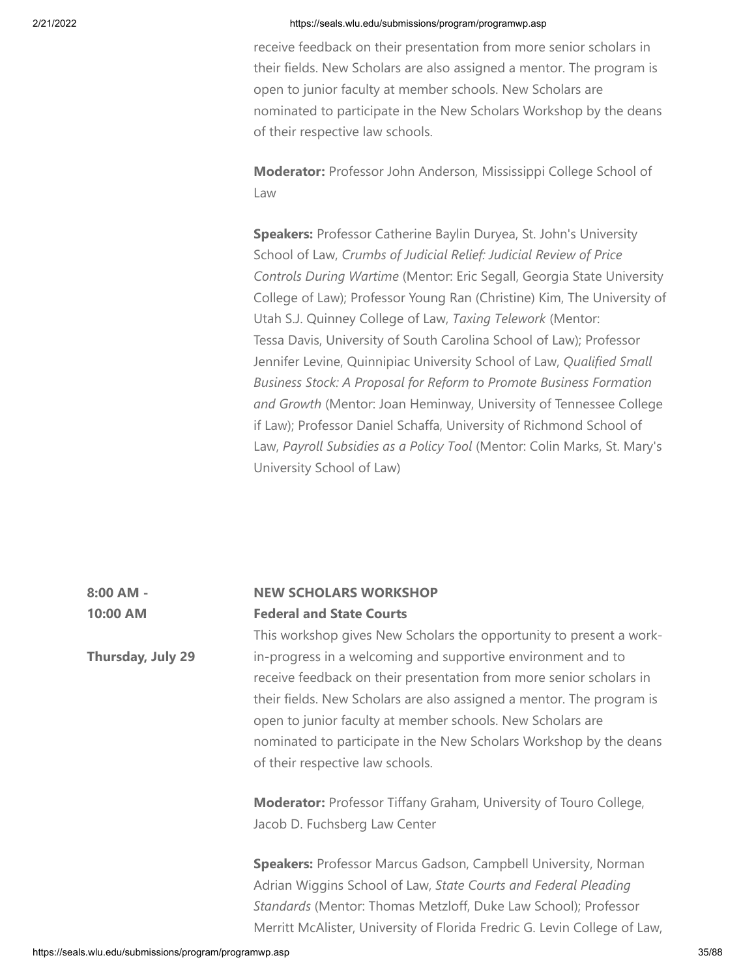receive feedback on their presentation from more senior scholars in their fields. New Scholars are also assigned a mentor. The program is open to junior faculty at member schools. New Scholars are nominated to participate in the New Scholars Workshop by the deans of their respective law schools.

**Moderator:** Professor John Anderson, Mississippi College School of Law

**Speakers:** Professor Catherine Baylin Duryea, St. John's University School of Law, *Crumbs of Judicial Relief: Judicial Review of Price Controls During Wartime* (Mentor: Eric Segall, Georgia State University College of Law); Professor Young Ran (Christine) Kim, The University of Utah S.J. Quinney College of Law, *Taxing Telework* (Mentor: Tessa Davis, University of South Carolina School of Law); Professor Jennifer Levine, Quinnipiac University School of Law, *Qualified Small Business Stock: A Proposal for Reform to Promote Business Formation and Growth* (Mentor: Joan Heminway, University of Tennessee College if Law); Professor Daniel Schaffa, University of Richmond School of Law, *Payroll Subsidies as a Policy Tool* (Mentor: Colin Marks, St. Mary's University School of Law)

### **8:00 AM - 10:00 AM NEW SCHOLARS WORKSHOP Federal and State Courts**

**Thursday, July 29** This workshop gives New Scholars the opportunity to present a workin-progress in a welcoming and supportive environment and to receive feedback on their presentation from more senior scholars in their fields. New Scholars are also assigned a mentor. The program is open to junior faculty at member schools. New Scholars are nominated to participate in the New Scholars Workshop by the deans of their respective law schools.

> **Moderator:** Professor Tiffany Graham, University of Touro College, Jacob D. Fuchsberg Law Center

**Speakers:** Professor Marcus Gadson, Campbell University, Norman Adrian Wiggins School of Law, *State Courts and Federal Pleading Standards* (Mentor: Thomas Metzloff, Duke Law School); Professor Merritt McAlister, University of Florida Fredric G. Levin College of Law,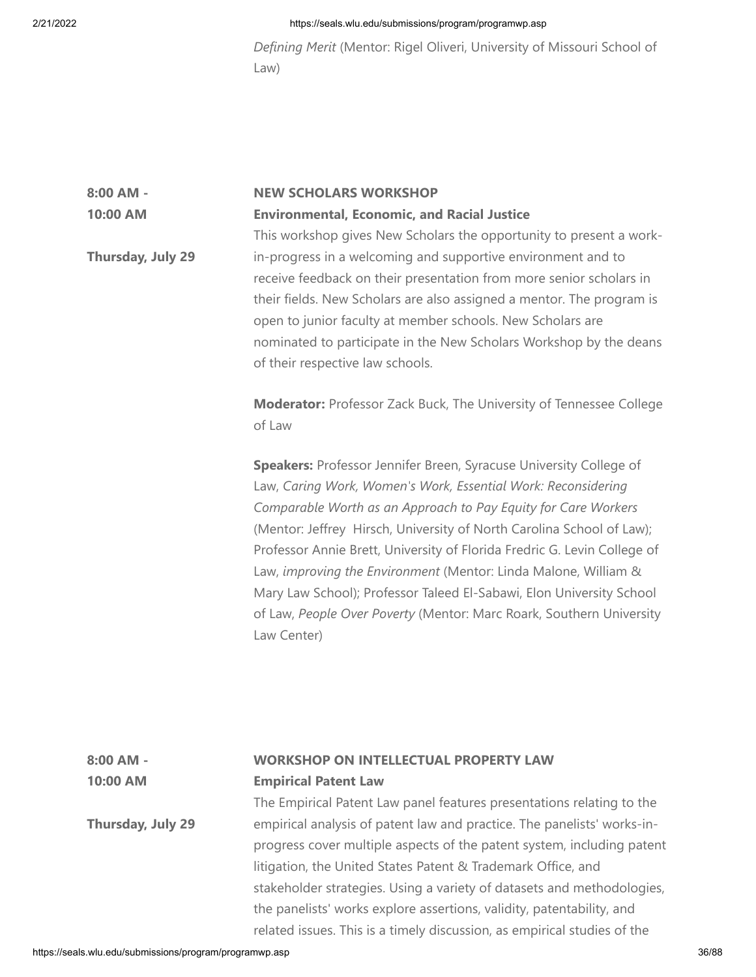*Defining Merit* (Mentor: Rigel Oliveri, University of Missouri School of Law)

# **8:00 AM - 10:00 AM Thursday, July 29 NEW SCHOLARS WORKSHOP Environmental, Economic, and Racial Justice** This workshop gives New Scholars the opportunity to present a workin-progress in a welcoming and supportive environment and to

receive feedback on their presentation from more senior scholars in their fields. New Scholars are also assigned a mentor. The program is open to junior faculty at member schools. New Scholars are nominated to participate in the New Scholars Workshop by the deans of their respective law schools.

**Moderator:** Professor Zack Buck, The University of Tennessee College of Law

**Speakers:** Professor Jennifer Breen, Syracuse University College of Law, *Caring Work, Women's Work, Essential Work: Reconsidering Comparable Worth as an Approach to Pay Equity for Care Workers* (Mentor: Jeffrey Hirsch, University of North Carolina School of Law); Professor Annie Brett, University of Florida Fredric G. Levin College of Law, *improving the Environment* (Mentor: Linda Malone, William & Mary Law School); Professor Taleed El-Sabawi, Elon University School of Law, *People Over Poverty* (Mentor: Marc Roark, Southern University Law Center)

### **8:00 AM - 10:00 AM WORKSHOP ON INTELLECTUAL PROPERTY LAW Empirical Patent Law**

**Thursday, July 29** The Empirical Patent Law panel features presentations relating to the empirical analysis of patent law and practice. The panelists' works-inprogress cover multiple aspects of the patent system, including patent litigation, the United States Patent & Trademark Office, and stakeholder strategies. Using a variety of datasets and methodologies, the panelists' works explore assertions, validity, patentability, and related issues. This is a timely discussion, as empirical studies of the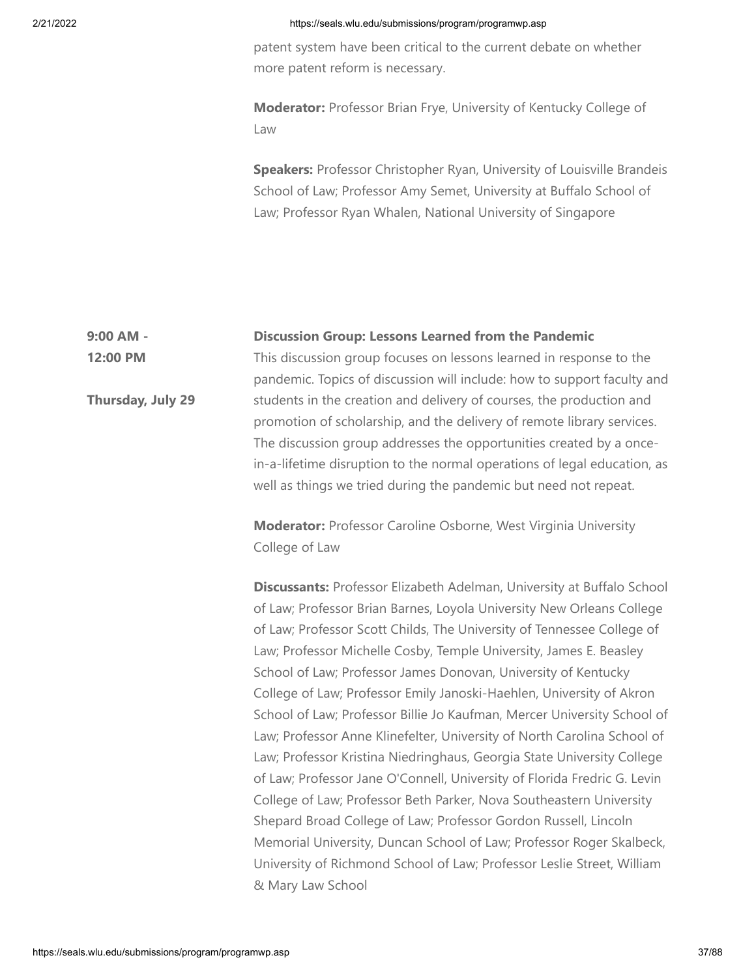patent system have been critical to the current debate on whether more patent reform is necessary.

**Moderator:** Professor Brian Frye, University of Kentucky College of Law

**Speakers:** Professor Christopher Ryan, University of Louisville Brandeis School of Law; Professor Amy Semet, University at Buffalo School of Law; Professor Ryan Whalen, National University of Singapore

#### **9:00 AM - Discussion Group: Lessons Learned from the Pandemic**

**12:00 PM**

**Thursday, July 29**

This discussion group focuses on lessons learned in response to the pandemic. Topics of discussion will include: how to support faculty and students in the creation and delivery of courses, the production and promotion of scholarship, and the delivery of remote library services. The discussion group addresses the opportunities created by a oncein-a-lifetime disruption to the normal operations of legal education, as well as things we tried during the pandemic but need not repeat.

**Moderator:** Professor Caroline Osborne, West Virginia University College of Law

**Discussants:** Professor Elizabeth Adelman, University at Buffalo School of Law; Professor Brian Barnes, Loyola University New Orleans College of Law; Professor Scott Childs, The University of Tennessee College of Law; Professor Michelle Cosby, Temple University, James E. Beasley School of Law; Professor James Donovan, University of Kentucky College of Law; Professor Emily Janoski-Haehlen, University of Akron School of Law; Professor Billie Jo Kaufman, Mercer University School of Law; Professor Anne Klinefelter, University of North Carolina School of Law; Professor Kristina Niedringhaus, Georgia State University College of Law; Professor Jane O'Connell, University of Florida Fredric G. Levin College of Law; Professor Beth Parker, Nova Southeastern University Shepard Broad College of Law; Professor Gordon Russell, Lincoln Memorial University, Duncan School of Law; Professor Roger Skalbeck, University of Richmond School of Law; Professor Leslie Street, William & Mary Law School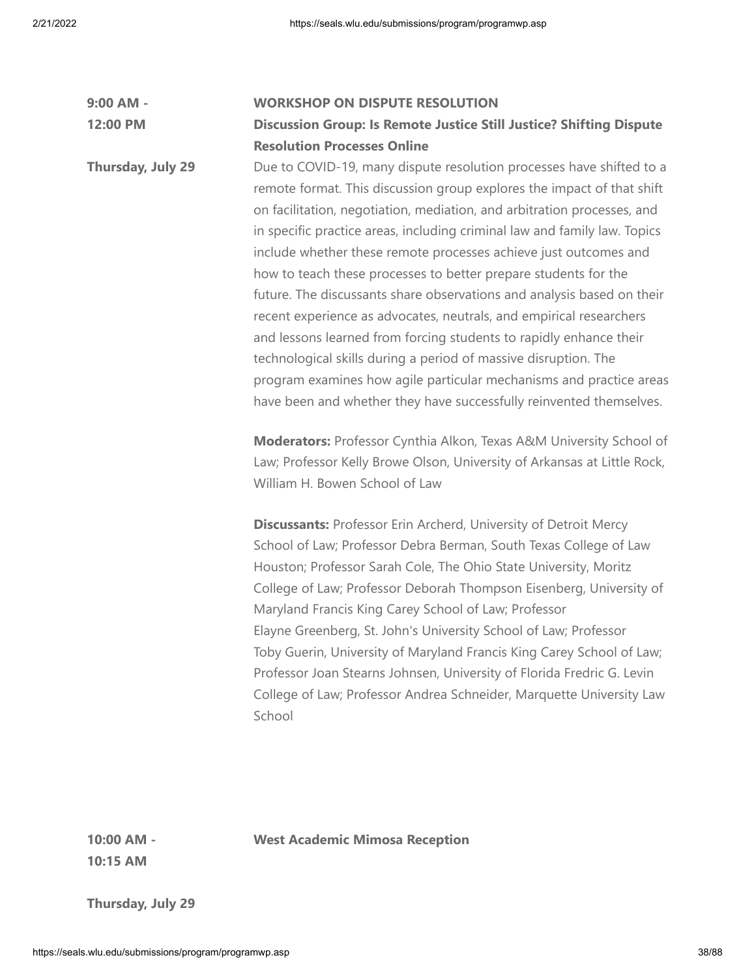| 9:00 AM -         | <b>WORKSHOP ON DISPUTE RESOLUTION</b>                                                                                                                                                                                                                                                                                                                                                                                                                                                                                                                                                                                                                                                                                                                                                                                                                                                                                                                                                                                                                                                                                                                                                                                                                                                                                                                                                                                                                                                                                                                                                                                                                                                                                                  |
|-------------------|----------------------------------------------------------------------------------------------------------------------------------------------------------------------------------------------------------------------------------------------------------------------------------------------------------------------------------------------------------------------------------------------------------------------------------------------------------------------------------------------------------------------------------------------------------------------------------------------------------------------------------------------------------------------------------------------------------------------------------------------------------------------------------------------------------------------------------------------------------------------------------------------------------------------------------------------------------------------------------------------------------------------------------------------------------------------------------------------------------------------------------------------------------------------------------------------------------------------------------------------------------------------------------------------------------------------------------------------------------------------------------------------------------------------------------------------------------------------------------------------------------------------------------------------------------------------------------------------------------------------------------------------------------------------------------------------------------------------------------------|
| 12:00 PM          | <b>Discussion Group: Is Remote Justice Still Justice? Shifting Dispute</b>                                                                                                                                                                                                                                                                                                                                                                                                                                                                                                                                                                                                                                                                                                                                                                                                                                                                                                                                                                                                                                                                                                                                                                                                                                                                                                                                                                                                                                                                                                                                                                                                                                                             |
|                   | <b>Resolution Processes Online</b>                                                                                                                                                                                                                                                                                                                                                                                                                                                                                                                                                                                                                                                                                                                                                                                                                                                                                                                                                                                                                                                                                                                                                                                                                                                                                                                                                                                                                                                                                                                                                                                                                                                                                                     |
| Thursday, July 29 | Due to COVID-19, many dispute resolution processes have shifted to a<br>remote format. This discussion group explores the impact of that shift<br>on facilitation, negotiation, mediation, and arbitration processes, and<br>in specific practice areas, including criminal law and family law. Topics<br>include whether these remote processes achieve just outcomes and<br>how to teach these processes to better prepare students for the<br>future. The discussants share observations and analysis based on their<br>recent experience as advocates, neutrals, and empirical researchers<br>and lessons learned from forcing students to rapidly enhance their<br>technological skills during a period of massive disruption. The<br>program examines how agile particular mechanisms and practice areas<br>have been and whether they have successfully reinvented themselves.<br>Moderators: Professor Cynthia Alkon, Texas A&M University School of<br>Law; Professor Kelly Browe Olson, University of Arkansas at Little Rock,<br>William H. Bowen School of Law<br><b>Discussants: Professor Erin Archerd, University of Detroit Mercy</b><br>School of Law; Professor Debra Berman, South Texas College of Law<br>Houston; Professor Sarah Cole, The Ohio State University, Moritz<br>College of Law; Professor Deborah Thompson Eisenberg, University of<br>Maryland Francis King Carey School of Law; Professor<br>Elayne Greenberg, St. John's University School of Law; Professor<br>Toby Guerin, University of Maryland Francis King Carey School of Law;<br>Professor Joan Stearns Johnsen, University of Florida Fredric G. Levin<br>College of Law; Professor Andrea Schneider, Marquette University Law<br>School |
|                   |                                                                                                                                                                                                                                                                                                                                                                                                                                                                                                                                                                                                                                                                                                                                                                                                                                                                                                                                                                                                                                                                                                                                                                                                                                                                                                                                                                                                                                                                                                                                                                                                                                                                                                                                        |

**West Academic Mimosa Reception**

**10:00 AM - 10:15 AM**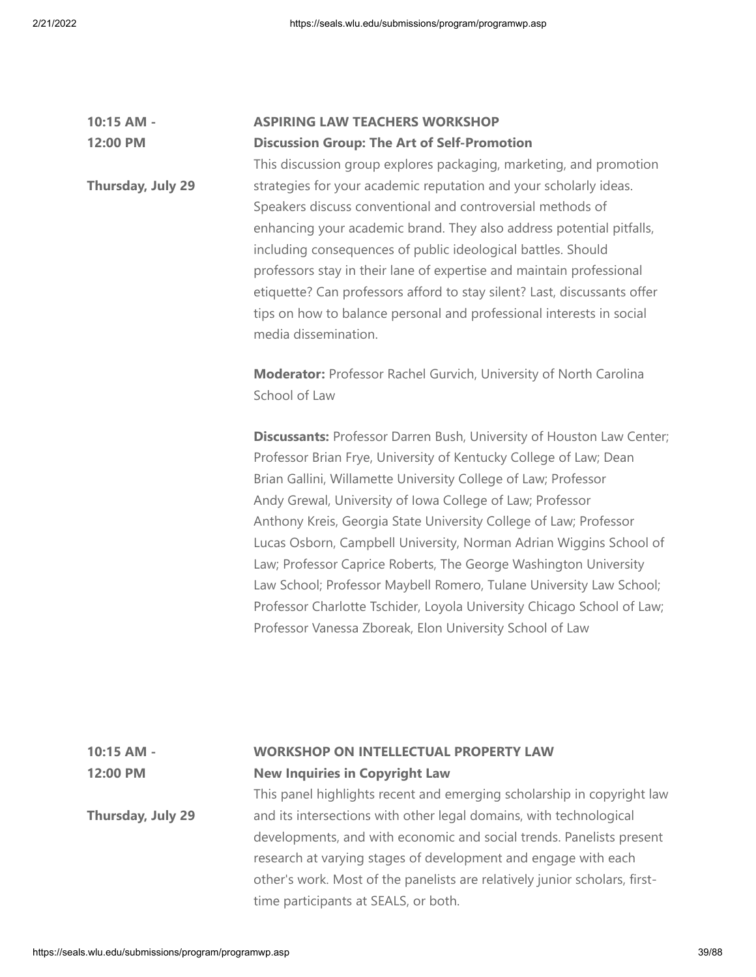**Thursday, July 29**

#### **10:15 AM - 12:00 PM ASPIRING LAW TEACHERS WORKSHOP Discussion Group: The Art of Self-Promotion**

This discussion group explores packaging, marketing, and promotion strategies for your academic reputation and your scholarly ideas. Speakers discuss conventional and controversial methods of enhancing your academic brand. They also address potential pitfalls, including consequences of public ideological battles. Should professors stay in their lane of expertise and maintain professional etiquette? Can professors afford to stay silent? Last, discussants offer tips on how to balance personal and professional interests in social media dissemination.

**Moderator:** Professor Rachel Gurvich, University of North Carolina School of Law

**Discussants:** Professor Darren Bush, University of Houston Law Center; Professor Brian Frye, University of Kentucky College of Law; Dean Brian Gallini, Willamette University College of Law; Professor Andy Grewal, University of Iowa College of Law; Professor Anthony Kreis, Georgia State University College of Law; Professor Lucas Osborn, Campbell University, Norman Adrian Wiggins School of Law; Professor Caprice Roberts, The George Washington University Law School; Professor Maybell Romero, Tulane University Law School; Professor Charlotte Tschider, Loyola University Chicago School of Law; Professor Vanessa Zboreak, Elon University School of Law

### **10:15 AM - 12:00 PM WORKSHOP ON INTELLECTUAL PROPERTY LAW New Inquiries in Copyright Law**

This panel highlights recent and emerging scholarship in copyright law and its intersections with other legal domains, with technological developments, and with economic and social trends. Panelists present research at varying stages of development and engage with each other's work. Most of the panelists are relatively junior scholars, firsttime participants at SEALS, or both.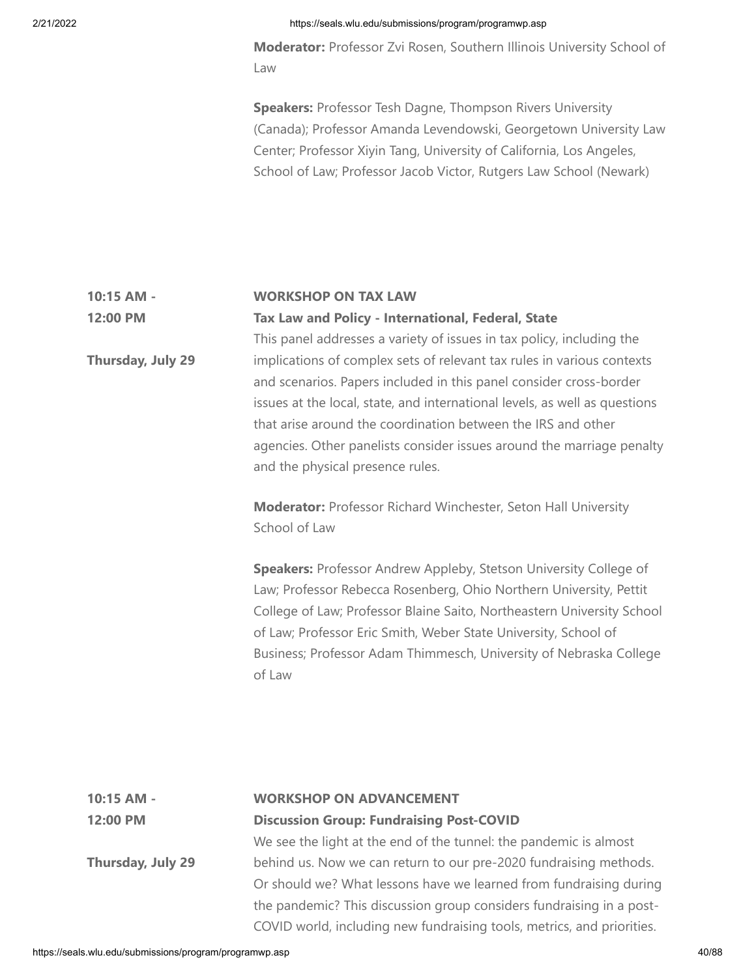**Moderator:** Professor Zvi Rosen, Southern Illinois University School of Law

**Speakers:** Professor Tesh Dagne, Thompson Rivers University (Canada); Professor Amanda Levendowski, Georgetown University Law Center; Professor Xiyin Tang, University of California, Los Angeles, School of Law; Professor Jacob Victor, Rutgers Law School (Newark)

#### **10:15 AM - 12:00 PM WORKSHOP ON TAX LAW Tax Law and Policy - International, Federal, State**

This panel addresses a variety of issues in tax policy, including the implications of complex sets of relevant tax rules in various contexts and scenarios. Papers included in this panel consider cross-border issues at the local, state, and international levels, as well as questions that arise around the coordination between the IRS and other agencies. Other panelists consider issues around the marriage penalty and the physical presence rules.

**Moderator:** Professor Richard Winchester, Seton Hall University School of Law

**Speakers:** Professor Andrew Appleby, Stetson University College of Law; Professor Rebecca Rosenberg, Ohio Northern University, Pettit College of Law; Professor Blaine Saito, Northeastern University School of Law; Professor Eric Smith, Weber State University, School of Business; Professor Adam Thimmesch, University of Nebraska College of Law

| 10:15 AM -        | <b>WORKSHOP ON ADVANCEMENT</b>                                         |
|-------------------|------------------------------------------------------------------------|
| 12:00 PM          | <b>Discussion Group: Fundraising Post-COVID</b>                        |
|                   | We see the light at the end of the tunnel: the pandemic is almost      |
| Thursday, July 29 | behind us. Now we can return to our pre-2020 fundraising methods.      |
|                   | Or should we? What lessons have we learned from fundraising during     |
|                   | the pandemic? This discussion group considers fundraising in a post-   |
|                   | COVID world, including new fundraising tools, metrics, and priorities. |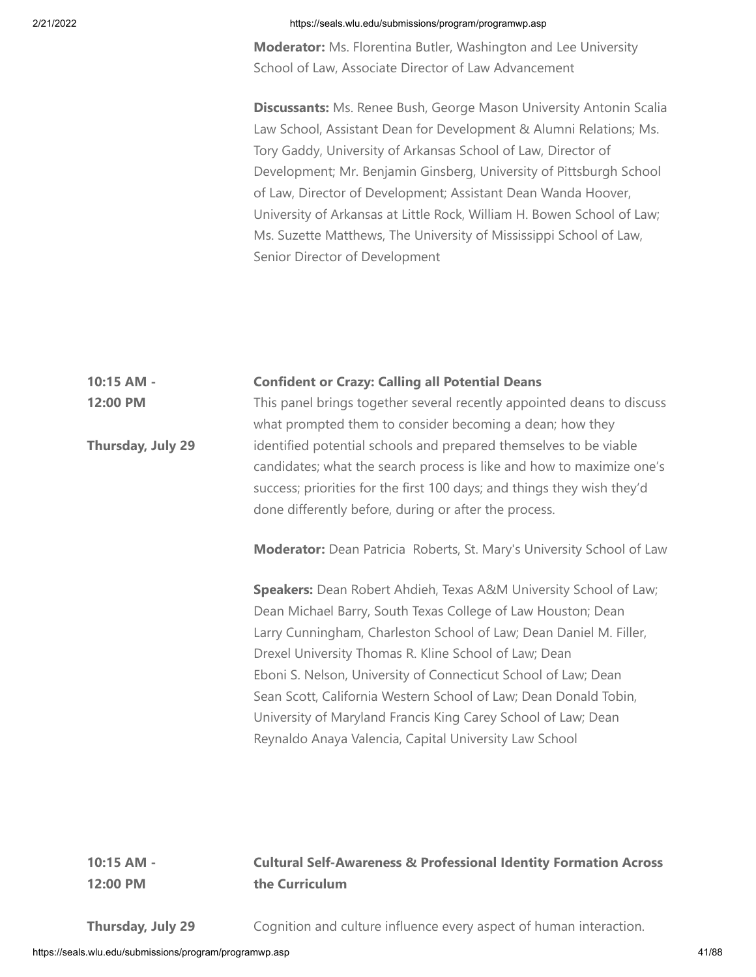**Moderator:** Ms. Florentina Butler, Washington and Lee University School of Law, Associate Director of Law Advancement

**Discussants:** Ms. Renee Bush, George Mason University Antonin Scalia Law School, Assistant Dean for Development & Alumni Relations; Ms. Tory Gaddy, University of Arkansas School of Law, Director of Development; Mr. Benjamin Ginsberg, University of Pittsburgh School of Law, Director of Development; Assistant Dean Wanda Hoover, University of Arkansas at Little Rock, William H. Bowen School of Law; Ms. Suzette Matthews, The University of Mississippi School of Law, Senior Director of Development

**10:15 AM - 12:00 PM Thursday, July 29 Confident or Crazy: Calling all Potential Deans** This panel brings together several recently appointed deans to discuss what prompted them to consider becoming a dean; how they identified potential schools and prepared themselves to be viable candidates; what the search process is like and how to maximize one's success; priorities for the first 100 days; and things they wish they'd done differently before, during or after the process. **Moderator:** Dean Patricia Roberts, St. Mary's University School of Law **Speakers:** Dean Robert Ahdieh, Texas A&M University School of Law; Dean Michael Barry, South Texas College of Law Houston; Dean Larry Cunningham, Charleston School of Law; Dean Daniel M. Filler, Drexel University Thomas R. Kline School of Law; Dean Eboni S. Nelson, University of Connecticut School of Law; Dean Sean Scott, California Western School of Law; Dean Donald Tobin, University of Maryland Francis King Carey School of Law; Dean Reynaldo Anaya Valencia, Capital University Law School

# **Cultural Self-Awareness & Professional Identity Formation Across the Curriculum**

**Thursday, July 29**

**10:15 AM - 12:00 PM**

Cognition and culture influence every aspect of human interaction.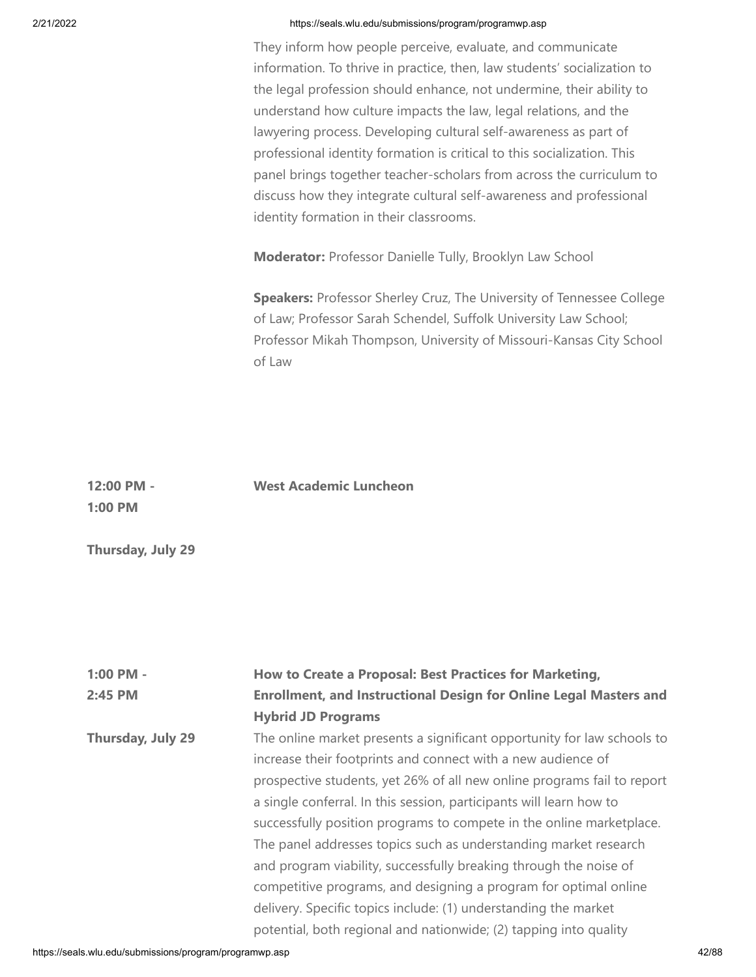They inform how people perceive, evaluate, and communicate information. To thrive in practice, then, law students' socialization to the legal profession should enhance, not undermine, their ability to understand how culture impacts the law, legal relations, and the lawyering process. Developing cultural self-awareness as part of professional identity formation is critical to this socialization. This panel brings together teacher-scholars from across the curriculum to discuss how they integrate cultural self-awareness and professional identity formation in their classrooms.

**Moderator:** Professor Danielle Tully, Brooklyn Law School

**Speakers:** Professor Sherley Cruz, The University of Tennessee College of Law; Professor Sarah Schendel, Suffolk University Law School; Professor Mikah Thompson, University of Missouri-Kansas City School of Law

| 1:00 PM           |                                                                                                                                                                                                                                                                                                                                                                   |
|-------------------|-------------------------------------------------------------------------------------------------------------------------------------------------------------------------------------------------------------------------------------------------------------------------------------------------------------------------------------------------------------------|
| Thursday, July 29 |                                                                                                                                                                                                                                                                                                                                                                   |
| $1:00$ PM -       | How to Create a Proposal: Best Practices for Marketing,                                                                                                                                                                                                                                                                                                           |
| 2:45 PM           | <b>Enrollment, and Instructional Design for Online Legal Masters and</b>                                                                                                                                                                                                                                                                                          |
|                   | <b>Hybrid JD Programs</b>                                                                                                                                                                                                                                                                                                                                         |
| Thursday, July 29 | The online market presents a significant opportunity for law schools to<br>increase their footprints and connect with a new audience of<br>prospective students, yet 26% of all new online programs fail to report<br>a single conferral. In this session, participants will learn how to<br>successfully position programs to compete in the online marketplace. |
|                   | The panel addresses topics such as understanding market research                                                                                                                                                                                                                                                                                                  |
|                   | and program viability, successfully breaking through the noise of                                                                                                                                                                                                                                                                                                 |
|                   | competitive programs, and designing a program for optimal online                                                                                                                                                                                                                                                                                                  |
|                   | delivery. Specific topics include: (1) understanding the market                                                                                                                                                                                                                                                                                                   |
|                   | potential, both regional and nationwide; (2) tapping into quality                                                                                                                                                                                                                                                                                                 |

**West Academic Luncheon**

**12:00 PM -**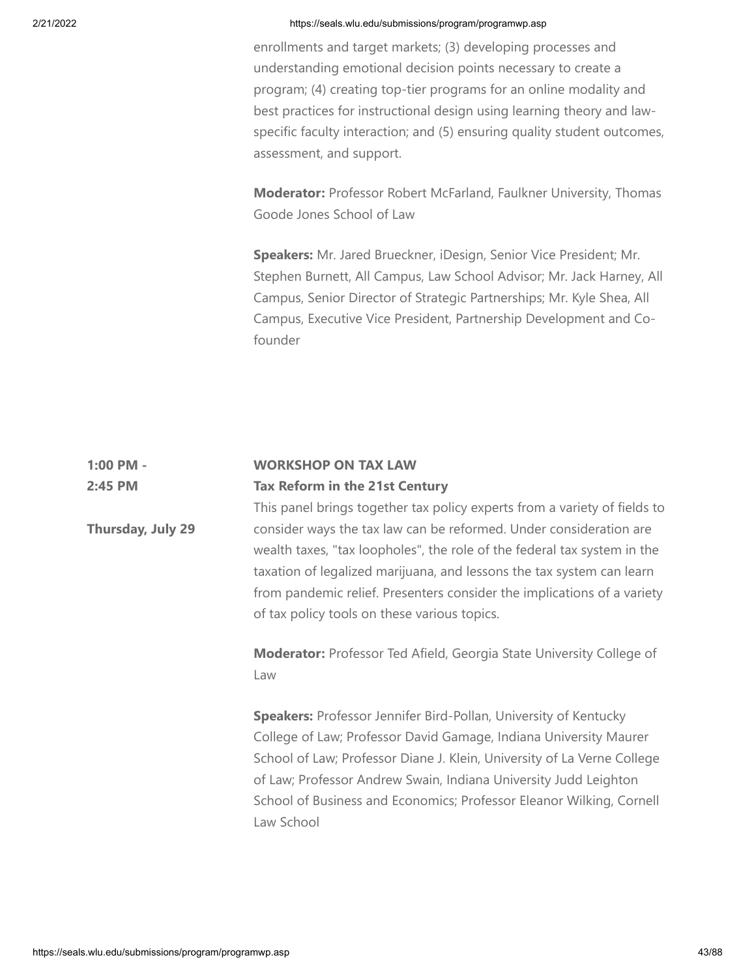enrollments and target markets; (3) developing processes and understanding emotional decision points necessary to create a program; (4) creating top-tier programs for an online modality and best practices for instructional design using learning theory and lawspecific faculty interaction; and (5) ensuring quality student outcomes, assessment, and support.

**Moderator:** Professor Robert McFarland, Faulkner University, Thomas Goode Jones School of Law

**Speakers:** Mr. Jared Brueckner, iDesign, Senior Vice President; Mr. Stephen Burnett, All Campus, Law School Advisor; Mr. Jack Harney, All Campus, Senior Director of Strategic Partnerships; Mr. Kyle Shea, All Campus, Executive Vice President, Partnership Development and Cofounder

#### **1:00 PM - 2:45 PM WORKSHOP ON TAX LAW Tax Reform in the 21st Century**

**Thursday, July 29**

This panel brings together tax policy experts from a variety of fields to consider ways the tax law can be reformed. Under consideration are wealth taxes, "tax loopholes", the role of the federal tax system in the taxation of legalized marijuana, and lessons the tax system can learn from pandemic relief. Presenters consider the implications of a variety of tax policy tools on these various topics.

**Moderator:** Professor Ted Afield, Georgia State University College of Law

**Speakers:** Professor Jennifer Bird-Pollan, University of Kentucky College of Law; Professor David Gamage, Indiana University Maurer School of Law; Professor Diane J. Klein, University of La Verne College of Law; Professor Andrew Swain, Indiana University Judd Leighton School of Business and Economics; Professor Eleanor Wilking, Cornell Law School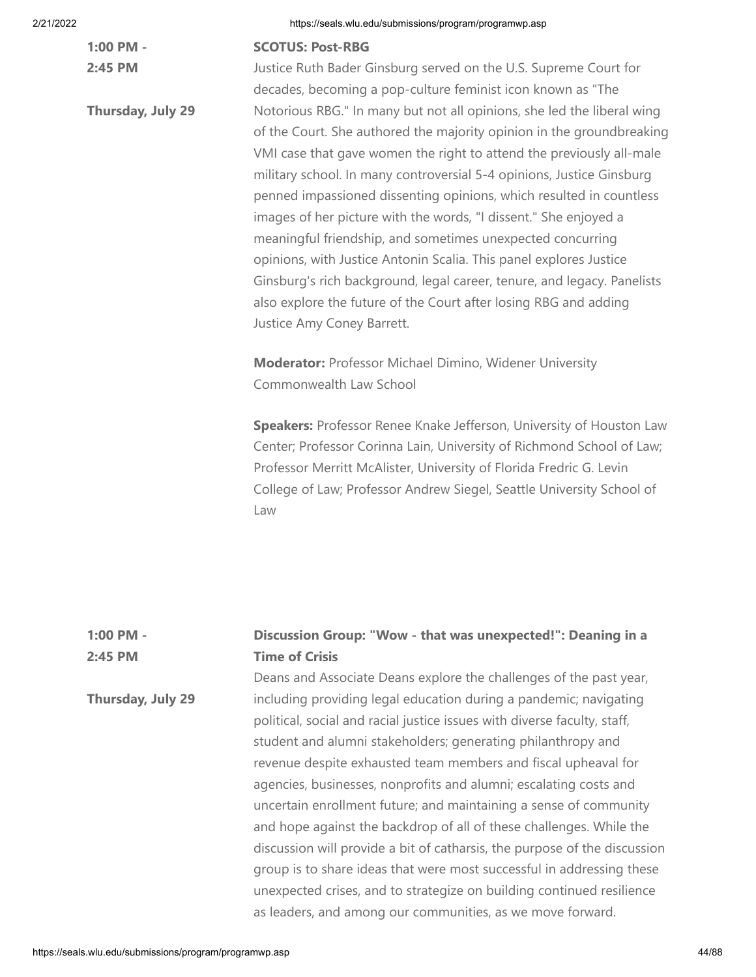**1:00 PM - 2:45 PM**

**Thursday, July 29**

## **SCOTUS: Post-RBG**

Justice Ruth Bader Ginsburg served on the U.S. Supreme Court for decades, becoming a pop-culture feminist icon known as "The Notorious RBG." In many but not all opinions, she led the liberal wing of the Court. She authored the majority opinion in the groundbreaking VMI case that gave women the right to attend the previously all-male military school. In many controversial 5-4 opinions, Justice Ginsburg penned impassioned dissenting opinions, which resulted in countless images of her picture with the words, "I dissent." She enjoyed a meaningful friendship, and sometimes unexpected concurring opinions, with Justice Antonin Scalia. This panel explores Justice Ginsburg's rich background, legal career, tenure, and legacy. Panelists also explore the future of the Court after losing RBG and adding Justice Amy Coney Barrett.

**Moderator:** Professor Michael Dimino, Widener University Commonwealth Law School

**Speakers:** Professor Renee Knake Jefferson, University of Houston Law Center; Professor Corinna Lain, University of Richmond School of Law; Professor Merritt McAlister, University of Florida Fredric G. Levin College of Law; Professor Andrew Siegel, Seattle University School of Law

| $1:00$ PM -              | Discussion Group: "Wow - that was unexpected!": Deaning in a              |
|--------------------------|---------------------------------------------------------------------------|
| 2:45 PM                  | <b>Time of Crisis</b>                                                     |
|                          | Deans and Associate Deans explore the challenges of the past year,        |
| <b>Thursday, July 29</b> | including providing legal education during a pandemic; navigating         |
|                          | political, social and racial justice issues with diverse faculty, staff,  |
|                          | student and alumni stakeholders; generating philanthropy and              |
|                          | revenue despite exhausted team members and fiscal upheaval for            |
|                          | agencies, businesses, nonprofits and alumni; escalating costs and         |
|                          | uncertain enrollment future; and maintaining a sense of community         |
|                          | and hope against the backdrop of all of these challenges. While the       |
|                          | discussion will provide a bit of catharsis, the purpose of the discussion |
|                          | group is to share ideas that were most successful in addressing these     |
|                          | unexpected crises, and to strategize on building continued resilience     |
|                          | as leaders, and among our communities, as we move forward.                |
|                          |                                                                           |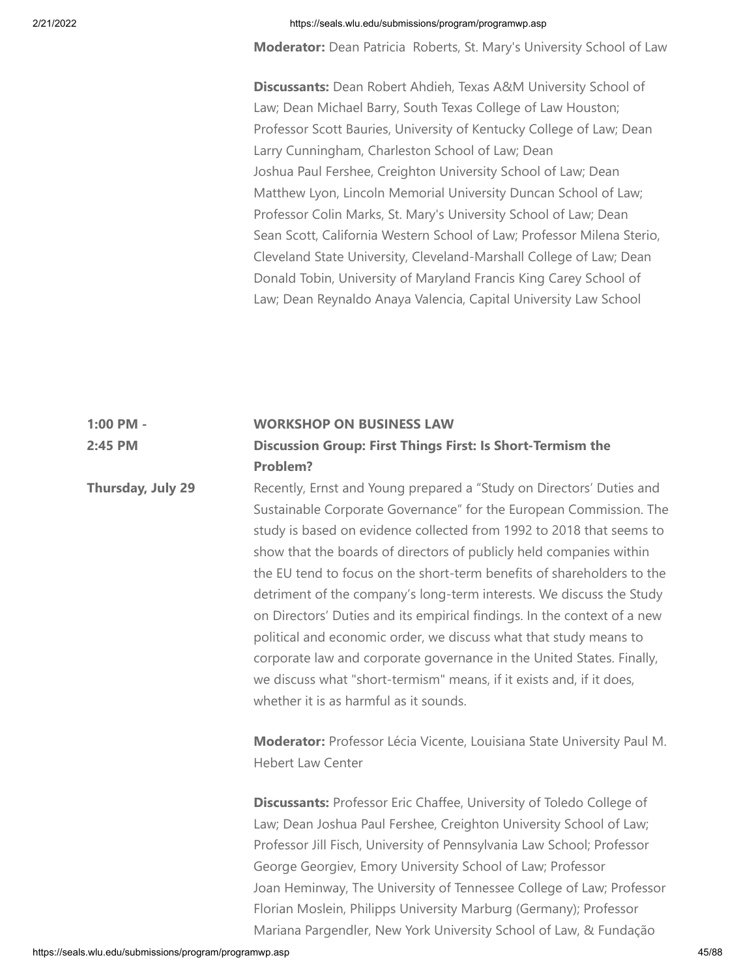**Moderator:** Dean Patricia Roberts, St. Mary's University School of Law

**Discussants:** Dean Robert Ahdieh, Texas A&M University School of Law; Dean Michael Barry, South Texas College of Law Houston; Professor Scott Bauries, University of Kentucky College of Law; Dean Larry Cunningham, Charleston School of Law; Dean Joshua Paul Fershee, Creighton University School of Law; Dean Matthew Lyon, Lincoln Memorial University Duncan School of Law; Professor Colin Marks, St. Mary's University School of Law; Dean Sean Scott, California Western School of Law; Professor Milena Sterio, Cleveland State University, Cleveland-Marshall College of Law; Dean Donald Tobin, University of Maryland Francis King Carey School of Law; Dean Reynaldo Anaya Valencia, Capital University Law School

#### **1:00 PM - WORKSHOP ON BUSINESS LAW**

**2:45 PM Discussion Group: First Things First: Is Short-Termism the Problem?**

> Recently, Ernst and Young prepared a "Study on Directors' Duties and Sustainable Corporate Governance" for the European Commission. The study is based on evidence collected from 1992 to 2018 that seems to show that the boards of directors of publicly held companies within the EU tend to focus on the short-term benefits of shareholders to the detriment of the company's long-term interests. We discuss the Study on Directors' Duties and its empirical findings. In the context of a new political and economic order, we discuss what that study means to corporate law and corporate governance in the United States. Finally, we discuss what "short-termism" means, if it exists and, if it does, whether it is as harmful as it sounds.

**Moderator:** Professor Lécia Vicente, Louisiana State University Paul M. Hebert Law Center

**Discussants:** Professor Eric Chaffee, University of Toledo College of Law; Dean Joshua Paul Fershee, Creighton University School of Law; Professor Jill Fisch, University of Pennsylvania Law School; Professor George Georgiev, Emory University School of Law; Professor Joan Heminway, The University of Tennessee College of Law; Professor Florian Moslein, Philipps University Marburg (Germany); Professor Mariana Pargendler, New York University School of Law, & Fundação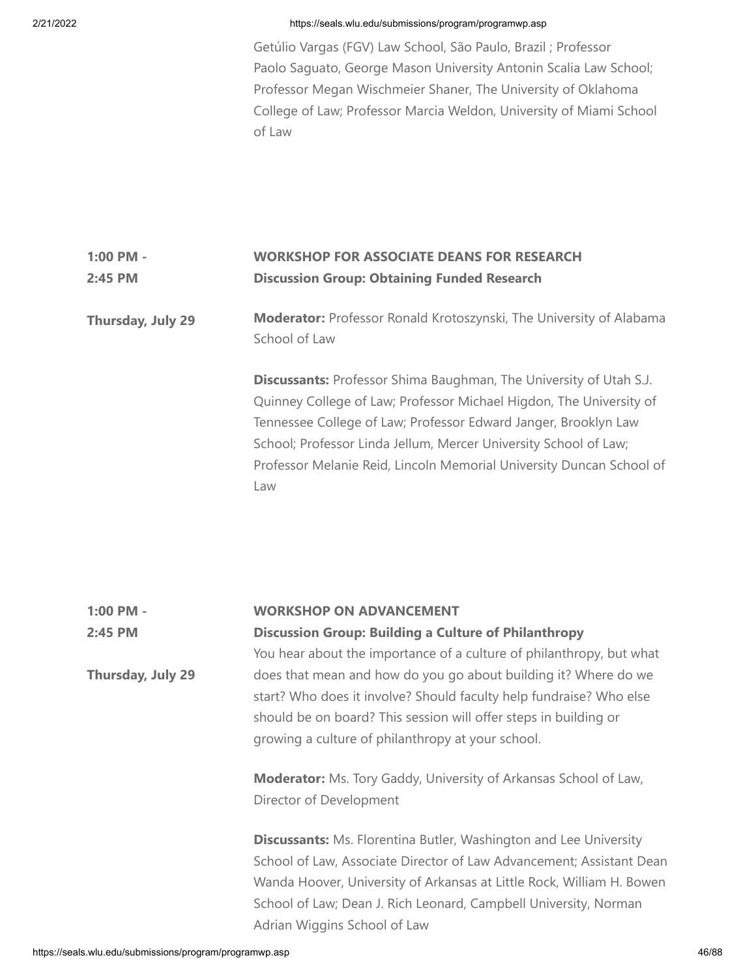Getúlio Vargas (FGV) Law School, São Paulo, Brazil ; Professor Paolo Saguato, George Mason University Antonin Scalia Law School; Professor Megan Wischmeier Shaner, The University of Oklahoma College of Law; Professor Marcia Weldon, University of Miami School of Law

## **1:00 PM - 2:45 PM WORKSHOP FOR ASSOCIATE DEANS FOR RESEARCH Discussion Group: Obtaining Funded Research**

## **Thursday, July 29 Moderator:** Professor Ronald Krotoszynski, The University of Alabama School of Law

**Discussants:** Professor Shima Baughman, The University of Utah S.J. Quinney College of Law; Professor Michael Higdon, The University of Tennessee College of Law; Professor Edward Janger, Brooklyn Law School; Professor Linda Jellum, Mercer University School of Law; Professor Melanie Reid, Lincoln Memorial University Duncan School of Law

| $1:00$ PM -       | <b>WORKSHOP ON ADVANCEMENT</b>                                           |
|-------------------|--------------------------------------------------------------------------|
| 2:45 PM           | <b>Discussion Group: Building a Culture of Philanthropy</b>              |
|                   | You hear about the importance of a culture of philanthropy, but what     |
| Thursday, July 29 | does that mean and how do you go about building it? Where do we          |
|                   | start? Who does it involve? Should faculty help fundraise? Who else      |
|                   | should be on board? This session will offer steps in building or         |
|                   | growing a culture of philanthropy at your school.                        |
|                   | <b>Moderator:</b> Ms. Tory Gaddy, University of Arkansas School of Law,  |
|                   | Director of Development                                                  |
|                   | <b>Discussants:</b> Ms. Florentina Butler, Washington and Lee University |
|                   | School of Law, Associate Director of Law Advancement; Assistant Dean     |
|                   | Wanda Hoover, University of Arkansas at Little Rock, William H. Bowen    |
|                   | School of Law; Dean J. Rich Leonard, Campbell University, Norman         |
|                   | Adrian Wiggins School of Law                                             |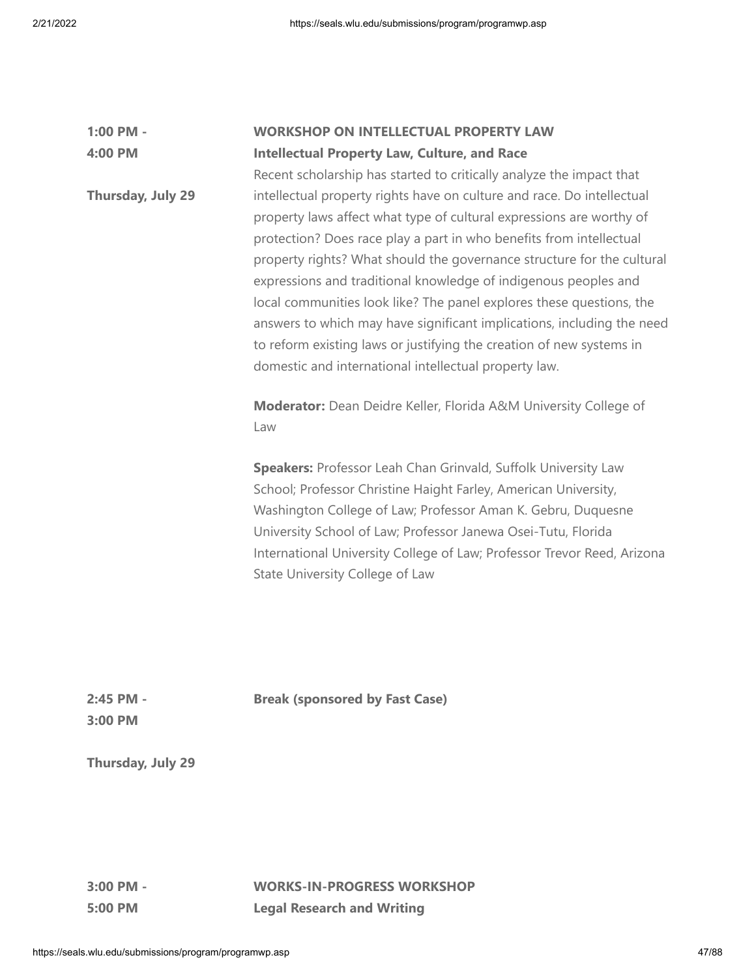| 1:00 PM -         | <b>WORKSHOP ON INTELLECTUAL PROPERTY LAW</b>                                                                                                                                                                                                                                                                                                                                                                                                                                                                                                                                                                                                          |
|-------------------|-------------------------------------------------------------------------------------------------------------------------------------------------------------------------------------------------------------------------------------------------------------------------------------------------------------------------------------------------------------------------------------------------------------------------------------------------------------------------------------------------------------------------------------------------------------------------------------------------------------------------------------------------------|
| 4:00 PM           | <b>Intellectual Property Law, Culture, and Race</b>                                                                                                                                                                                                                                                                                                                                                                                                                                                                                                                                                                                                   |
|                   | Recent scholarship has started to critically analyze the impact that                                                                                                                                                                                                                                                                                                                                                                                                                                                                                                                                                                                  |
| Thursday, July 29 | intellectual property rights have on culture and race. Do intellectual<br>property laws affect what type of cultural expressions are worthy of<br>protection? Does race play a part in who benefits from intellectual<br>property rights? What should the governance structure for the cultural<br>expressions and traditional knowledge of indigenous peoples and<br>local communities look like? The panel explores these questions, the<br>answers to which may have significant implications, including the need<br>to reform existing laws or justifying the creation of new systems in<br>domestic and international intellectual property law. |
|                   | Moderator: Dean Deidre Keller, Florida A&M University College of<br>Law                                                                                                                                                                                                                                                                                                                                                                                                                                                                                                                                                                               |
|                   | Speakers: Professor Leah Chan Grinvald, Suffolk University Law<br>School; Professor Christine Haight Farley, American University,<br>Washington College of Law; Professor Aman K. Gebru, Duquesne<br>University School of Law; Professor Janewa Osei-Tutu, Florida<br>International University College of Law; Professor Trevor Reed, Arizona<br>State University College of Law                                                                                                                                                                                                                                                                      |

**Break (sponsored by Fast Case)**

**2:45 PM - 3:00 PM**

**Thursday, July 29**

**3:00 PM - 5:00 PM**

**WORKS-IN-PROGRESS WORKSHOP Legal Research and Writing**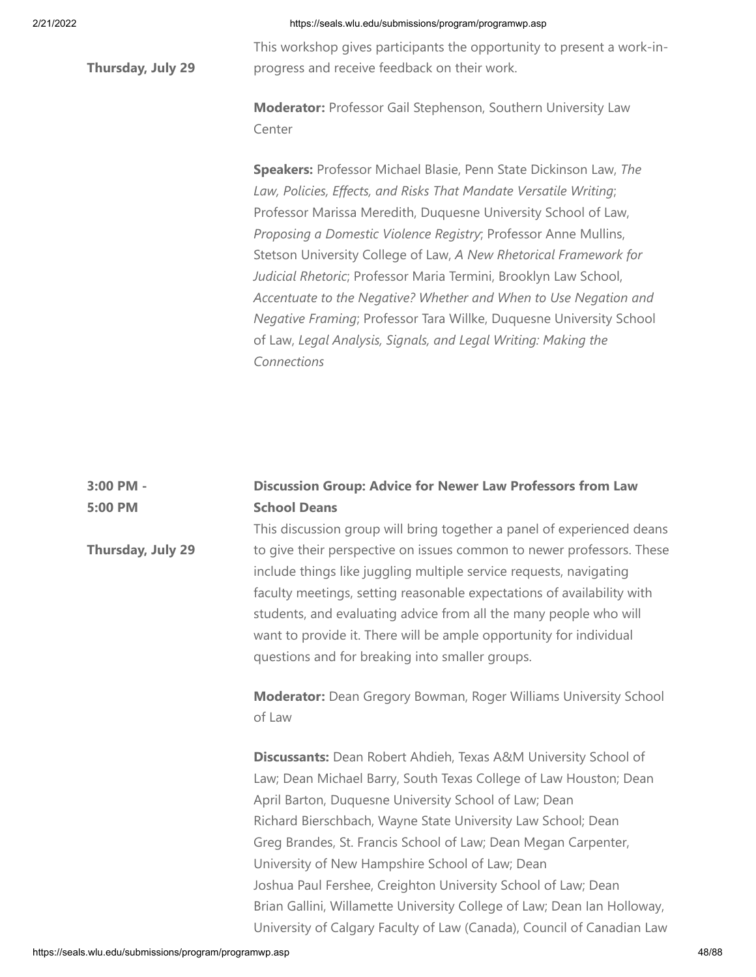**Thursday, July 29**

**Thursday, July 29**

## 2/21/2022 https://seals.wlu.edu/submissions/program/programwp.asp

This workshop gives participants the opportunity to present a work-inprogress and receive feedback on their work.

**Moderator:** Professor Gail Stephenson, Southern University Law Center

**Speakers:** Professor Michael Blasie, Penn State Dickinson Law, *The Law, Policies, Effects, and Risks That Mandate Versatile Writing*; Professor Marissa Meredith, Duquesne University School of Law, *Proposing a Domestic Violence Registry*; Professor Anne Mullins, Stetson University College of Law, *A New Rhetorical Framework for Judicial Rhetoric*; Professor Maria Termini, Brooklyn Law School, *Accentuate to the Negative? Whether and When to Use Negation and Negative Framing*; Professor Tara Willke, Duquesne University School of Law, *Legal Analysis, Signals, and Legal Writing: Making the Connections*

| 3:00 PM - | <b>Discussion Group: Advice for Newer Law Professors from Law</b>   |
|-----------|---------------------------------------------------------------------|
| 5:00 PM   | <b>School Deans</b>                                                 |
|           | This discussion aroun will bring together a panel of experienced de |

This discussion group will bring together a panel of experienced deans to give their perspective on issues common to newer professors. These include things like juggling multiple service requests, navigating faculty meetings, setting reasonable expectations of availability with students, and evaluating advice from all the many people who will want to provide it. There will be ample opportunity for individual questions and for breaking into smaller groups.

**Moderator:** Dean Gregory Bowman, Roger Williams University School of Law

**Discussants:** Dean Robert Ahdieh, Texas A&M University School of Law; Dean Michael Barry, South Texas College of Law Houston; Dean April Barton, Duquesne University School of Law; Dean Richard Bierschbach, Wayne State University Law School; Dean Greg Brandes, St. Francis School of Law; Dean Megan Carpenter, University of New Hampshire School of Law; Dean Joshua Paul Fershee, Creighton University School of Law; Dean Brian Gallini, Willamette University College of Law; Dean Ian Holloway, University of Calgary Faculty of Law (Canada), Council of Canadian Law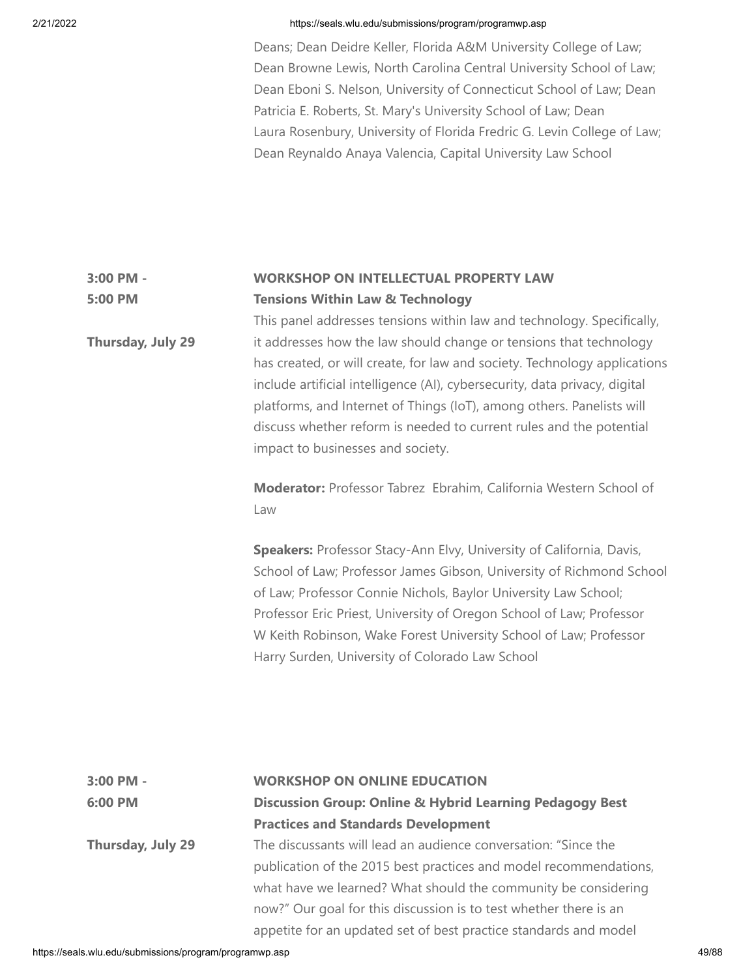Deans; Dean Deidre Keller, Florida A&M University College of Law; Dean Browne Lewis, North Carolina Central University School of Law; Dean Eboni S. Nelson, University of Connecticut School of Law; Dean Patricia E. Roberts, St. Mary's University School of Law; Dean Laura Rosenbury, University of Florida Fredric G. Levin College of Law; Dean Reynaldo Anaya Valencia, Capital University Law School

#### **3:00 PM - 5:00 PM WORKSHOP ON INTELLECTUAL PROPERTY LAW Tensions Within Law & Technology**

**Thursday, July 29** This panel addresses tensions within law and technology. Specifically, it addresses how the law should change or tensions that technology has created, or will create, for law and society. Technology applications include artificial intelligence (AI), cybersecurity, data privacy, digital platforms, and Internet of Things (IoT), among others. Panelists will discuss whether reform is needed to current rules and the potential impact to businesses and society.

> **Moderator:** Professor Tabrez Ebrahim, California Western School of Law

**Speakers:** Professor Stacy-Ann Elvy, University of California, Davis, School of Law; Professor James Gibson, University of Richmond School of Law; Professor Connie Nichols, Baylor University Law School; Professor Eric Priest, University of Oregon School of Law; Professor W Keith Robinson, Wake Forest University School of Law; Professor Harry Surden, University of Colorado Law School

| 3:00 PM -         | <b>WORKSHOP ON ONLINE EDUCATION</b>                                 |
|-------------------|---------------------------------------------------------------------|
| 6:00 PM           | <b>Discussion Group: Online &amp; Hybrid Learning Pedagogy Best</b> |
|                   | <b>Practices and Standards Development</b>                          |
| Thursday, July 29 | The discussants will lead an audience conversation: "Since the      |
|                   | publication of the 2015 best practices and model recommendations,   |
|                   | what have we learned? What should the community be considering      |
|                   | now?" Our goal for this discussion is to test whether there is an   |
|                   | appetite for an updated set of best practice standards and model    |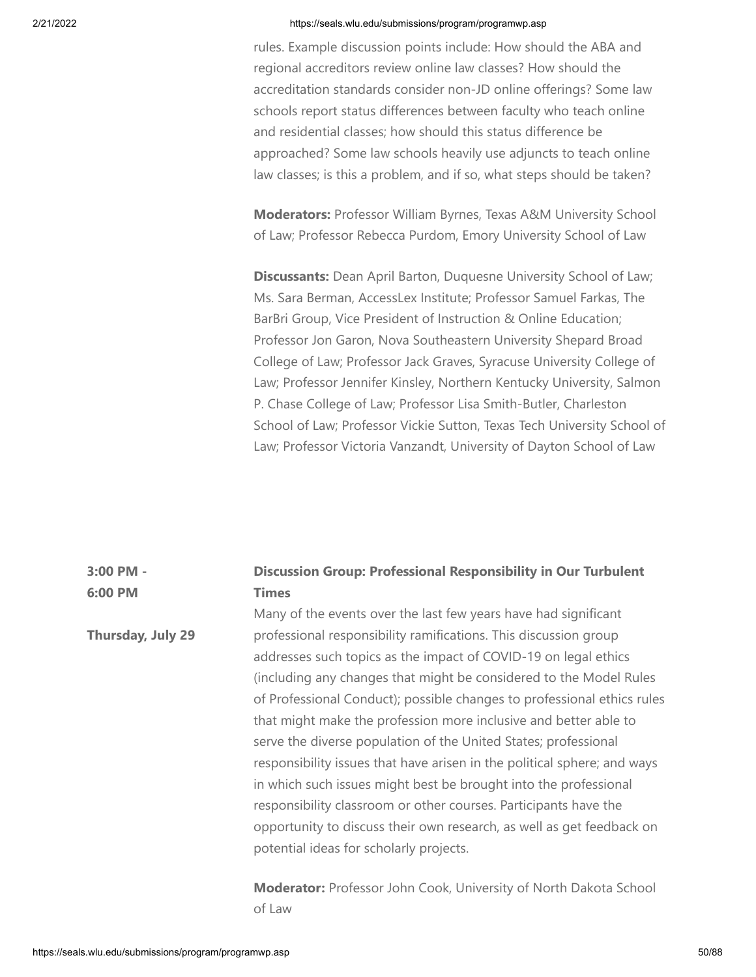rules. Example discussion points include: How should the ABA and regional accreditors review online law classes? How should the accreditation standards consider non-JD online offerings? Some law schools report status differences between faculty who teach online and residential classes; how should this status difference be approached? Some law schools heavily use adjuncts to teach online law classes; is this a problem, and if so, what steps should be taken?

**Moderators:** Professor William Byrnes, Texas A&M University School of Law; Professor Rebecca Purdom, Emory University School of Law

**Discussants:** Dean April Barton, Duquesne University School of Law; Ms. Sara Berman, AccessLex Institute; Professor Samuel Farkas, The BarBri Group, Vice President of Instruction & Online Education; Professor Jon Garon, Nova Southeastern University Shepard Broad College of Law; Professor Jack Graves, Syracuse University College of Law; Professor Jennifer Kinsley, Northern Kentucky University, Salmon P. Chase College of Law; Professor Lisa Smith-Butler, Charleston School of Law; Professor Vickie Sutton, Texas Tech University School of Law; Professor Victoria Vanzandt, University of Dayton School of Law

#### **3:00 PM - 6:00 PM Discussion Group: Professional Responsibility in Our Turbulent Times**

**Thursday, July 29** Many of the events over the last few years have had significant professional responsibility ramifications. This discussion group addresses such topics as the impact of COVID-19 on legal ethics (including any changes that might be considered to the Model Rules of Professional Conduct); possible changes to professional ethics rules that might make the profession more inclusive and better able to serve the diverse population of the United States; professional responsibility issues that have arisen in the political sphere; and ways in which such issues might best be brought into the professional responsibility classroom or other courses. Participants have the opportunity to discuss their own research, as well as get feedback on potential ideas for scholarly projects.

> **Moderator:** Professor John Cook, University of North Dakota School of Law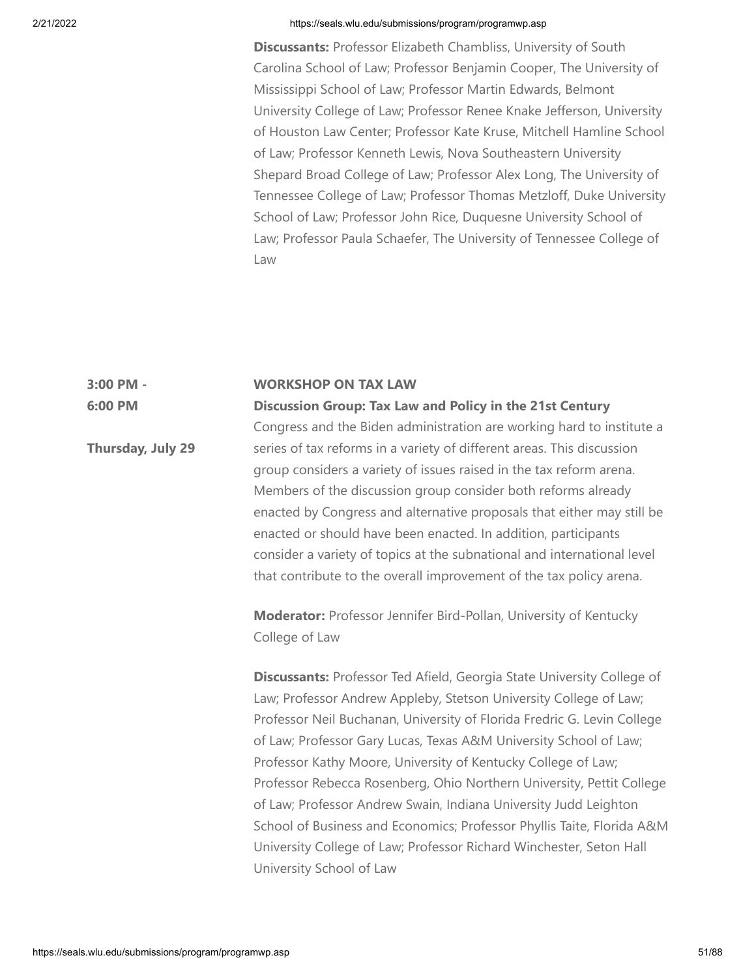**Discussants:** Professor Elizabeth Chambliss, University of South Carolina School of Law; Professor Benjamin Cooper, The University of Mississippi School of Law; Professor Martin Edwards, Belmont University College of Law; Professor Renee Knake Jefferson, University of Houston Law Center; Professor Kate Kruse, Mitchell Hamline School of Law; Professor Kenneth Lewis, Nova Southeastern University Shepard Broad College of Law; Professor Alex Long, The University of Tennessee College of Law; Professor Thomas Metzloff, Duke University School of Law; Professor John Rice, Duquesne University School of Law; Professor Paula Schaefer, The University of Tennessee College of Law

#### **3:00 PM - WORKSHOP ON TAX LAW**

**6:00 PM**

**Thursday, July 29**

**Discussion Group: Tax Law and Policy in the 21st Century** Congress and the Biden administration are working hard to institute a series of tax reforms in a variety of different areas. This discussion group considers a variety of issues raised in the tax reform arena. Members of the discussion group consider both reforms already enacted by Congress and alternative proposals that either may still be enacted or should have been enacted. In addition, participants consider a variety of topics at the subnational and international level that contribute to the overall improvement of the tax policy arena.

**Moderator:** Professor Jennifer Bird-Pollan, University of Kentucky College of Law

**Discussants:** Professor Ted Afield, Georgia State University College of Law; Professor Andrew Appleby, Stetson University College of Law; Professor Neil Buchanan, University of Florida Fredric G. Levin College of Law; Professor Gary Lucas, Texas A&M University School of Law; Professor Kathy Moore, University of Kentucky College of Law; Professor Rebecca Rosenberg, Ohio Northern University, Pettit College of Law; Professor Andrew Swain, Indiana University Judd Leighton School of Business and Economics; Professor Phyllis Taite, Florida A&M University College of Law; Professor Richard Winchester, Seton Hall University School of Law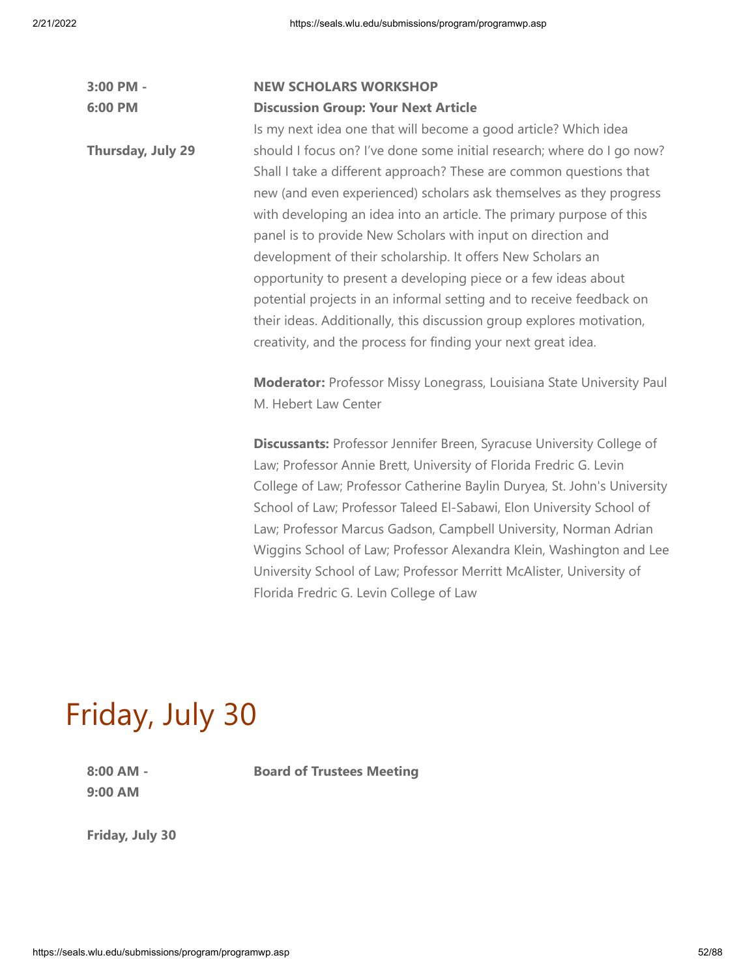| 3:00 PM -         | <b>NEW SCHOLARS WORKSHOP</b>                                                                                                                                                                                                                                                                                                                                                                                                                                                                                                                                                                                                                                                                                   |
|-------------------|----------------------------------------------------------------------------------------------------------------------------------------------------------------------------------------------------------------------------------------------------------------------------------------------------------------------------------------------------------------------------------------------------------------------------------------------------------------------------------------------------------------------------------------------------------------------------------------------------------------------------------------------------------------------------------------------------------------|
| 6:00 PM           | <b>Discussion Group: Your Next Article</b>                                                                                                                                                                                                                                                                                                                                                                                                                                                                                                                                                                                                                                                                     |
|                   | Is my next idea one that will become a good article? Which idea                                                                                                                                                                                                                                                                                                                                                                                                                                                                                                                                                                                                                                                |
| Thursday, July 29 | should I focus on? I've done some initial research; where do I go now?<br>Shall I take a different approach? These are common questions that<br>new (and even experienced) scholars ask themselves as they progress<br>with developing an idea into an article. The primary purpose of this<br>panel is to provide New Scholars with input on direction and<br>development of their scholarship. It offers New Scholars an<br>opportunity to present a developing piece or a few ideas about<br>potential projects in an informal setting and to receive feedback on<br>their ideas. Additionally, this discussion group explores motivation,<br>creativity, and the process for finding your next great idea. |
|                   | Moderator: Professor Missy Lonegrass, Louisiana State University Paul<br>M. Hebert Law Center                                                                                                                                                                                                                                                                                                                                                                                                                                                                                                                                                                                                                  |
|                   | <b>Discussants: Professor Jennifer Breen, Syracuse University College of</b><br>Law; Professor Annie Brett, University of Florida Fredric G. Levin<br>College of Law; Professor Catherine Baylin Duryea, St. John's University<br>School of Law; Professor Taleed El-Sabawi, Elon University School of<br>Law; Professor Marcus Gadson, Campbell University, Norman Adrian<br>Wiggins School of Law; Professor Alexandra Klein, Washington and Lee<br>University School of Law; Professor Merritt McAlister, University of<br>Florida Fredric G. Levin College of Law                                                                                                                                          |

# Friday, July 30

**8:00 AM - 9:00 AM**

**Board of Trustees Meeting**

**Friday, July 30**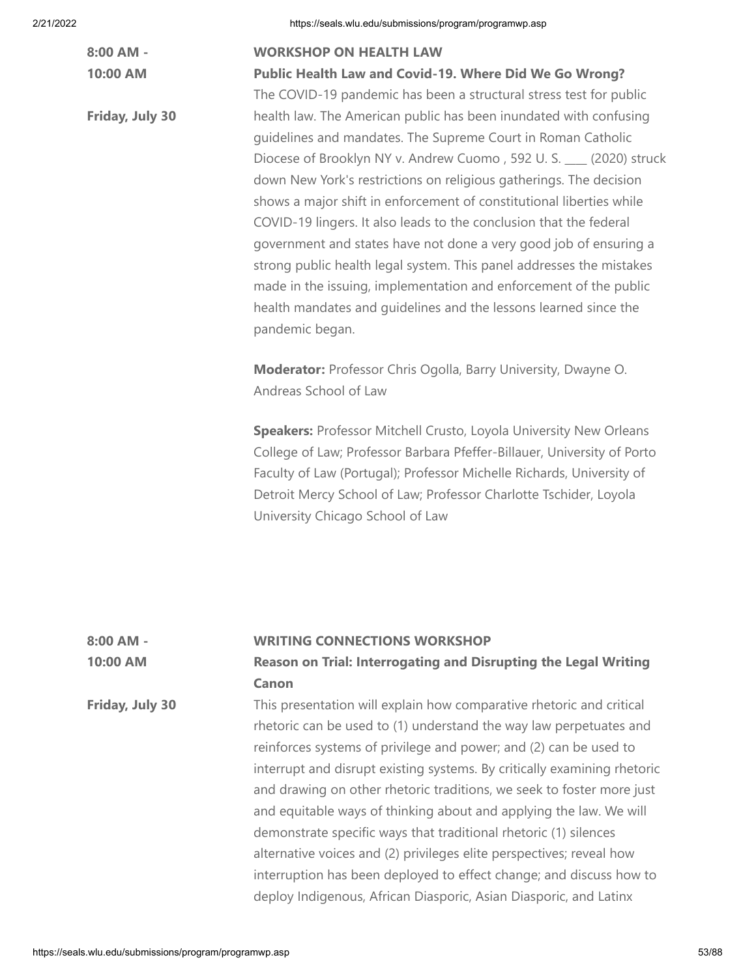| 2/21/2022 |                       | https://seals.wlu.edu/submissions/program/programwp.asp                                                                                                                                                                                                                                                                                                                                                                                                                                                                                                                                                                                                                                                                             |
|-----------|-----------------------|-------------------------------------------------------------------------------------------------------------------------------------------------------------------------------------------------------------------------------------------------------------------------------------------------------------------------------------------------------------------------------------------------------------------------------------------------------------------------------------------------------------------------------------------------------------------------------------------------------------------------------------------------------------------------------------------------------------------------------------|
|           | 8:00 AM -<br>10:00 AM | <b>WORKSHOP ON HEALTH LAW</b><br>Public Health Law and Covid-19. Where Did We Go Wrong?<br>The COVID-19 pandemic has been a structural stress test for public                                                                                                                                                                                                                                                                                                                                                                                                                                                                                                                                                                       |
|           | Friday, July 30       | health law. The American public has been inundated with confusing<br>guidelines and mandates. The Supreme Court in Roman Catholic<br>Diocese of Brooklyn NY v. Andrew Cuomo, 592 U.S. __ (2020) struck<br>down New York's restrictions on religious gatherings. The decision<br>shows a major shift in enforcement of constitutional liberties while<br>COVID-19 lingers. It also leads to the conclusion that the federal<br>government and states have not done a very good job of ensuring a<br>strong public health legal system. This panel addresses the mistakes<br>made in the issuing, implementation and enforcement of the public<br>health mandates and quidelines and the lessons learned since the<br>pandemic began. |
|           |                       | Moderator: Professor Chris Ogolla, Barry University, Dwayne O.<br>Andreas School of Law                                                                                                                                                                                                                                                                                                                                                                                                                                                                                                                                                                                                                                             |
|           |                       | Speakers: Professor Mitchell Crusto, Loyola University New Orleans<br>College of Law; Professor Barbara Pfeffer-Billauer, University of Porto<br>Faculty of Law (Portugal); Professor Michelle Richards, University of<br>Detroit Mercy School of Law; Professor Charlotte Tschider, Loyola<br>University Chicago School of Law                                                                                                                                                                                                                                                                                                                                                                                                     |

| 8:00 AM -       | <b>WRITING CONNECTIONS WORKSHOP</b>                                      |
|-----------------|--------------------------------------------------------------------------|
| 10:00 AM        | Reason on Trial: Interrogating and Disrupting the Legal Writing          |
|                 | Canon                                                                    |
| Friday, July 30 | This presentation will explain how comparative rhetoric and critical     |
|                 | rhetoric can be used to (1) understand the way law perpetuates and       |
|                 | reinforces systems of privilege and power; and (2) can be used to        |
|                 | interrupt and disrupt existing systems. By critically examining rhetoric |
|                 | and drawing on other rhetoric traditions, we seek to foster more just    |
|                 | and equitable ways of thinking about and applying the law. We will       |
|                 | demonstrate specific ways that traditional rhetoric (1) silences         |
|                 | alternative voices and (2) privileges elite perspectives; reveal how     |
|                 | interruption has been deployed to effect change; and discuss how to      |
|                 | deploy Indigenous, African Diasporic, Asian Diasporic, and Latinx        |
|                 |                                                                          |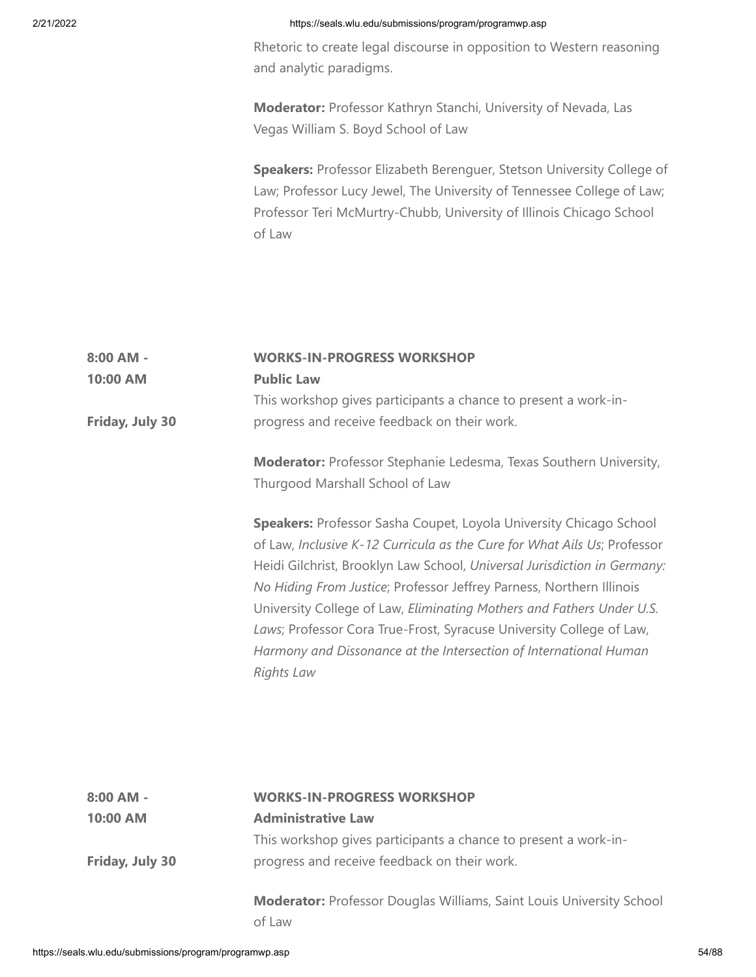**8:00 AM -**

## 2/21/2022 https://seals.wlu.edu/submissions/program/programwp.asp

Rhetoric to create legal discourse in opposition to Western reasoning and analytic paradigms.

**Moderator:** Professor Kathryn Stanchi, University of Nevada, Las Vegas William S. Boyd School of Law

**Speakers:** Professor Elizabeth Berenguer, Stetson University College of Law; Professor Lucy Jewel, The University of Tennessee College of Law; Professor Teri McMurtry-Chubb, University of Illinois Chicago School of Law

| 10:00 AM                                                | <b>Public Law</b>                                                                                                                                                                                                                                                                                                                                                                                                                                                                                                                             |       |
|---------------------------------------------------------|-----------------------------------------------------------------------------------------------------------------------------------------------------------------------------------------------------------------------------------------------------------------------------------------------------------------------------------------------------------------------------------------------------------------------------------------------------------------------------------------------------------------------------------------------|-------|
|                                                         | This workshop gives participants a chance to present a work-in-                                                                                                                                                                                                                                                                                                                                                                                                                                                                               |       |
| Friday, July 30                                         | progress and receive feedback on their work.                                                                                                                                                                                                                                                                                                                                                                                                                                                                                                  |       |
|                                                         | Moderator: Professor Stephanie Ledesma, Texas Southern University,<br>Thurgood Marshall School of Law                                                                                                                                                                                                                                                                                                                                                                                                                                         |       |
|                                                         | Speakers: Professor Sasha Coupet, Loyola University Chicago School<br>of Law, Inclusive K-12 Curricula as the Cure for What Ails Us; Professor<br>Heidi Gilchrist, Brooklyn Law School, Universal Jurisdiction in Germany:<br>No Hiding From Justice; Professor Jeffrey Parness, Northern Illinois<br>University College of Law, Eliminating Mothers and Fathers Under U.S.<br>Laws; Professor Cora True-Frost, Syracuse University College of Law,<br>Harmony and Dissonance at the Intersection of International Human<br><b>Rights Law</b> |       |
|                                                         |                                                                                                                                                                                                                                                                                                                                                                                                                                                                                                                                               |       |
| 8:00 AM -                                               | <b>WORKS-IN-PROGRESS WORKSHOP</b>                                                                                                                                                                                                                                                                                                                                                                                                                                                                                                             |       |
| 10:00 AM                                                | <b>Administrative Law</b>                                                                                                                                                                                                                                                                                                                                                                                                                                                                                                                     |       |
|                                                         | This workshop gives participants a chance to present a work-in-                                                                                                                                                                                                                                                                                                                                                                                                                                                                               |       |
| Friday, July 30                                         | progress and receive feedback on their work.                                                                                                                                                                                                                                                                                                                                                                                                                                                                                                  |       |
|                                                         | Moderator: Professor Douglas Williams, Saint Louis University School<br>of Law                                                                                                                                                                                                                                                                                                                                                                                                                                                                |       |
| https://seals.wlu.edu/submissions/program/programwp.asp |                                                                                                                                                                                                                                                                                                                                                                                                                                                                                                                                               | 54/88 |

**WORKS-IN-PROGRESS WORKSHOP**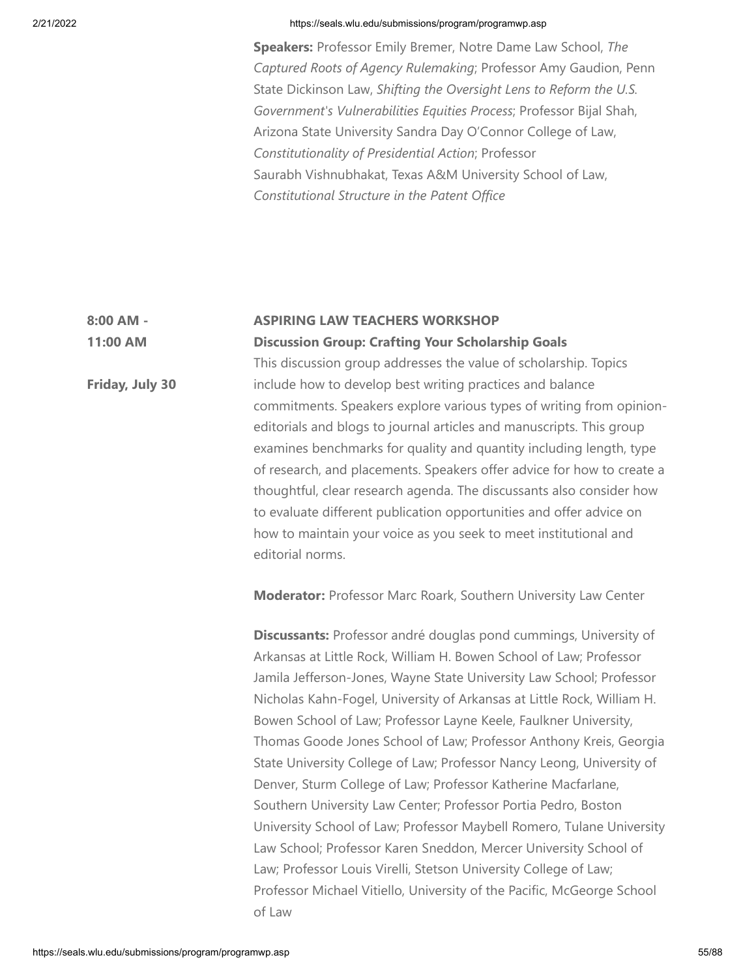**Speakers:** Professor Emily Bremer, Notre Dame Law School, *The Captured Roots of Agency Rulemaking*; Professor Amy Gaudion, Penn State Dickinson Law, *Shifting the Oversight Lens to Reform the U.S. Government's Vulnerabilities Equities Process*; Professor Bijal Shah, Arizona State University Sandra Day O'Connor College of Law, *Constitutionality of Presidential Action*; Professor Saurabh Vishnubhakat, Texas A&M University School of Law, *Constitutional Structure in the Patent Office*

#### **8:00 AM - ASPIRING LAW TEACHERS WORKSHOP**

**11:00 AM**

**Friday, July 30**

**Discussion Group: Crafting Your Scholarship Goals** This discussion group addresses the value of scholarship. Topics include how to develop best writing practices and balance commitments. Speakers explore various types of writing from opinioneditorials and blogs to journal articles and manuscripts. This group examines benchmarks for quality and quantity including length, type of research, and placements. Speakers offer advice for how to create a thoughtful, clear research agenda. The discussants also consider how to evaluate different publication opportunities and offer advice on how to maintain your voice as you seek to meet institutional and editorial norms.

**Moderator:** Professor Marc Roark, Southern University Law Center

**Discussants:** Professor andré douglas pond cummings, University of Arkansas at Little Rock, William H. Bowen School of Law; Professor Jamila Jefferson-Jones, Wayne State University Law School; Professor Nicholas Kahn-Fogel, University of Arkansas at Little Rock, William H. Bowen School of Law; Professor Layne Keele, Faulkner University, Thomas Goode Jones School of Law; Professor Anthony Kreis, Georgia State University College of Law; Professor Nancy Leong, University of Denver, Sturm College of Law; Professor Katherine Macfarlane, Southern University Law Center; Professor Portia Pedro, Boston University School of Law; Professor Maybell Romero, Tulane University Law School; Professor Karen Sneddon, Mercer University School of Law; Professor Louis Virelli, Stetson University College of Law; Professor Michael Vitiello, University of the Pacific, McGeorge School of Law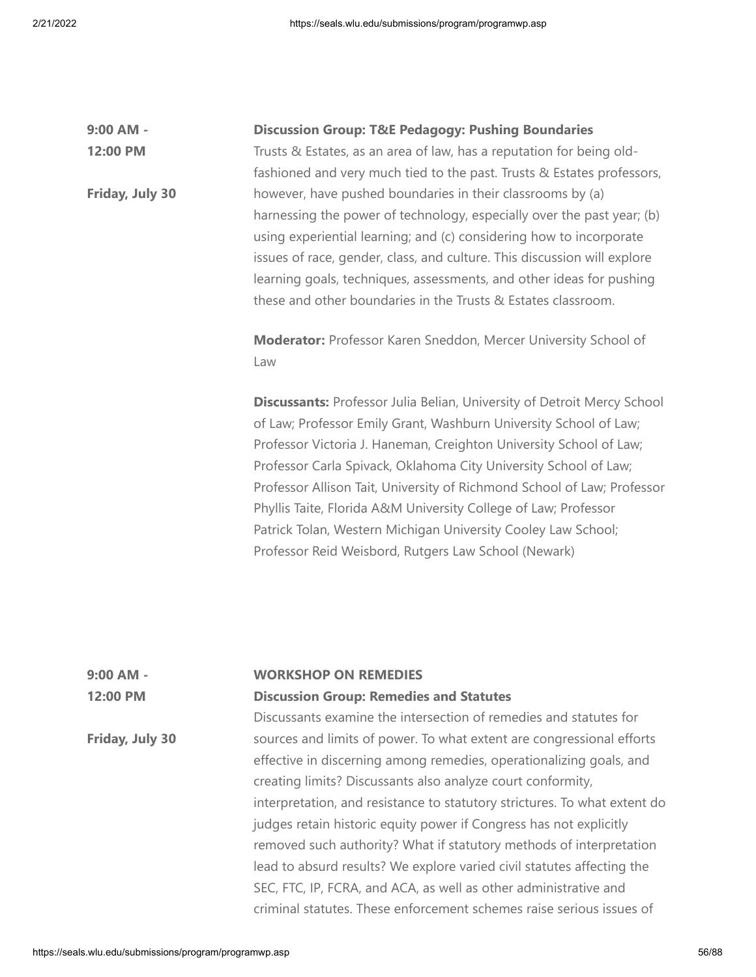| 9:00 AM -       | <b>Discussion Group: T&amp;E Pedagogy: Pushing Boundaries</b>                                                                                                                                                                                                                                                                                                                                                                                                                                                                                                                                                                                               |
|-----------------|-------------------------------------------------------------------------------------------------------------------------------------------------------------------------------------------------------------------------------------------------------------------------------------------------------------------------------------------------------------------------------------------------------------------------------------------------------------------------------------------------------------------------------------------------------------------------------------------------------------------------------------------------------------|
| 12:00 PM        | Trusts & Estates, as an area of law, has a reputation for being old-                                                                                                                                                                                                                                                                                                                                                                                                                                                                                                                                                                                        |
| Friday, July 30 | fashioned and very much tied to the past. Trusts & Estates professors,<br>however, have pushed boundaries in their classrooms by (a)<br>harnessing the power of technology, especially over the past year; (b)<br>using experiential learning; and (c) considering how to incorporate<br>issues of race, gender, class, and culture. This discussion will explore<br>learning goals, techniques, assessments, and other ideas for pushing<br>these and other boundaries in the Trusts & Estates classroom.                                                                                                                                                  |
|                 | Moderator: Professor Karen Sneddon, Mercer University School of<br>Law                                                                                                                                                                                                                                                                                                                                                                                                                                                                                                                                                                                      |
|                 | <b>Discussants: Professor Julia Belian, University of Detroit Mercy School</b><br>of Law; Professor Emily Grant, Washburn University School of Law;<br>Professor Victoria J. Haneman, Creighton University School of Law;<br>Professor Carla Spivack, Oklahoma City University School of Law;<br>Professor Allison Tait, University of Richmond School of Law; Professor<br>Phyllis Taite, Florida A&M University College of Law; Professor<br>Patrick Tolan, Western Michigan University Cooley Law School;<br>Professor Reid Weisbord, Rutgers Law School (Newark)                                                                                        |
| 9:00 AM -       | <b>WORKSHOP ON REMEDIES</b>                                                                                                                                                                                                                                                                                                                                                                                                                                                                                                                                                                                                                                 |
| 12:00 PM        | <b>Discussion Group: Remedies and Statutes</b>                                                                                                                                                                                                                                                                                                                                                                                                                                                                                                                                                                                                              |
|                 | Discussants examine the intersection of remedies and statutes for                                                                                                                                                                                                                                                                                                                                                                                                                                                                                                                                                                                           |
| Friday, July 30 | sources and limits of power. To what extent are congressional efforts<br>effective in discerning among remedies, operationalizing goals, and<br>creating limits? Discussants also analyze court conformity,<br>interpretation, and resistance to statutory strictures. To what extent do<br>judges retain historic equity power if Congress has not explicitly<br>removed such authority? What if statutory methods of interpretation<br>lead to absurd results? We explore varied civil statutes affecting the<br>SEC, FTC, IP, FCRA, and ACA, as well as other administrative and<br>criminal statutes. These enforcement schemes raise serious issues of |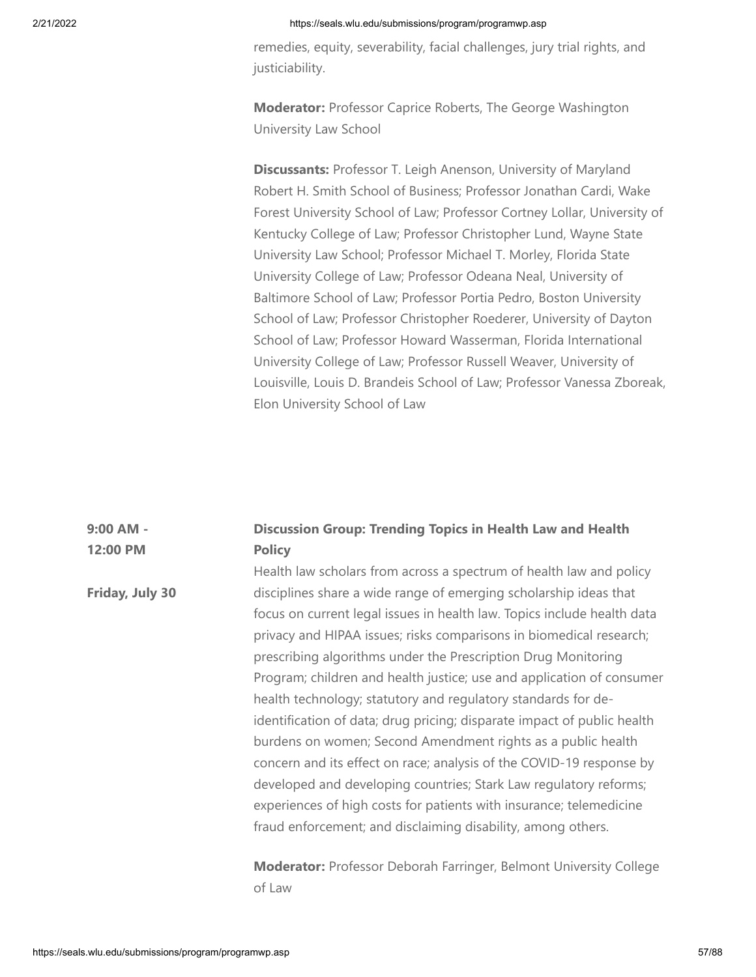remedies, equity, severability, facial challenges, jury trial rights, and justiciability.

**Moderator:** Professor Caprice Roberts, The George Washington University Law School

**Discussants:** Professor T. Leigh Anenson, University of Maryland Robert H. Smith School of Business; Professor Jonathan Cardi, Wake Forest University School of Law; Professor Cortney Lollar, University of Kentucky College of Law; Professor Christopher Lund, Wayne State University Law School; Professor Michael T. Morley, Florida State University College of Law; Professor Odeana Neal, University of Baltimore School of Law; Professor Portia Pedro, Boston University School of Law; Professor Christopher Roederer, University of Dayton School of Law; Professor Howard Wasserman, Florida International University College of Law; Professor Russell Weaver, University of Louisville, Louis D. Brandeis School of Law; Professor Vanessa Zboreak, Elon University School of Law

#### **9:00 AM - 12:00 PM Discussion Group: Trending Topics in Health Law and Health Policy**

**Friday, July 30** Health law scholars from across a spectrum of health law and policy disciplines share a wide range of emerging scholarship ideas that focus on current legal issues in health law. Topics include health data privacy and HIPAA issues; risks comparisons in biomedical research; prescribing algorithms under the Prescription Drug Monitoring Program; children and health justice; use and application of consumer health technology; statutory and regulatory standards for deidentification of data; drug pricing; disparate impact of public health burdens on women; Second Amendment rights as a public health concern and its effect on race; analysis of the COVID-19 response by developed and developing countries; Stark Law regulatory reforms; experiences of high costs for patients with insurance; telemedicine fraud enforcement; and disclaiming disability, among others.

> **Moderator:** Professor Deborah Farringer, Belmont University College of Law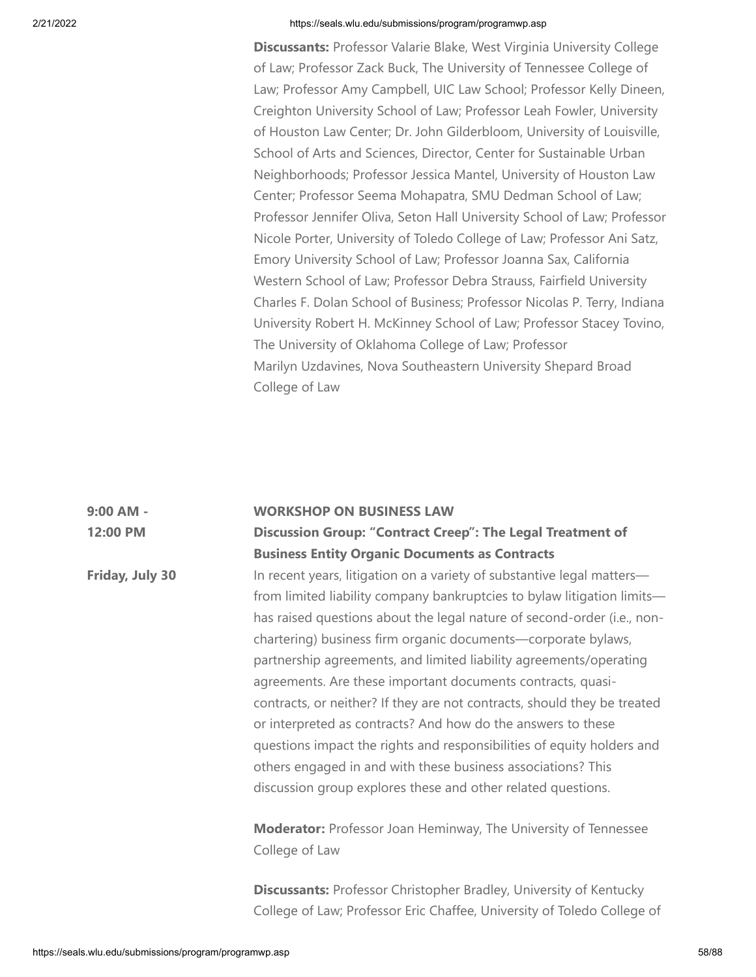**Discussants:** Professor Valarie Blake, West Virginia University College of Law; Professor Zack Buck, The University of Tennessee College of Law; Professor Amy Campbell, UIC Law School; Professor Kelly Dineen, Creighton University School of Law; Professor Leah Fowler, University of Houston Law Center; Dr. John Gilderbloom, University of Louisville, School of Arts and Sciences, Director, Center for Sustainable Urban Neighborhoods; Professor Jessica Mantel, University of Houston Law Center; Professor Seema Mohapatra, SMU Dedman School of Law; Professor Jennifer Oliva, Seton Hall University School of Law; Professor Nicole Porter, University of Toledo College of Law; Professor Ani Satz, Emory University School of Law; Professor Joanna Sax, California Western School of Law; Professor Debra Strauss, Fairfield University Charles F. Dolan School of Business; Professor Nicolas P. Terry, Indiana University Robert H. McKinney School of Law; Professor Stacey Tovino, The University of Oklahoma College of Law; Professor Marilyn Uzdavines, Nova Southeastern University Shepard Broad College of Law

#### **9:00 AM - 12:00 PM WORKSHOP ON BUSINESS LAW Discussion Group: "Contract Creep": The Legal Treatment of**

**Business Entity Organic Documents as Contracts**

In recent years, litigation on a variety of substantive legal matters from limited liability company bankruptcies to bylaw litigation limits has raised questions about the legal nature of second-order (i.e., nonchartering) business firm organic documents—corporate bylaws, partnership agreements, and limited liability agreements/operating agreements. Are these important documents contracts, quasicontracts, or neither? If they are not contracts, should they be treated or interpreted as contracts? And how do the answers to these questions impact the rights and responsibilities of equity holders and others engaged in and with these business associations? This discussion group explores these and other related questions.

**Moderator:** Professor Joan Heminway, The University of Tennessee College of Law

**Discussants:** Professor Christopher Bradley, University of Kentucky College of Law; Professor Eric Chaffee, University of Toledo College of

**Friday, July 30**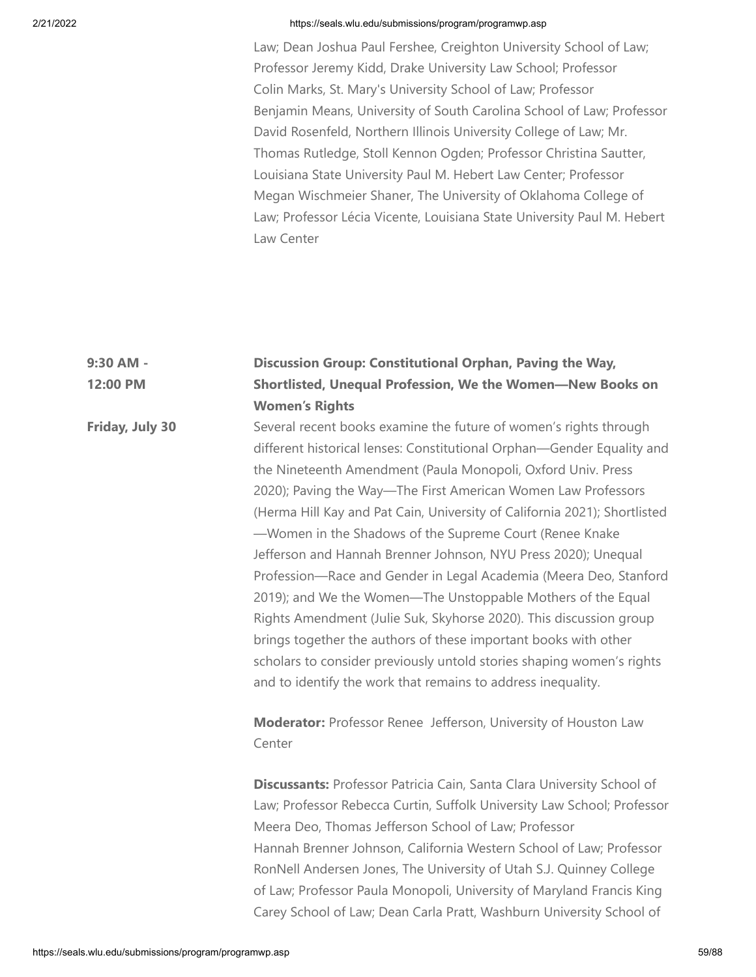Law; Dean Joshua Paul Fershee, Creighton University School of Law; Professor Jeremy Kidd, Drake University Law School; Professor Colin Marks, St. Mary's University School of Law; Professor Benjamin Means, University of South Carolina School of Law; Professor David Rosenfeld, Northern Illinois University College of Law; Mr. Thomas Rutledge, Stoll Kennon Ogden; Professor Christina Sautter, Louisiana State University Paul M. Hebert Law Center; Professor Megan Wischmeier Shaner, The University of Oklahoma College of Law; Professor Lécia Vicente, Louisiana State University Paul M. Hebert Law Center

## **9:30 AM - 12:00 PM Discussion Group: Constitutional Orphan, Paving the Way, Shortlisted, Unequal Profession, We the Women—New Books on Women's Rights**

**Friday, July 30** Several recent books examine the future of women's rights through different historical lenses: Constitutional Orphan—Gender Equality and the Nineteenth Amendment (Paula Monopoli, Oxford Univ. Press 2020); Paving the Way—The First American Women Law Professors (Herma Hill Kay and Pat Cain, University of California 2021); Shortlisted —Women in the Shadows of the Supreme Court (Renee Knake Jefferson and Hannah Brenner Johnson, NYU Press 2020); Unequal Profession—Race and Gender in Legal Academia (Meera Deo, Stanford 2019); and We the Women—The Unstoppable Mothers of the Equal Rights Amendment (Julie Suk, Skyhorse 2020). This discussion group brings together the authors of these important books with other scholars to consider previously untold stories shaping women's rights and to identify the work that remains to address inequality.

> **Moderator:** Professor Renee Jefferson, University of Houston Law Center

**Discussants:** Professor Patricia Cain, Santa Clara University School of Law; Professor Rebecca Curtin, Suffolk University Law School; Professor Meera Deo, Thomas Jefferson School of Law; Professor Hannah Brenner Johnson, California Western School of Law; Professor RonNell Andersen Jones, The University of Utah S.J. Quinney College of Law; Professor Paula Monopoli, University of Maryland Francis King Carey School of Law; Dean Carla Pratt, Washburn University School of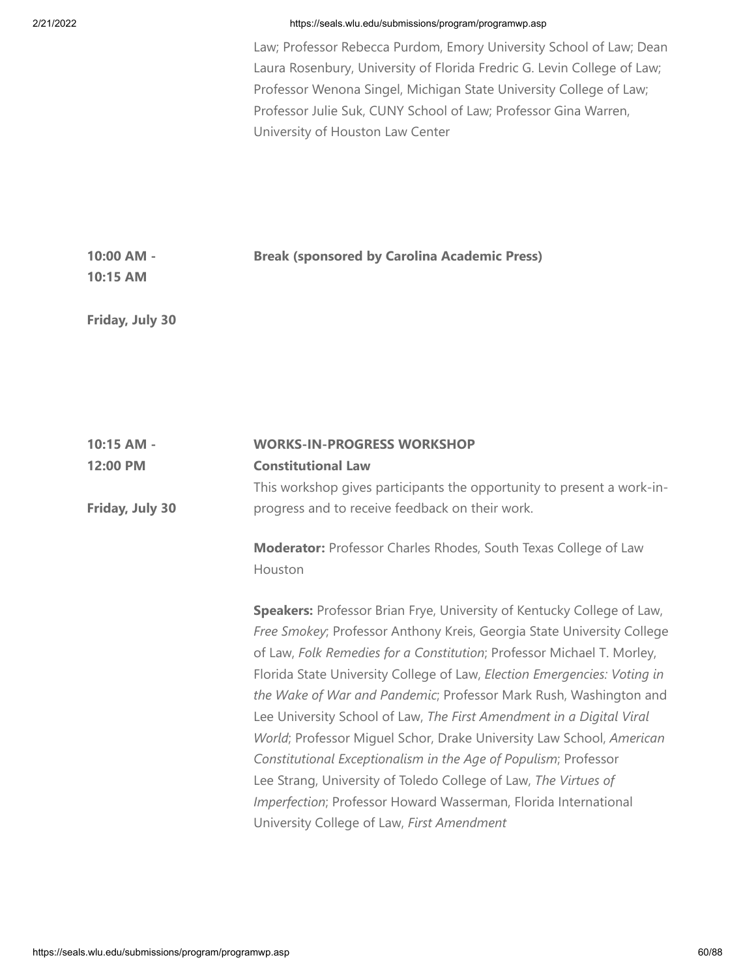Law; Professor Rebecca Purdom, Emory University School of Law; Dean Laura Rosenbury, University of Florida Fredric G. Levin College of Law; Professor Wenona Singel, Michigan State University College of Law; Professor Julie Suk, CUNY School of Law; Professor Gina Warren, University of Houston Law Center

| 10:00 AM - | <b>Break (sponsored by Carolina Academic Press)</b> |  |
|------------|-----------------------------------------------------|--|
| 10:15 AM   |                                                     |  |

**Friday, July 30**

| $10:15$ AM -    | <b>WORKS-IN-PROGRESS WORKSHOP</b>                                             |
|-----------------|-------------------------------------------------------------------------------|
| 12:00 PM        | <b>Constitutional Law</b>                                                     |
|                 | This workshop gives participants the opportunity to present a work-in-        |
| Friday, July 30 | progress and to receive feedback on their work.                               |
|                 | <b>Moderator:</b> Professor Charles Rhodes, South Texas College of Law        |
|                 | Houston                                                                       |
|                 | <b>Speakers:</b> Professor Brian Frye, University of Kentucky College of Law, |
|                 | Free Smokey; Professor Anthony Kreis, Georgia State University College        |
|                 | of Law, Folk Remedies for a Constitution; Professor Michael T. Morley,        |
|                 | Florida State University College of Law, Election Emergencies: Voting in      |
|                 | the Wake of War and Pandemic; Professor Mark Rush, Washington and             |
|                 | Lee University School of Law, The First Amendment in a Digital Viral          |
|                 | World; Professor Miguel Schor, Drake University Law School, American          |
|                 | Constitutional Exceptionalism in the Age of Populism; Professor               |
|                 | Lee Strang, University of Toledo College of Law, The Virtues of               |
|                 | Imperfection; Professor Howard Wasserman, Florida International               |
|                 | University College of Law, First Amendment                                    |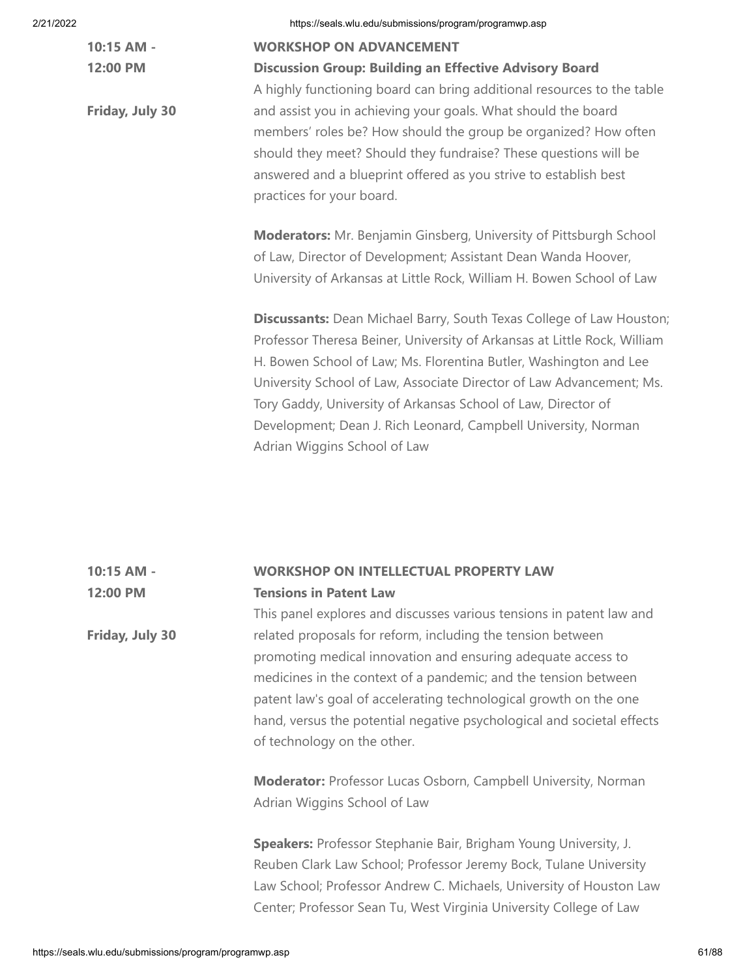**10:15 AM - 12:00 PM**

**Friday, July 30**

2/21/2022 https://seals.wlu.edu/submissions/program/programwp.asp

## **WORKSHOP ON ADVANCEMENT**

## **Discussion Group: Building an Effective Advisory Board**

A highly functioning board can bring additional resources to the table and assist you in achieving your goals. What should the board members' roles be? How should the group be organized? How often should they meet? Should they fundraise? These questions will be answered and a blueprint offered as you strive to establish best practices for your board.

**Moderators:** Mr. Benjamin Ginsberg, University of Pittsburgh School of Law, Director of Development; Assistant Dean Wanda Hoover, University of Arkansas at Little Rock, William H. Bowen School of Law

**Discussants:** Dean Michael Barry, South Texas College of Law Houston; Professor Theresa Beiner, University of Arkansas at Little Rock, William H. Bowen School of Law; Ms. Florentina Butler, Washington and Lee University School of Law, Associate Director of Law Advancement; Ms. Tory Gaddy, University of Arkansas School of Law, Director of Development; Dean J. Rich Leonard, Campbell University, Norman Adrian Wiggins School of Law

## **10:15 AM - 12:00 PM WORKSHOP ON INTELLECTUAL PROPERTY LAW Tensions in Patent Law** This panel explores and discusses various tensions in patent law and

related proposals for reform, including the tension between promoting medical innovation and ensuring adequate access to medicines in the context of a pandemic; and the tension between patent law's goal of accelerating technological growth on the one hand, versus the potential negative psychological and societal effects of technology on the other.

**Moderator:** Professor Lucas Osborn, Campbell University, Norman Adrian Wiggins School of Law

**Speakers:** Professor Stephanie Bair, Brigham Young University, J. Reuben Clark Law School; Professor Jeremy Bock, Tulane University Law School; Professor Andrew C. Michaels, University of Houston Law Center; Professor Sean Tu, West Virginia University College of Law

**Friday, July 30**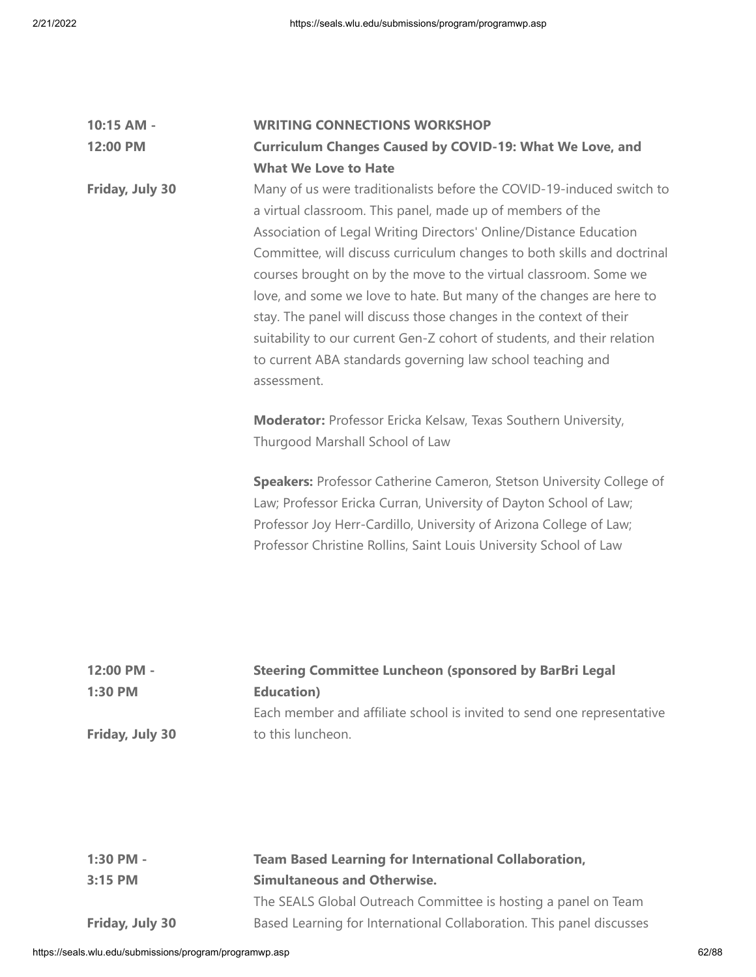| 10:15 AM -      | <b>WRITING CONNECTIONS WORKSHOP</b>                                                                                                                                                                                                                                                                                                                                                                                                                                                                                                                                                                                                                          |
|-----------------|--------------------------------------------------------------------------------------------------------------------------------------------------------------------------------------------------------------------------------------------------------------------------------------------------------------------------------------------------------------------------------------------------------------------------------------------------------------------------------------------------------------------------------------------------------------------------------------------------------------------------------------------------------------|
| 12:00 PM        | <b>Curriculum Changes Caused by COVID-19: What We Love, and</b>                                                                                                                                                                                                                                                                                                                                                                                                                                                                                                                                                                                              |
|                 | <b>What We Love to Hate</b>                                                                                                                                                                                                                                                                                                                                                                                                                                                                                                                                                                                                                                  |
| Friday, July 30 | Many of us were traditionalists before the COVID-19-induced switch to<br>a virtual classroom. This panel, made up of members of the<br>Association of Legal Writing Directors' Online/Distance Education<br>Committee, will discuss curriculum changes to both skills and doctrinal<br>courses brought on by the move to the virtual classroom. Some we<br>love, and some we love to hate. But many of the changes are here to<br>stay. The panel will discuss those changes in the context of their<br>suitability to our current Gen-Z cohort of students, and their relation<br>to current ABA standards governing law school teaching and<br>assessment. |
|                 | Moderator: Professor Ericka Kelsaw, Texas Southern University,<br>Thurgood Marshall School of Law                                                                                                                                                                                                                                                                                                                                                                                                                                                                                                                                                            |
|                 | <b>Speakers: Professor Catherine Cameron, Stetson University College of</b><br>Law; Professor Ericka Curran, University of Dayton School of Law;<br>Professor Joy Herr-Cardillo, University of Arizona College of Law;<br>Professor Christine Rollins, Saint Louis University School of Law                                                                                                                                                                                                                                                                                                                                                                  |
| 12:00 PM -      | <b>Steering Committee Luncheon (sponsored by BarBri Legal</b>                                                                                                                                                                                                                                                                                                                                                                                                                                                                                                                                                                                                |
| 1:30 PM         | <b>Education</b> )                                                                                                                                                                                                                                                                                                                                                                                                                                                                                                                                                                                                                                           |
|                 | Each member and affiliate school is invited to send one representative                                                                                                                                                                                                                                                                                                                                                                                                                                                                                                                                                                                       |
| Friday, July 30 | to this luncheon.                                                                                                                                                                                                                                                                                                                                                                                                                                                                                                                                                                                                                                            |
|                 |                                                                                                                                                                                                                                                                                                                                                                                                                                                                                                                                                                                                                                                              |

| 1:30 PM -       | <b>Team Based Learning for International Collaboration,</b>          |  |
|-----------------|----------------------------------------------------------------------|--|
| $3:15$ PM       | <b>Simultaneous and Otherwise.</b>                                   |  |
|                 | The SEALS Global Outreach Committee is hosting a panel on Team       |  |
| Friday, July 30 | Based Learning for International Collaboration. This panel discusses |  |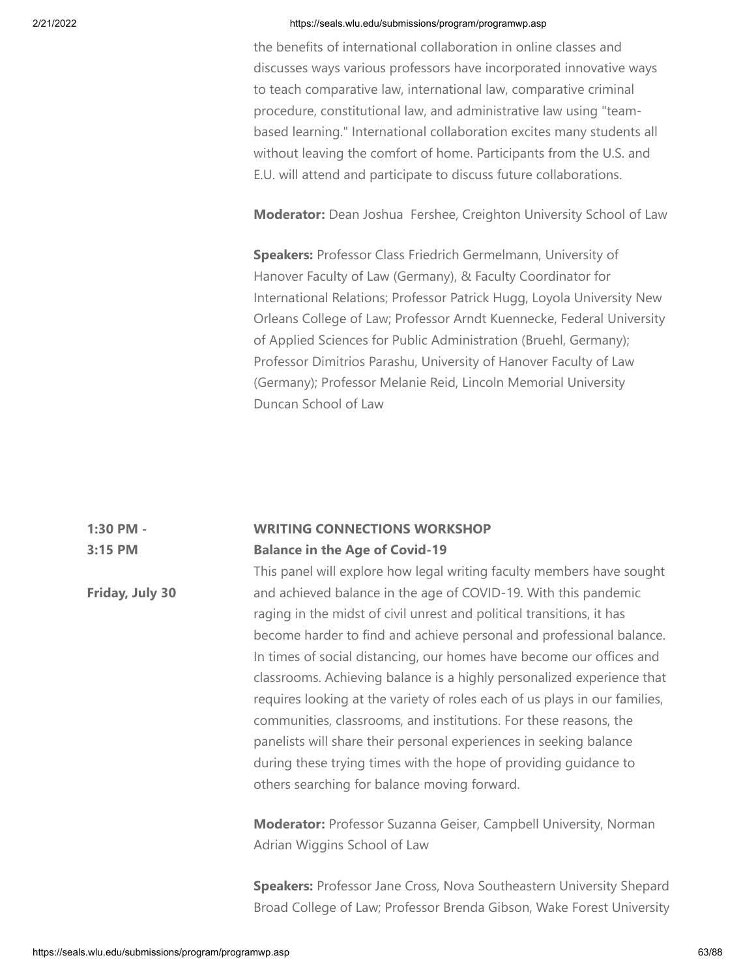the benefits of international collaboration in online classes and discusses ways various professors have incorporated innovative ways to teach comparative law, international law, comparative criminal procedure, constitutional law, and administrative law using "teambased learning." International collaboration excites many students all without leaving the comfort of home. Participants from the U.S. and E.U. will attend and participate to discuss future collaborations.

**Moderator:** Dean Joshua Fershee, Creighton University School of Law

**Speakers:** Professor Class Friedrich Germelmann, University of Hanover Faculty of Law (Germany), & Faculty Coordinator for International Relations; Professor Patrick Hugg, Loyola University New Orleans College of Law; Professor Arndt Kuennecke, Federal University of Applied Sciences for Public Administration (Bruehl, Germany); Professor Dimitrios Parashu, University of Hanover Faculty of Law (Germany); Professor Melanie Reid, Lincoln Memorial University Duncan School of Law

### **1:30 PM - 3:15 PM WRITING CONNECTIONS WORKSHOP Balance in the Age of Covid-19**

**Friday, July 30** This panel will explore how legal writing faculty members have sought and achieved balance in the age of COVID-19. With this pandemic raging in the midst of civil unrest and political transitions, it has become harder to find and achieve personal and professional balance. In times of social distancing, our homes have become our offices and classrooms. Achieving balance is a highly personalized experience that requires looking at the variety of roles each of us plays in our families, communities, classrooms, and institutions. For these reasons, the panelists will share their personal experiences in seeking balance during these trying times with the hope of providing guidance to others searching for balance moving forward.

> **Moderator:** Professor Suzanna Geiser, Campbell University, Norman Adrian Wiggins School of Law

**Speakers:** Professor Jane Cross, Nova Southeastern University Shepard Broad College of Law; Professor Brenda Gibson, Wake Forest University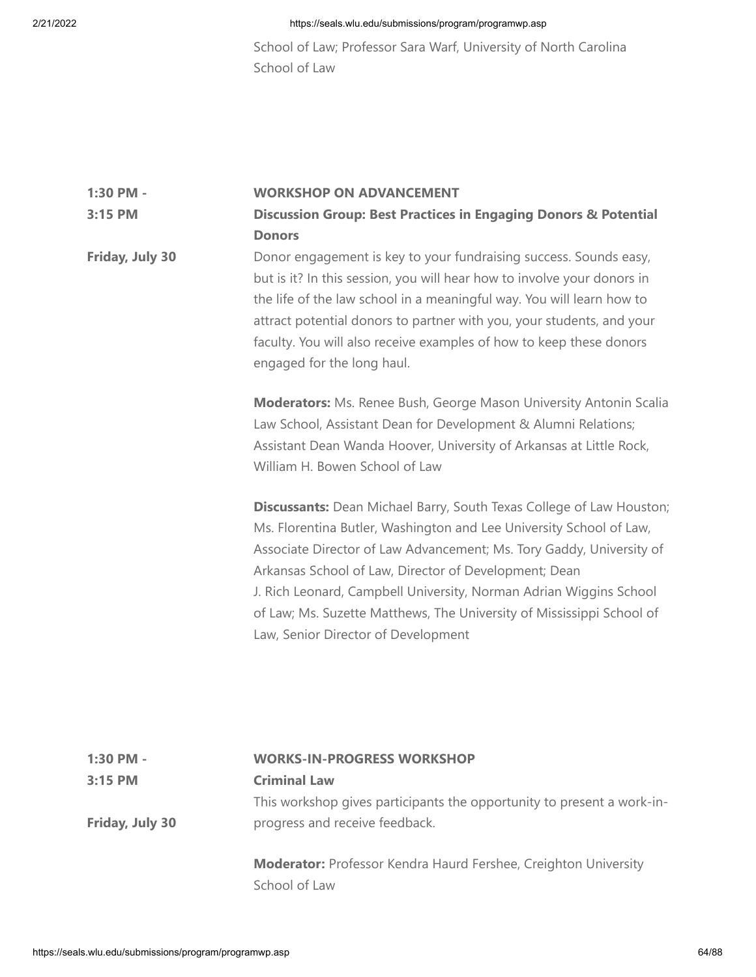School of Law; Professor Sara Warf, University of North Carolina School of Law

#### **1:30 PM - WORKSHOP ON ADVANCEMENT**

## **3:15 PM Discussion Group: Best Practices in Engaging Donors & Potential Donors**

**Friday, July 30** Donor engagement is key to your fundraising success. Sounds easy, but is it? In this session, you will hear how to involve your donors in the life of the law school in a meaningful way. You will learn how to attract potential donors to partner with you, your students, and your faculty. You will also receive examples of how to keep these donors engaged for the long haul.

> **Moderators:** Ms. Renee Bush, George Mason University Antonin Scalia Law School, Assistant Dean for Development & Alumni Relations; Assistant Dean Wanda Hoover, University of Arkansas at Little Rock, William H. Bowen School of Law

> **Discussants:** Dean Michael Barry, South Texas College of Law Houston; Ms. Florentina Butler, Washington and Lee University School of Law, Associate Director of Law Advancement; Ms. Tory Gaddy, University of Arkansas School of Law, Director of Development; Dean J. Rich Leonard, Campbell University, Norman Adrian Wiggins School of Law; Ms. Suzette Matthews, The University of Mississippi School of Law, Senior Director of Development

| 1:30 PM -       | <b>WORKS-IN-PROGRESS WORKSHOP</b>                                                                        |
|-----------------|----------------------------------------------------------------------------------------------------------|
| $3:15$ PM       | <b>Criminal Law</b>                                                                                      |
| Friday, July 30 | This workshop gives participants the opportunity to present a work-in-<br>progress and receive feedback. |
|                 | <b>Moderator:</b> Professor Kendra Haurd Fershee, Creighton University                                   |

School of Law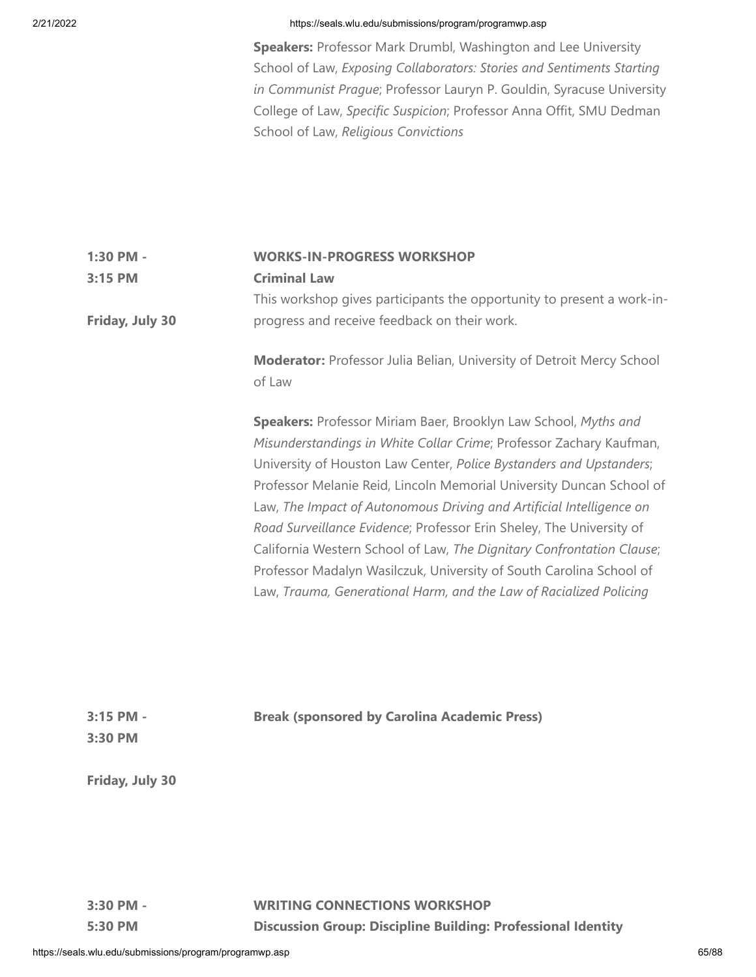**Speakers:** Professor Mark Drumbl, Washington and Lee University School of Law, *Exposing Collaborators: Stories and Sentiments Starting in Communist Prague*; Professor Lauryn P. Gouldin, Syracuse University College of Law, *Specific Suspicion*; Professor Anna Offit, SMU Dedman School of Law, *Religious Convictions*

| 1:30 PM -<br>3:15 PM<br>Friday, July 30 | <b>WORKS-IN-PROGRESS WORKSHOP</b><br><b>Criminal Law</b><br>This workshop gives participants the opportunity to present a work-in-<br>progress and receive feedback on their work.                                                                                                                                                                                                                                                                                                                                                                                                                                                                          |
|-----------------------------------------|-------------------------------------------------------------------------------------------------------------------------------------------------------------------------------------------------------------------------------------------------------------------------------------------------------------------------------------------------------------------------------------------------------------------------------------------------------------------------------------------------------------------------------------------------------------------------------------------------------------------------------------------------------------|
|                                         | Moderator: Professor Julia Belian, University of Detroit Mercy School<br>of Law                                                                                                                                                                                                                                                                                                                                                                                                                                                                                                                                                                             |
|                                         | Speakers: Professor Miriam Baer, Brooklyn Law School, Myths and<br>Misunderstandings in White Collar Crime; Professor Zachary Kaufman,<br>University of Houston Law Center, Police Bystanders and Upstanders;<br>Professor Melanie Reid, Lincoln Memorial University Duncan School of<br>Law, The Impact of Autonomous Driving and Artificial Intelligence on<br>Road Surveillance Evidence; Professor Erin Sheley, The University of<br>California Western School of Law, The Dignitary Confrontation Clause;<br>Professor Madalyn Wasilczuk, University of South Carolina School of<br>Law, Trauma, Generational Harm, and the Law of Racialized Policing |
| 3:15 PM -<br>3:30 PM                    | <b>Break (sponsored by Carolina Academic Press)</b>                                                                                                                                                                                                                                                                                                                                                                                                                                                                                                                                                                                                         |
| Friday, July 30                         |                                                                                                                                                                                                                                                                                                                                                                                                                                                                                                                                                                                                                                                             |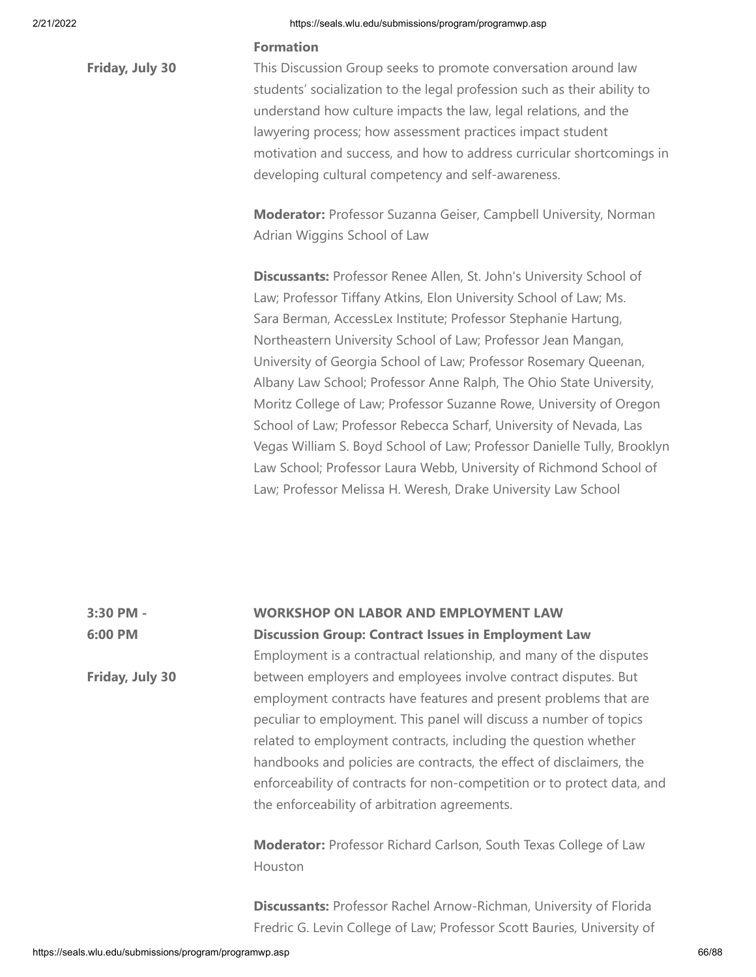**Friday, July 30**

## 2/21/2022 https://seals.wlu.edu/submissions/program/programwp.asp

## **Formation**

This Discussion Group seeks to promote conversation around law students' socialization to the legal profession such as their ability to understand how culture impacts the law, legal relations, and the lawyering process; how assessment practices impact student motivation and success, and how to address curricular shortcomings in developing cultural competency and self-awareness.

**Moderator:** Professor Suzanna Geiser, Campbell University, Norman Adrian Wiggins School of Law

**Discussants:** Professor Renee Allen, St. John's University School of Law; Professor Tiffany Atkins, Elon University School of Law; Ms. Sara Berman, AccessLex Institute; Professor Stephanie Hartung, Northeastern University School of Law; Professor Jean Mangan, University of Georgia School of Law; Professor Rosemary Queenan, Albany Law School; Professor Anne Ralph, The Ohio State University, Moritz College of Law; Professor Suzanne Rowe, University of Oregon School of Law; Professor Rebecca Scharf, University of Nevada, Las Vegas William S. Boyd School of Law; Professor Danielle Tully, Brooklyn Law School; Professor Laura Webb, University of Richmond School of Law; Professor Melissa H. Weresh, Drake University Law School

**3:30 PM - 6:00 PM Friday, July 30 WORKSHOP ON LABOR AND EMPLOYMENT LAW Discussion Group: Contract Issues in Employment Law** Employment is a contractual relationship, and many of the disputes between employers and employees involve contract disputes. But employment contracts have features and present problems that are peculiar to employment. This panel will discuss a number of topics related to employment contracts, including the question whether handbooks and policies are contracts, the effect of disclaimers, the enforceability of contracts for non-competition or to protect data, and the enforceability of arbitration agreements. **Moderator:** Professor Richard Carlson, South Texas College of Law

Houston

**Discussants:** Professor Rachel Arnow-Richman, University of Florida Fredric G. Levin College of Law; Professor Scott Bauries, University of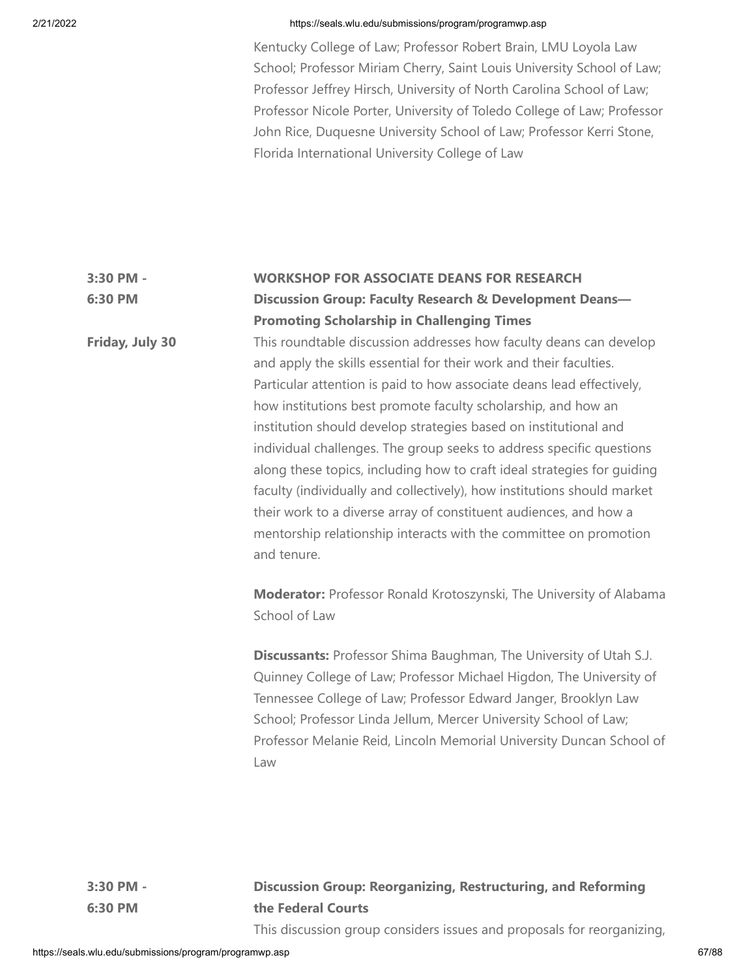Kentucky College of Law; Professor Robert Brain, LMU Loyola Law School; Professor Miriam Cherry, Saint Louis University School of Law; Professor Jeffrey Hirsch, University of North Carolina School of Law; Professor Nicole Porter, University of Toledo College of Law; Professor John Rice, Duquesne University School of Law; Professor Kerri Stone, Florida International University College of Law

## **3:30 PM - 6:30 PM WORKSHOP FOR ASSOCIATE DEANS FOR RESEARCH Discussion Group: Faculty Research & Development Deans— Promoting Scholarship in Challenging Times**

This roundtable discussion addresses how faculty deans can develop and apply the skills essential for their work and their faculties. Particular attention is paid to how associate deans lead effectively, how institutions best promote faculty scholarship, and how an institution should develop strategies based on institutional and individual challenges. The group seeks to address specific questions along these topics, including how to craft ideal strategies for guiding faculty (individually and collectively), how institutions should market their work to a diverse array of constituent audiences, and how a mentorship relationship interacts with the committee on promotion and tenure.

**Moderator:** Professor Ronald Krotoszynski, The University of Alabama School of Law

**Discussants:** Professor Shima Baughman, The University of Utah S.J. Quinney College of Law; Professor Michael Higdon, The University of Tennessee College of Law; Professor Edward Janger, Brooklyn Law School; Professor Linda Jellum, Mercer University School of Law; Professor Melanie Reid, Lincoln Memorial University Duncan School of Law

**3:30 PM - 6:30 PM**

**Friday, July 30**

# **Discussion Group: Reorganizing, Restructuring, and Reforming the Federal Courts**

This discussion group considers issues and proposals for reorganizing,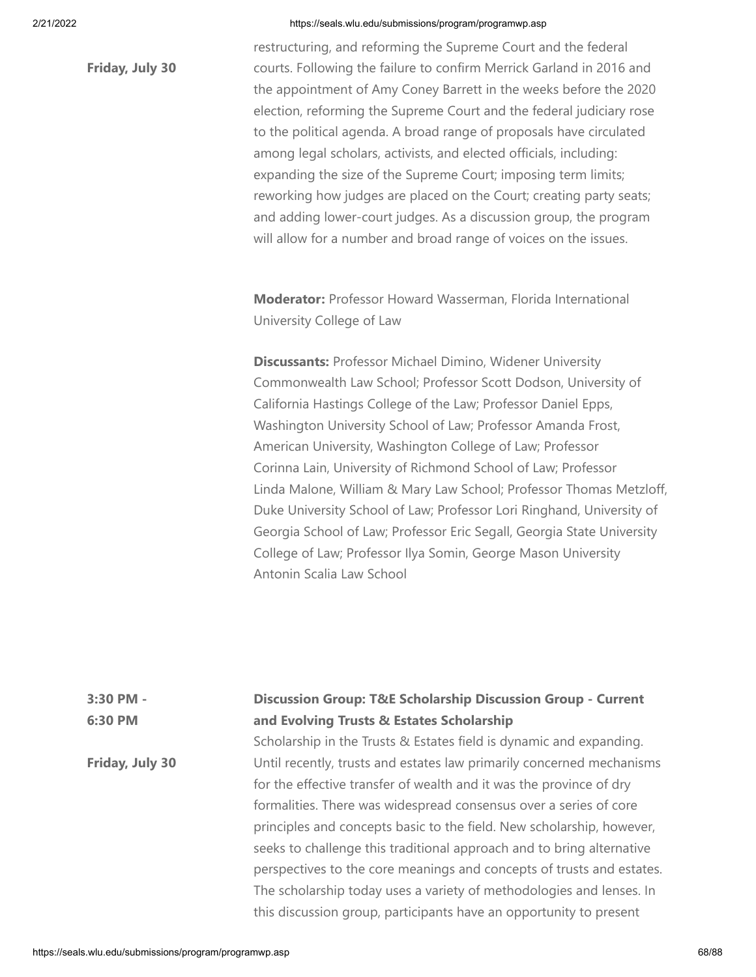**Friday, July 30**

restructuring, and reforming the Supreme Court and the federal courts. Following the failure to confirm Merrick Garland in 2016 and the appointment of Amy Coney Barrett in the weeks before the 2020 election, reforming the Supreme Court and the federal judiciary rose to the political agenda. A broad range of proposals have circulated among legal scholars, activists, and elected officials, including: expanding the size of the Supreme Court; imposing term limits; reworking how judges are placed on the Court; creating party seats; and adding lower-court judges. As a discussion group, the program will allow for a number and broad range of voices on the issues.

**Moderator:** Professor Howard Wasserman, Florida International University College of Law

**Discussants:** Professor Michael Dimino, Widener University Commonwealth Law School; Professor Scott Dodson, University of California Hastings College of the Law; Professor Daniel Epps, Washington University School of Law; Professor Amanda Frost, American University, Washington College of Law; Professor Corinna Lain, University of Richmond School of Law; Professor Linda Malone, William & Mary Law School; Professor Thomas Metzloff, Duke University School of Law; Professor Lori Ringhand, University of Georgia School of Law; Professor Eric Segall, Georgia State University College of Law; Professor Ilya Somin, George Mason University Antonin Scalia Law School

# **3:30 PM - 6:30 PM Friday, July 30 Discussion Group: T&E Scholarship Discussion Group - Current and Evolving Trusts & Estates Scholarship** Scholarship in the Trusts & Estates field is dynamic and expanding. Until recently, trusts and estates law primarily concerned mechanisms for the effective transfer of wealth and it was the province of dry formalities. There was widespread consensus over a series of core principles and concepts basic to the field. New scholarship, however, seeks to challenge this traditional approach and to bring alternative perspectives to the core meanings and concepts of trusts and estates. The scholarship today uses a variety of methodologies and lenses. In this discussion group, participants have an opportunity to present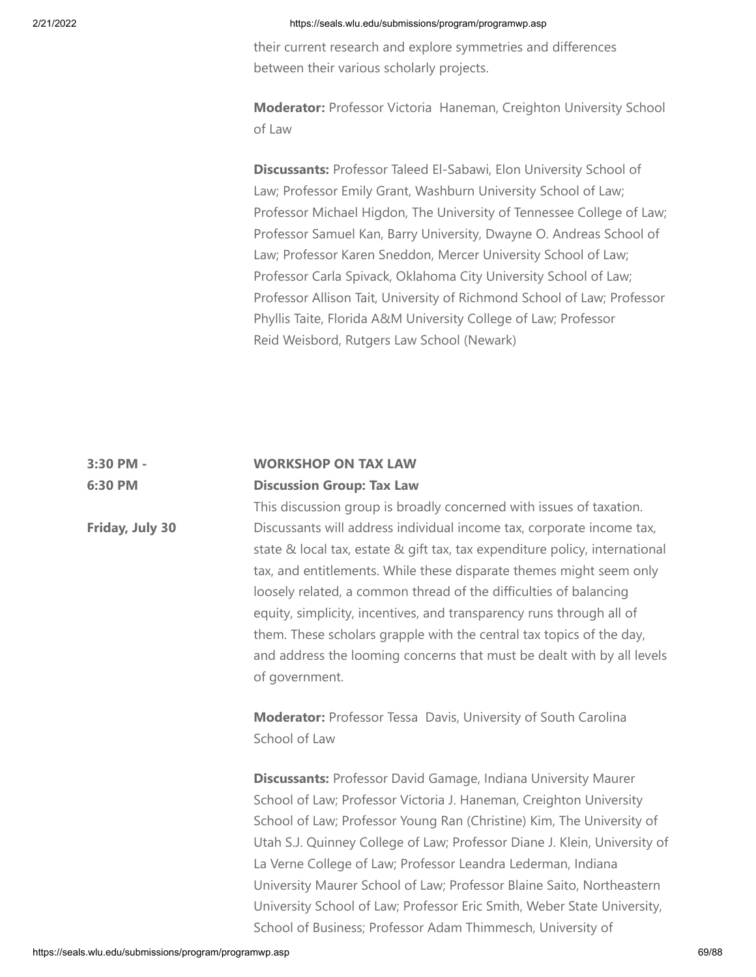their current research and explore symmetries and differences between their various scholarly projects.

**Moderator:** Professor Victoria Haneman, Creighton University School of Law

**Discussants:** Professor Taleed El-Sabawi, Elon University School of Law; Professor Emily Grant, Washburn University School of Law; Professor Michael Higdon, The University of Tennessee College of Law; Professor Samuel Kan, Barry University, Dwayne O. Andreas School of Law; Professor Karen Sneddon, Mercer University School of Law; Professor Carla Spivack, Oklahoma City University School of Law; Professor Allison Tait, University of Richmond School of Law; Professor Phyllis Taite, Florida A&M University College of Law; Professor Reid Weisbord, Rutgers Law School (Newark)

#### **3:30 PM - 6:30 PM WORKSHOP ON TAX LAW Discussion Group: Tax Law**

This discussion group is broadly concerned with issues of taxation. Discussants will address individual income tax, corporate income tax, state & local tax, estate & gift tax, tax expenditure policy, international tax, and entitlements. While these disparate themes might seem only loosely related, a common thread of the difficulties of balancing equity, simplicity, incentives, and transparency runs through all of them. These scholars grapple with the central tax topics of the day, and address the looming concerns that must be dealt with by all levels of government.

**Moderator:** Professor Tessa Davis, University of South Carolina School of Law

**Discussants:** Professor David Gamage, Indiana University Maurer School of Law; Professor Victoria J. Haneman, Creighton University School of Law; Professor Young Ran (Christine) Kim, The University of Utah S.J. Quinney College of Law; Professor Diane J. Klein, University of La Verne College of Law; Professor Leandra Lederman, Indiana University Maurer School of Law; Professor Blaine Saito, Northeastern University School of Law; Professor Eric Smith, Weber State University, School of Business; Professor Adam Thimmesch, University of

**Friday, July 30**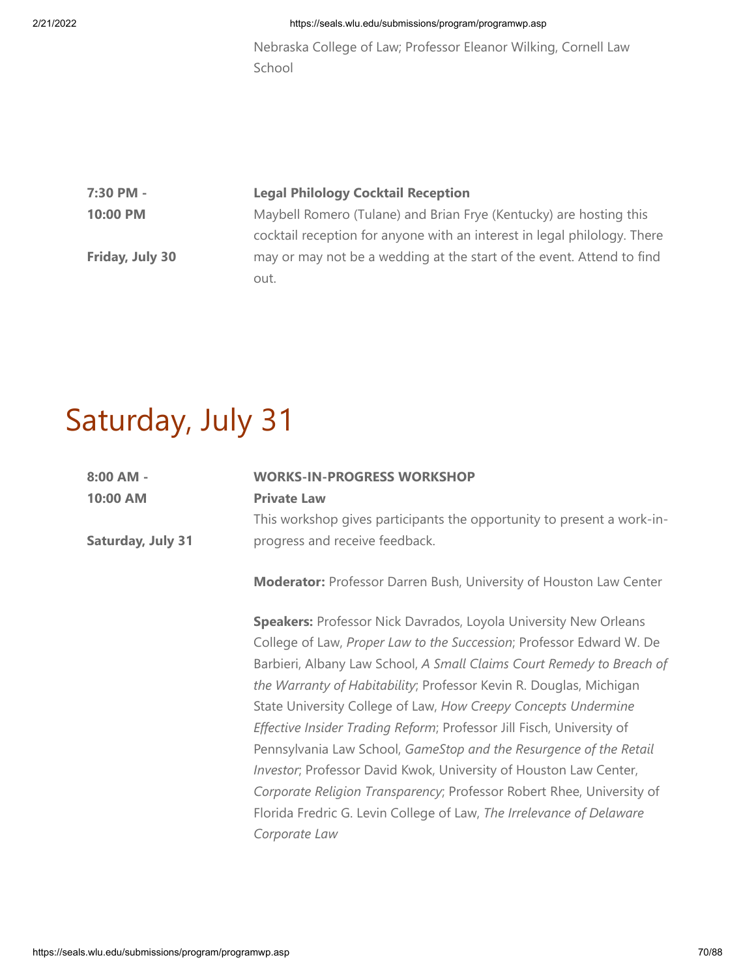Nebraska College of Law; Professor Eleanor Wilking, Cornell Law School

| 7:30 PM -       | <b>Legal Philology Cocktail Reception</b>                                |
|-----------------|--------------------------------------------------------------------------|
| 10:00 PM        | Maybell Romero (Tulane) and Brian Frye (Kentucky) are hosting this       |
|                 | cocktail reception for anyone with an interest in legal philology. There |
| Friday, July 30 | may or may not be a wedding at the start of the event. Attend to find    |
|                 | out.                                                                     |
|                 |                                                                          |

# Saturday, July 31

| $8:00$ AM -              | <b>WORKS-IN-PROGRESS WORKSHOP</b>                                         |
|--------------------------|---------------------------------------------------------------------------|
| 10:00 AM                 | <b>Private Law</b>                                                        |
|                          | This workshop gives participants the opportunity to present a work-in-    |
| <b>Saturday, July 31</b> | progress and receive feedback.                                            |
|                          | <b>Moderator:</b> Professor Darren Bush, University of Houston Law Center |
|                          | <b>Speakers:</b> Professor Nick Davrados, Loyola University New Orleans   |
|                          | College of Law, Proper Law to the Succession; Professor Edward W. De      |
|                          | Barbieri, Albany Law School, A Small Claims Court Remedy to Breach of     |
|                          | the Warranty of Habitability; Professor Kevin R. Douglas, Michigan        |
|                          | State University College of Law, How Creepy Concepts Undermine            |
|                          | Effective Insider Trading Reform; Professor Jill Fisch, University of     |
|                          | Pennsylvania Law School, GameStop and the Resurgence of the Retail        |
|                          | Investor; Professor David Kwok, University of Houston Law Center,         |
|                          | Corporate Religion Transparency; Professor Robert Rhee, University of     |
|                          | Florida Fredric G. Levin College of Law, The Irrelevance of Delaware      |
|                          | Corporate Law                                                             |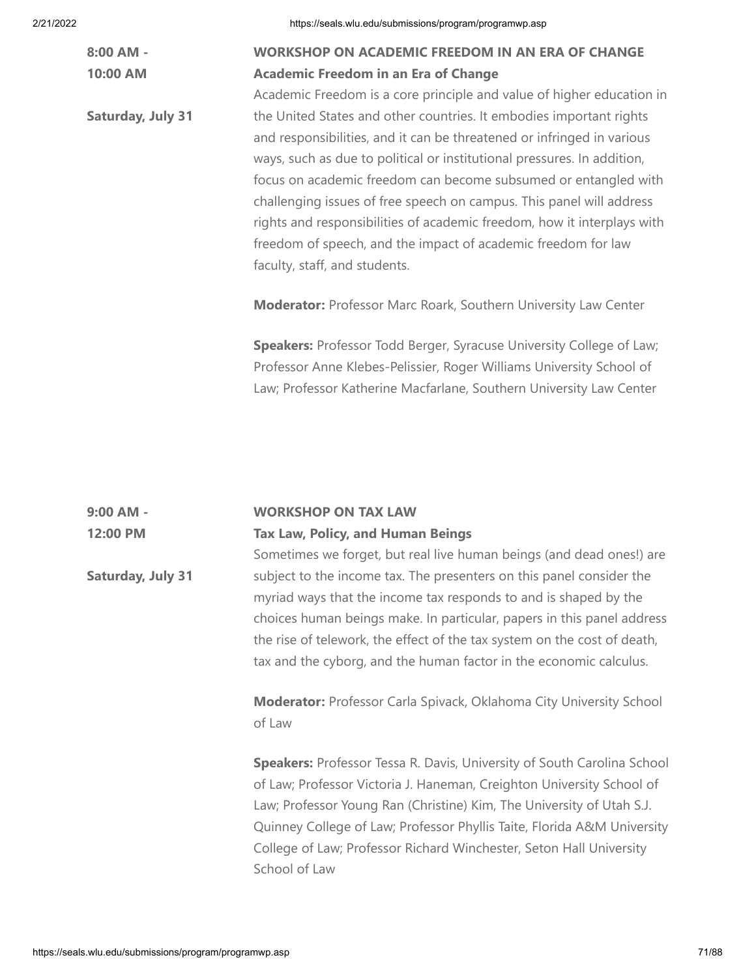| $8:00$ AM -              | <b>WORKSHOP ON ACADEMIC FREEDOM IN AN ERA OF CHANGE</b>                 |
|--------------------------|-------------------------------------------------------------------------|
| 10:00 AM                 | <b>Academic Freedom in an Era of Change</b>                             |
|                          | Academic Freedom is a core principle and value of higher education in   |
| <b>Saturday, July 31</b> | the United States and other countries. It embodies important rights     |
|                          | and responsibilities, and it can be threatened or infringed in various  |
|                          | ways, such as due to political or institutional pressures. In addition, |
|                          | focus on academic freedom can become subsumed or entangled with         |
|                          | challenging issues of free speech on campus. This panel will address    |
|                          | rights and responsibilities of academic freedom, how it interplays with |
|                          | freedom of speech, and the impact of academic freedom for law           |
|                          | faculty, staff, and students.                                           |
|                          | <b>Moderator:</b> Professor Marc Roark, Southern University Law Center  |
|                          | Speakers: Professor Todd Berger, Syracuse University College of Law;    |
|                          | Professor Anne Klebes-Pelissier, Roger Williams University School of    |
|                          | Law; Professor Katherine Macfarlane, Southern University Law Center     |

| $9:00$ AM - | <b>WORKSHOP ON TAX LAW</b>               |
|-------------|------------------------------------------|
| 12:00 PM    | <b>Tax Law, Policy, and Human Beings</b> |

**Saturday, July 31** Sometimes we forget, but real live human beings (and dead ones!) are subject to the income tax. The presenters on this panel consider the myriad ways that the income tax responds to and is shaped by the choices human beings make. In particular, papers in this panel address the rise of telework, the effect of the tax system on the cost of death, tax and the cyborg, and the human factor in the economic calculus.

> **Moderator:** Professor Carla Spivack, Oklahoma City University School of Law

**Speakers:** Professor Tessa R. Davis, University of South Carolina School of Law; Professor Victoria J. Haneman, Creighton University School of Law; Professor Young Ran (Christine) Kim, The University of Utah S.J. Quinney College of Law; Professor Phyllis Taite, Florida A&M University College of Law; Professor Richard Winchester, Seton Hall University School of Law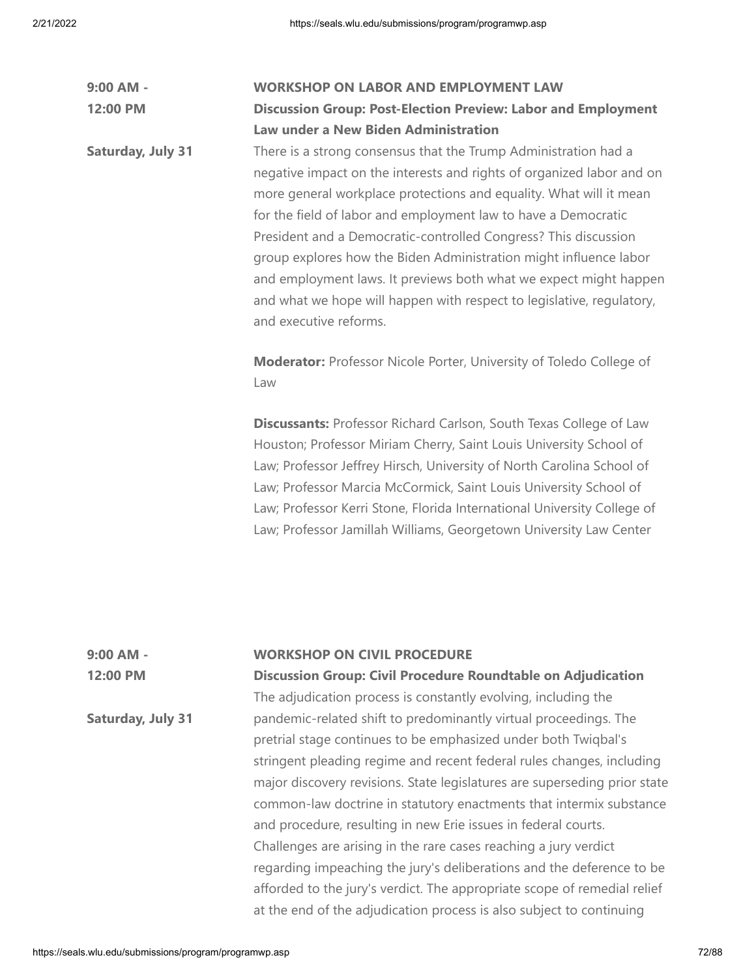| $9:00$ AM -              | <b>WORKSHOP ON LABOR AND EMPLOYMENT LAW</b>                                                                                                                                                                                                                                                                                                                                                                                                                                                                                                                                                      |
|--------------------------|--------------------------------------------------------------------------------------------------------------------------------------------------------------------------------------------------------------------------------------------------------------------------------------------------------------------------------------------------------------------------------------------------------------------------------------------------------------------------------------------------------------------------------------------------------------------------------------------------|
| 12:00 PM                 | <b>Discussion Group: Post-Election Preview: Labor and Employment</b>                                                                                                                                                                                                                                                                                                                                                                                                                                                                                                                             |
|                          | Law under a New Biden Administration                                                                                                                                                                                                                                                                                                                                                                                                                                                                                                                                                             |
| <b>Saturday, July 31</b> | There is a strong consensus that the Trump Administration had a<br>negative impact on the interests and rights of organized labor and on<br>more general workplace protections and equality. What will it mean<br>for the field of labor and employment law to have a Democratic<br>President and a Democratic-controlled Congress? This discussion<br>group explores how the Biden Administration might influence labor<br>and employment laws. It previews both what we expect might happen<br>and what we hope will happen with respect to legislative, regulatory,<br>and executive reforms. |
|                          | <b>Moderator:</b> Professor Nicole Porter, University of Toledo College of<br>Law                                                                                                                                                                                                                                                                                                                                                                                                                                                                                                                |
|                          | <b>Discussants: Professor Richard Carlson, South Texas College of Law</b><br>Houston; Professor Miriam Cherry, Saint Louis University School of<br>Law; Professor Jeffrey Hirsch, University of North Carolina School of<br>Law; Professor Marcia McCormick, Saint Louis University School of<br>Law; Professor Kerri Stone, Florida International University College of<br>Law; Professor Jamillah Williams, Georgetown University Law Center                                                                                                                                                   |

| 9:00 AM -                | <b>WORKSHOP ON CIVIL PROCEDURE</b>                                        |
|--------------------------|---------------------------------------------------------------------------|
| 12:00 PM                 | <b>Discussion Group: Civil Procedure Roundtable on Adjudication</b>       |
|                          | The adjudication process is constantly evolving, including the            |
| <b>Saturday, July 31</b> | pandemic-related shift to predominantly virtual proceedings. The          |
|                          | pretrial stage continues to be emphasized under both Twigbal's            |
|                          | stringent pleading regime and recent federal rules changes, including     |
|                          | major discovery revisions. State legislatures are superseding prior state |
|                          | common-law doctrine in statutory enactments that intermix substance       |
|                          | and procedure, resulting in new Erie issues in federal courts.            |
|                          | Challenges are arising in the rare cases reaching a jury verdict          |
|                          | regarding impeaching the jury's deliberations and the deference to be     |
|                          | afforded to the jury's verdict. The appropriate scope of remedial relief  |
|                          | at the end of the adjudication process is also subject to continuing      |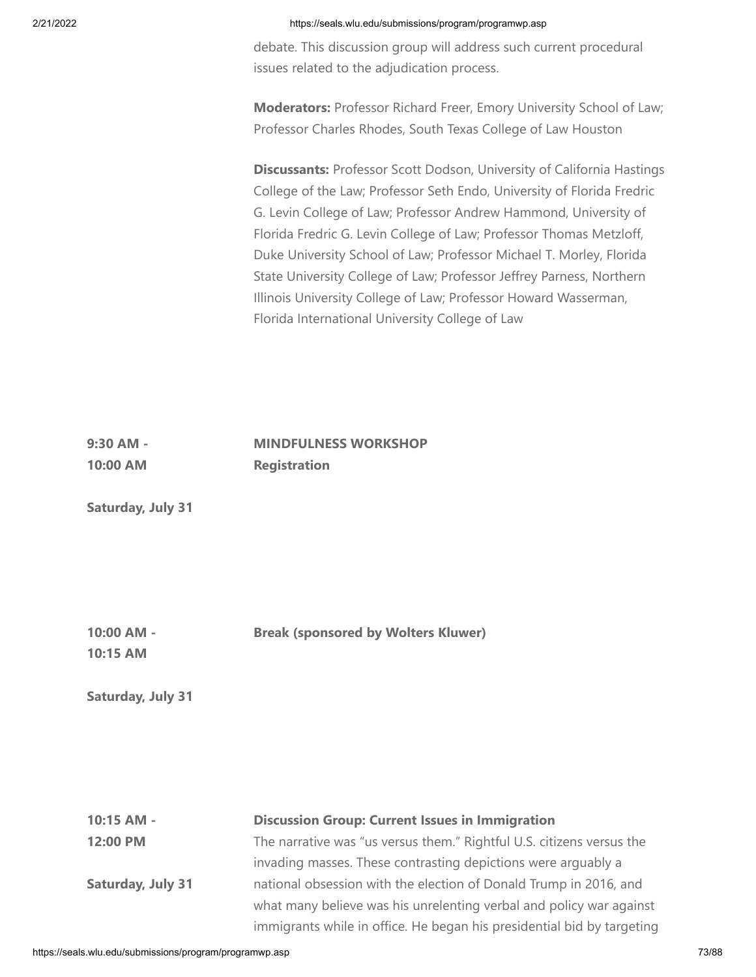debate. This discussion group will address such current procedural issues related to the adjudication process.

**Moderators:** Professor Richard Freer, Emory University School of Law; Professor Charles Rhodes, South Texas College of Law Houston

**Discussants:** Professor Scott Dodson, University of California Hastings College of the Law; Professor Seth Endo, University of Florida Fredric G. Levin College of Law; Professor Andrew Hammond, University of Florida Fredric G. Levin College of Law; Professor Thomas Metzloff, Duke University School of Law; Professor Michael T. Morley, Florida State University College of Law; Professor Jeffrey Parness, Northern Illinois University College of Law; Professor Howard Wasserman, Florida International University College of Law

#### **9:30 AM - 10:00 AM MINDFULNESS WORKSHOP Registration**

**Saturday, July 31**

**10:00 AM - Break (sponsored by Wolters Kluwer)**

**10:15 AM**

**Saturday, July 31**

**10:15 AM - 12:00 PM Saturday, July 31 Discussion Group: Current Issues in Immigration** The narrative was "us versus them." Rightful U.S. citizens versus the invading masses. These contrasting depictions were arguably a national obsession with the election of Donald Trump in 2016, and what many believe was his unrelenting verbal and policy war against immigrants while in office. He began his presidential bid by targeting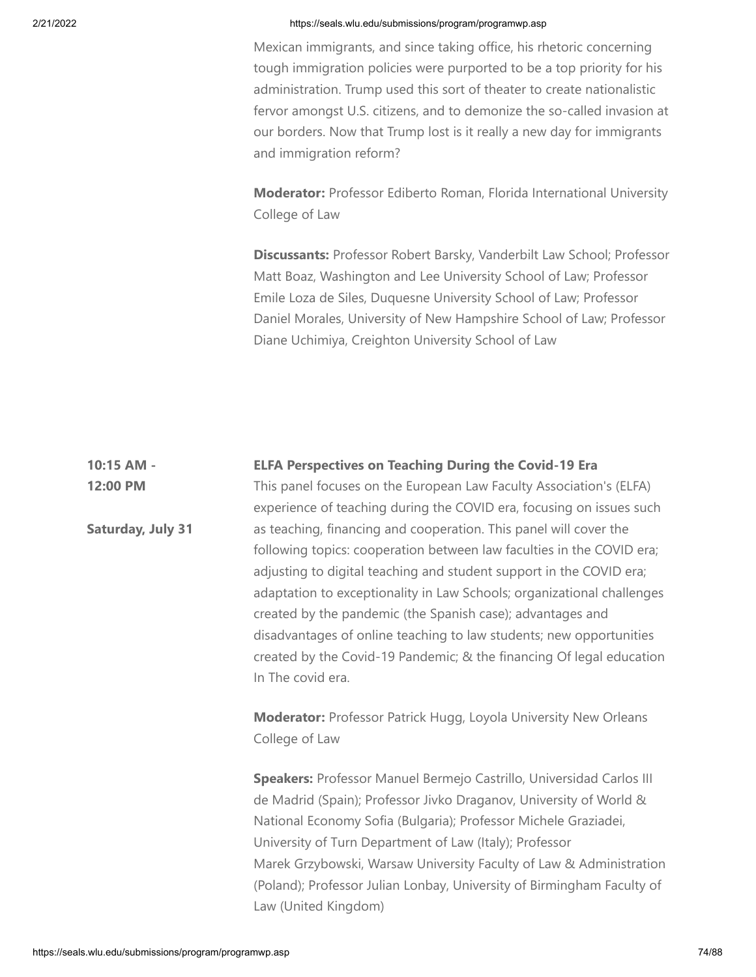Mexican immigrants, and since taking office, his rhetoric concerning tough immigration policies were purported to be a top priority for his administration. Trump used this sort of theater to create nationalistic fervor amongst U.S. citizens, and to demonize the so-called invasion at our borders. Now that Trump lost is it really a new day for immigrants and immigration reform?

**Moderator:** Professor Ediberto Roman, Florida International University College of Law

**Discussants:** Professor Robert Barsky, Vanderbilt Law School; Professor Matt Boaz, Washington and Lee University School of Law; Professor Emile Loza de Siles, Duquesne University School of Law; Professor Daniel Morales, University of New Hampshire School of Law; Professor Diane Uchimiya, Creighton University School of Law

#### **10:15 AM - ELFA Perspectives on Teaching During the Covid-19 Era**

This panel focuses on the European Law Faculty Association's (ELFA) experience of teaching during the COVID era, focusing on issues such as teaching, financing and cooperation. This panel will cover the following topics: cooperation between law faculties in the COVID era; adjusting to digital teaching and student support in the COVID era; adaptation to exceptionality in Law Schools; organizational challenges created by the pandemic (the Spanish case); advantages and disadvantages of online teaching to law students; new opportunities created by the Covid-19 Pandemic; & the financing Of legal education In The covid era.

**Moderator:** Professor Patrick Hugg, Loyola University New Orleans College of Law

**Speakers:** Professor Manuel Bermejo Castrillo, Universidad Carlos III de Madrid (Spain); Professor Jivko Draganov, University of World & National Economy Sofia (Bulgaria); Professor Michele Graziadei, University of Turn Department of Law (Italy); Professor Marek Grzybowski, Warsaw University Faculty of Law & Administration (Poland); Professor Julian Lonbay, University of Birmingham Faculty of Law (United Kingdom)

**12:00 PM**

**Saturday, July 31**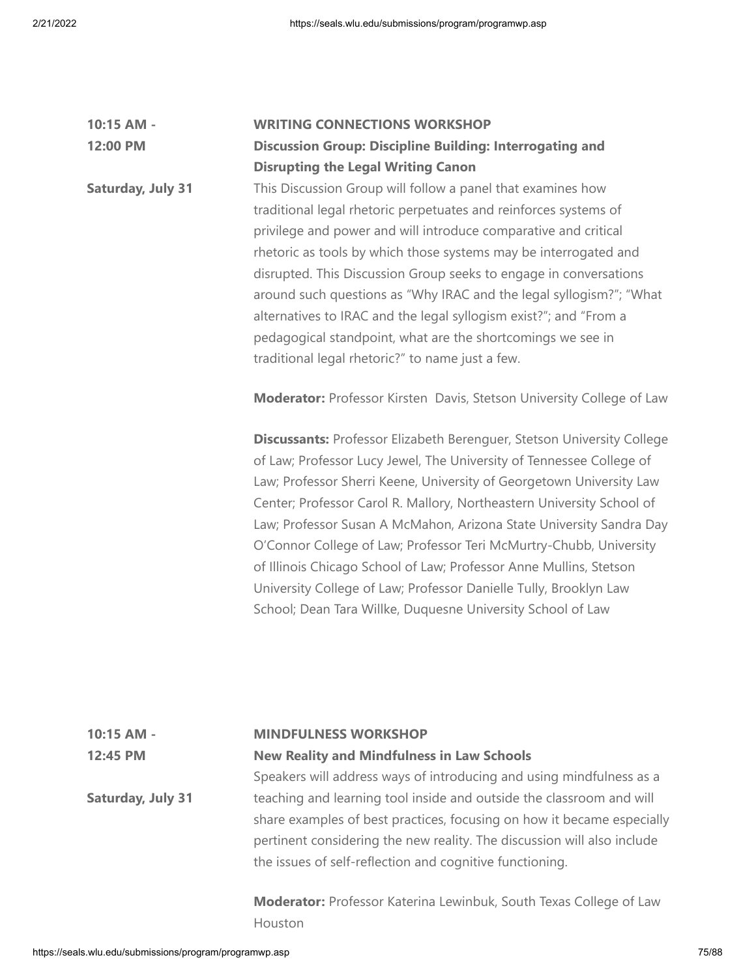| 10:15 AM -               | <b>WRITING CONNECTIONS WORKSHOP</b>                                          |
|--------------------------|------------------------------------------------------------------------------|
| 12:00 PM                 | <b>Discussion Group: Discipline Building: Interrogating and</b>              |
|                          | <b>Disrupting the Legal Writing Canon</b>                                    |
| <b>Saturday, July 31</b> | This Discussion Group will follow a panel that examines how                  |
|                          | traditional legal rhetoric perpetuates and reinforces systems of             |
|                          | privilege and power and will introduce comparative and critical              |
|                          | rhetoric as tools by which those systems may be interrogated and             |
|                          | disrupted. This Discussion Group seeks to engage in conversations            |
|                          | around such questions as "Why IRAC and the legal syllogism?"; "What          |
|                          | alternatives to IRAC and the legal syllogism exist?"; and "From a            |
|                          | pedagogical standpoint, what are the shortcomings we see in                  |
|                          | traditional legal rhetoric?" to name just a few.                             |
|                          | <b>Moderator:</b> Professor Kirsten Davis, Stetson University College of Law |
|                          | Discussants: Professor Elizabeth Berenguer, Stetson University College       |
|                          | of Law; Professor Lucy Jewel, The University of Tennessee College of         |
|                          | Law; Professor Sherri Keene, University of Georgetown University Law         |
|                          | Center; Professor Carol R. Mallory, Northeastern University School of        |

Law; Professor Susan A McMahon, Arizona State University Sandra Day O'Connor College of Law; Professor Teri McMurtry-Chubb, University of Illinois Chicago School of Law; Professor Anne Mullins, Stetson University College of Law; Professor Danielle Tully, Brooklyn Law School; Dean Tara Willke, Duquesne University School of Law

## **10:15 AM - 12:45 PM Saturday, July 31 MINDFULNESS WORKSHOP New Reality and Mindfulness in Law Schools** Speakers will address ways of introducing and using mindfulness as a teaching and learning tool inside and outside the classroom and will share examples of best practices, focusing on how it became especially

**Moderator:** Professor Katerina Lewinbuk, South Texas College of Law Houston

pertinent considering the new reality. The discussion will also include

the issues of self-reflection and cognitive functioning.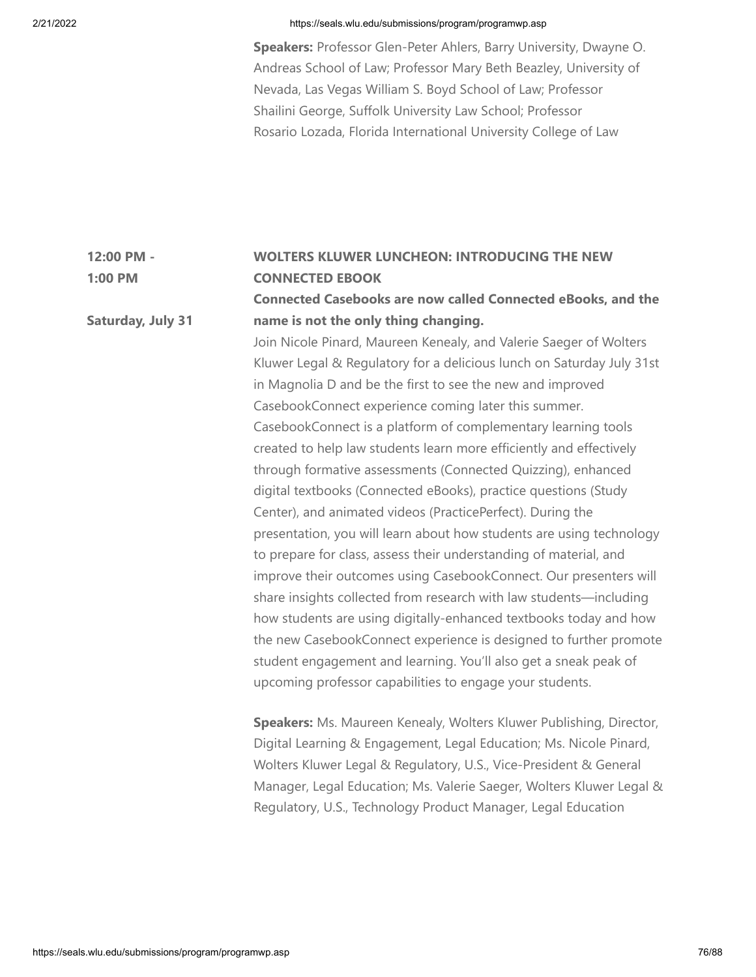**Saturday, July 31**

## 2/21/2022 https://seals.wlu.edu/submissions/program/programwp.asp

**Speakers:** Professor Glen-Peter Ahlers, Barry University, Dwayne O. Andreas School of Law; Professor Mary Beth Beazley, University of Nevada, Las Vegas William S. Boyd School of Law; Professor Shailini George, Suffolk University Law School; Professor Rosario Lozada, Florida International University College of Law

### **12:00 PM - 1:00 PM WOLTERS KLUWER LUNCHEON: INTRODUCING THE NEW CONNECTED EBOOK**

# **Connected Casebooks are now called Connected eBooks, and the name is not the only thing changing.**

Join Nicole Pinard, Maureen Kenealy, and Valerie Saeger of Wolters Kluwer Legal & Regulatory for a delicious lunch on Saturday July 31st in Magnolia D and be the first to see the new and improved CasebookConnect experience coming later this summer. CasebookConnect is a platform of complementary learning tools created to help law students learn more efficiently and effectively through formative assessments (Connected Quizzing), enhanced digital textbooks (Connected eBooks), practice questions (Study Center), and animated videos (PracticePerfect). During the presentation, you will learn about how students are using technology to prepare for class, assess their understanding of material, and improve their outcomes using CasebookConnect. Our presenters will share insights collected from research with law students—including how students are using digitally-enhanced textbooks today and how the new CasebookConnect experience is designed to further promote student engagement and learning. You'll also get a sneak peak of upcoming professor capabilities to engage your students.

**Speakers:** Ms. Maureen Kenealy, Wolters Kluwer Publishing, Director, Digital Learning & Engagement, Legal Education; Ms. Nicole Pinard, Wolters Kluwer Legal & Regulatory, U.S., Vice-President & General Manager, Legal Education; Ms. Valerie Saeger, Wolters Kluwer Legal & Regulatory, U.S., Technology Product Manager, Legal Education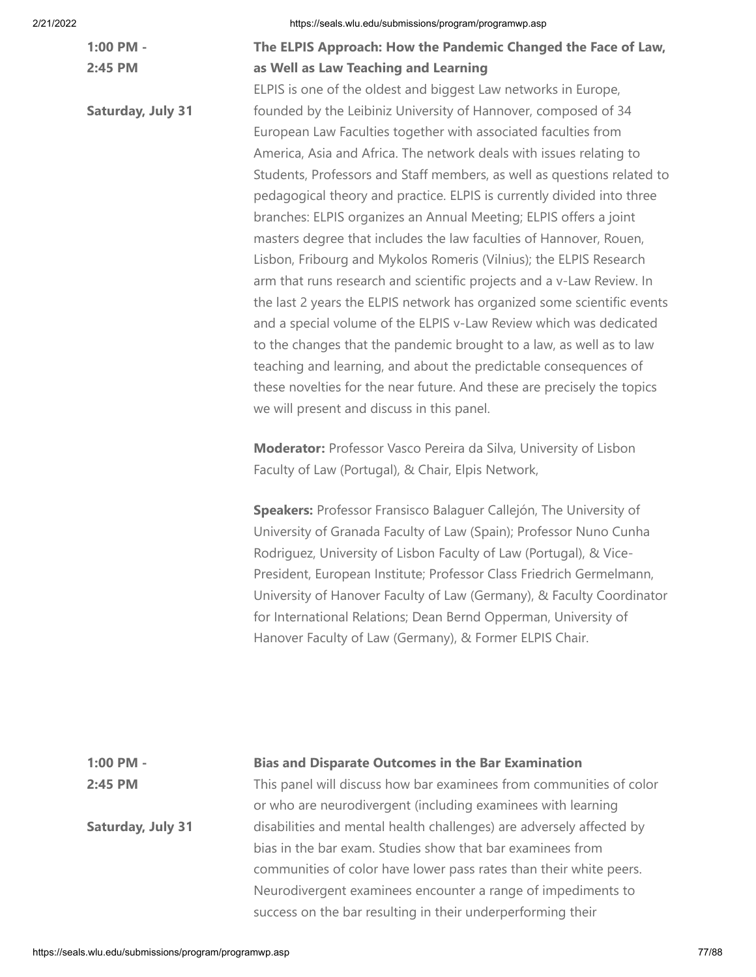| $1:00$ PM - |  |
|-------------|--|
| $2:45$ PM   |  |

**Saturday, July 31**

# **The ELPIS Approach: How the Pandemic Changed the Face of Law, as Well as Law Teaching and Learning**

ELPIS is one of the oldest and biggest Law networks in Europe, founded by the Leibiniz University of Hannover, composed of 34 European Law Faculties together with associated faculties from America, Asia and Africa. The network deals with issues relating to Students, Professors and Staff members, as well as questions related to pedagogical theory and practice. ELPIS is currently divided into three branches: ELPIS organizes an Annual Meeting; ELPIS offers a joint masters degree that includes the law faculties of Hannover, Rouen, Lisbon, Fribourg and Mykolos Romeris (Vilnius); the ELPIS Research arm that runs research and scientific projects and a v-Law Review. In the last 2 years the ELPIS network has organized some scientific events and a special volume of the ELPIS v-Law Review which was dedicated to the changes that the pandemic brought to a law, as well as to law teaching and learning, and about the predictable consequences of these novelties for the near future. And these are precisely the topics we will present and discuss in this panel.

**Moderator:** Professor Vasco Pereira da Silva, University of Lisbon Faculty of Law (Portugal), & Chair, Elpis Network,

**Speakers:** Professor Fransisco Balaguer Callejón, The University of University of Granada Faculty of Law (Spain); Professor Nuno Cunha Rodriguez, University of Lisbon Faculty of Law (Portugal), & Vice-President, European Institute; Professor Class Friedrich Germelmann, University of Hanover Faculty of Law (Germany), & Faculty Coordinator for International Relations; Dean Bernd Opperman, University of Hanover Faculty of Law (Germany), & Former ELPIS Chair.

Neurodivergent examinees encounter a range of impediments to

success on the bar resulting in their underperforming their

## **1:00 PM - 2:45 PM Saturday, July 31 Bias and Disparate Outcomes in the Bar Examination** This panel will discuss how bar examinees from communities of color or who are neurodivergent (including examinees with learning disabilities and mental health challenges) are adversely affected by bias in the bar exam. Studies show that bar examinees from communities of color have lower pass rates than their white peers.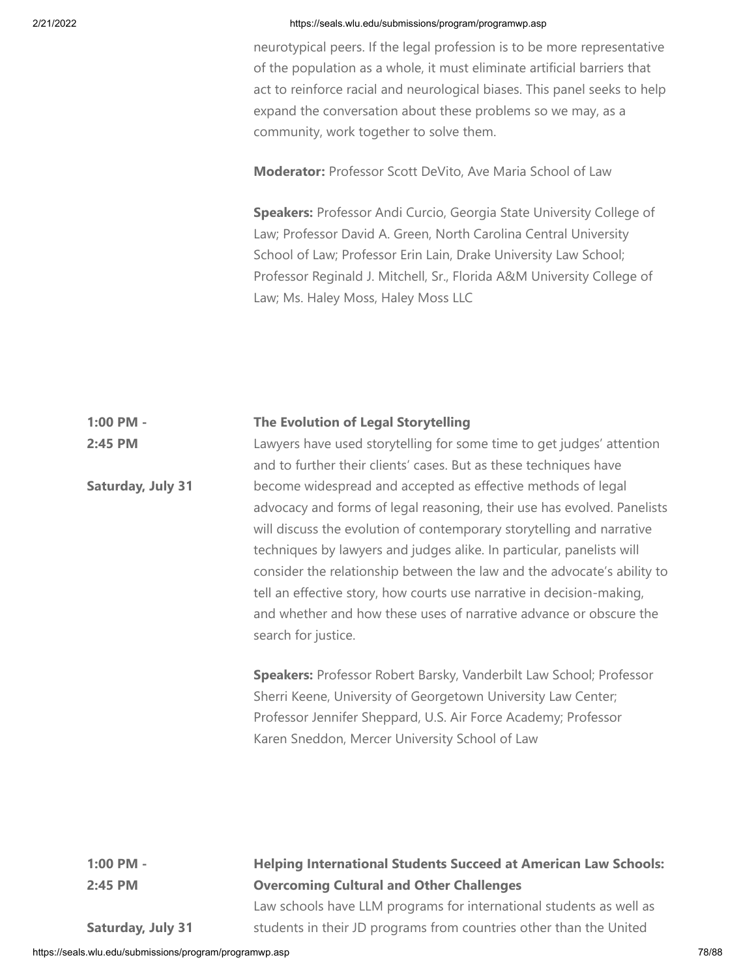neurotypical peers. If the legal profession is to be more representative of the population as a whole, it must eliminate artificial barriers that act to reinforce racial and neurological biases. This panel seeks to help expand the conversation about these problems so we may, as a community, work together to solve them.

**Moderator:** Professor Scott DeVito, Ave Maria School of Law

**Speakers:** Professor Andi Curcio, Georgia State University College of Law; Professor David A. Green, North Carolina Central University School of Law; Professor Erin Lain, Drake University Law School; Professor Reginald J. Mitchell, Sr., Florida A&M University College of Law; Ms. Haley Moss, Haley Moss LLC

#### **1:00 PM - The Evolution of Legal Storytelling**

**2:45 PM Saturday, July 31** Lawyers have used storytelling for some time to get judges' attention and to further their clients' cases. But as these techniques have become widespread and accepted as effective methods of legal advocacy and forms of legal reasoning, their use has evolved. Panelists will discuss the evolution of contemporary storytelling and narrative techniques by lawyers and judges alike. In particular, panelists will consider the relationship between the law and the advocate's ability to tell an effective story, how courts use narrative in decision-making, and whether and how these uses of narrative advance or obscure the search for justice.

> **Speakers:** Professor Robert Barsky, Vanderbilt Law School; Professor Sherri Keene, University of Georgetown University Law Center; Professor Jennifer Sheppard, U.S. Air Force Academy; Professor Karen Sneddon, Mercer University School of Law

**1:00 PM - 2:45 PM**

# **Helping International Students Succeed at American Law Schools: Overcoming Cultural and Other Challenges**

**Saturday, July 31**

Law schools have LLM programs for international students as well as students in their JD programs from countries other than the United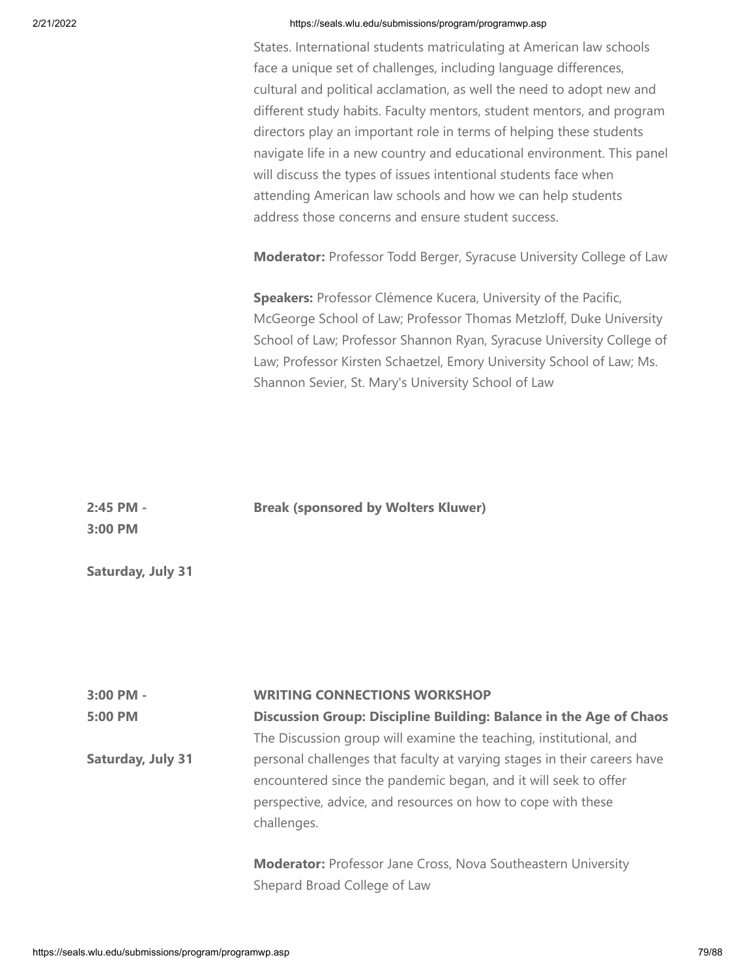States. International students matriculating at American law schools face a unique set of challenges, including language differences, cultural and political acclamation, as well the need to adopt new and different study habits. Faculty mentors, student mentors, and program directors play an important role in terms of helping these students navigate life in a new country and educational environment. This panel will discuss the types of issues intentional students face when attending American law schools and how we can help students address those concerns and ensure student success.

**Moderator:** Professor Todd Berger, Syracuse University College of Law

**Speakers:** Professor Clémence Kucera, University of the Pacific, McGeorge School of Law; Professor Thomas Metzloff, Duke University School of Law; Professor Shannon Ryan, Syracuse University College of Law; Professor Kirsten Schaetzel, Emory University School of Law; Ms. Shannon Sevier, St. Mary's University School of Law

| 2:45 PM - | <b>Break (sponsored by Wolters Kluwer)</b> |
|-----------|--------------------------------------------|
| 3:00 PM   |                                            |
|           |                                            |

**Saturday, July 31**

| 3:00 PM -                | <b>WRITING CONNECTIONS WORKSHOP</b>                                                                                                                                                                         |
|--------------------------|-------------------------------------------------------------------------------------------------------------------------------------------------------------------------------------------------------------|
| 5:00 PM                  | Discussion Group: Discipline Building: Balance in the Age of Chaos                                                                                                                                          |
|                          | The Discussion group will examine the teaching, institutional, and                                                                                                                                          |
| <b>Saturday, July 31</b> | personal challenges that faculty at varying stages in their careers have<br>encountered since the pandemic began, and it will seek to offer<br>perspective, advice, and resources on how to cope with these |
|                          | challenges.<br><b>Moderator:</b> Professor Jane Cross, Nova Southeastern University<br>Shepard Broad College of Law                                                                                         |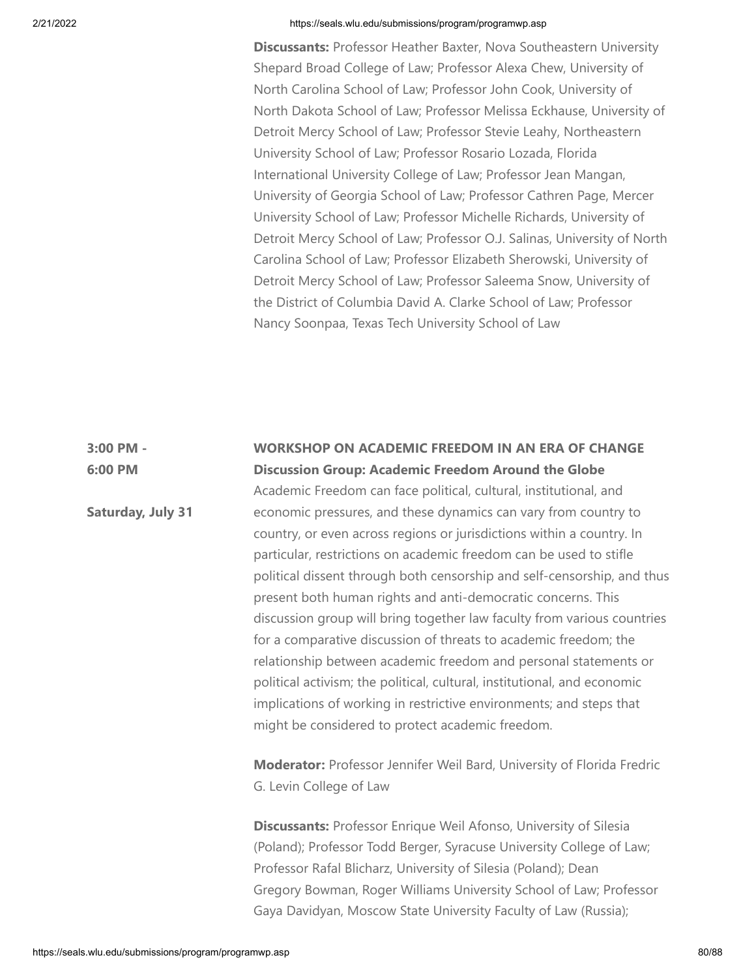**Discussants:** Professor Heather Baxter, Nova Southeastern University Shepard Broad College of Law; Professor Alexa Chew, University of North Carolina School of Law; Professor John Cook, University of North Dakota School of Law; Professor Melissa Eckhause, University of Detroit Mercy School of Law; Professor Stevie Leahy, Northeastern University School of Law; Professor Rosario Lozada, Florida International University College of Law; Professor Jean Mangan, University of Georgia School of Law; Professor Cathren Page, Mercer University School of Law; Professor Michelle Richards, University of Detroit Mercy School of Law; Professor O.J. Salinas, University of North Carolina School of Law; Professor Elizabeth Sherowski, University of Detroit Mercy School of Law; Professor Saleema Snow, University of the District of Columbia David A. Clarke School of Law; Professor Nancy Soonpaa, Texas Tech University School of Law

# **3:00 PM - 6:00 PM Saturday, July 31 WORKSHOP ON ACADEMIC FREEDOM IN AN ERA OF CHANGE Discussion Group: Academic Freedom Around the Globe** Academic Freedom can face political, cultural, institutional, and economic pressures, and these dynamics can vary from country to country, or even across regions or jurisdictions within a country. In particular, restrictions on academic freedom can be used to stifle political dissent through both censorship and self-censorship, and thus present both human rights and anti-democratic concerns. This discussion group will bring together law faculty from various countries for a comparative discussion of threats to academic freedom; the relationship between academic freedom and personal statements or political activism; the political, cultural, institutional, and economic implications of working in restrictive environments; and steps that might be considered to protect academic freedom. **Moderator:** Professor Jennifer Weil Bard, University of Florida Fredric G. Levin College of Law **Discussants:** Professor Enrique Weil Afonso, University of Silesia (Poland); Professor Todd Berger, Syracuse University College of Law; Professor Rafal Blicharz, University of Silesia (Poland); Dean Gregory Bowman, Roger Williams University School of Law; Professor Gaya Davidyan, Moscow State University Faculty of Law (Russia);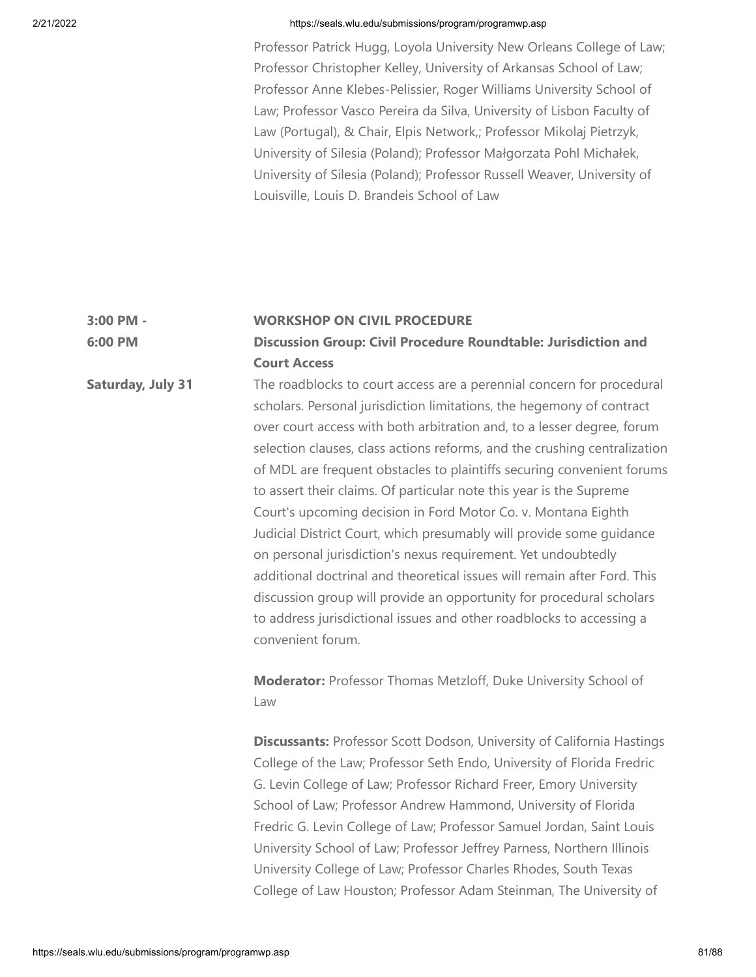**6:00 PM**

## 2/21/2022 https://seals.wlu.edu/submissions/program/programwp.asp

Professor Patrick Hugg, Loyola University New Orleans College of Law; Professor Christopher Kelley, University of Arkansas School of Law; Professor Anne Klebes-Pelissier, Roger Williams University School of Law; Professor Vasco Pereira da Silva, University of Lisbon Faculty of Law (Portugal), & Chair, Elpis Network,; Professor Mikolaj Pietrzyk, University of Silesia (Poland); Professor Małgorzata Pohl Michałek, University of Silesia (Poland); Professor Russell Weaver, University of Louisville, Louis D. Brandeis School of Law

#### **3:00 PM - WORKSHOP ON CIVIL PROCEDURE**

**Discussion Group: Civil Procedure Roundtable: Jurisdiction and Court Access**

**Saturday, July 31** The roadblocks to court access are a perennial concern for procedural scholars. Personal jurisdiction limitations, the hegemony of contract over court access with both arbitration and, to a lesser degree, forum selection clauses, class actions reforms, and the crushing centralization of MDL are frequent obstacles to plaintiffs securing convenient forums to assert their claims. Of particular note this year is the Supreme Court's upcoming decision in Ford Motor Co. v. Montana Eighth Judicial District Court, which presumably will provide some guidance on personal jurisdiction's nexus requirement. Yet undoubtedly additional doctrinal and theoretical issues will remain after Ford. This discussion group will provide an opportunity for procedural scholars to address jurisdictional issues and other roadblocks to accessing a convenient forum.

> **Moderator:** Professor Thomas Metzloff, Duke University School of Law

**Discussants:** Professor Scott Dodson, University of California Hastings College of the Law; Professor Seth Endo, University of Florida Fredric G. Levin College of Law; Professor Richard Freer, Emory University School of Law; Professor Andrew Hammond, University of Florida Fredric G. Levin College of Law; Professor Samuel Jordan, Saint Louis University School of Law; Professor Jeffrey Parness, Northern Illinois University College of Law; Professor Charles Rhodes, South Texas College of Law Houston; Professor Adam Steinman, The University of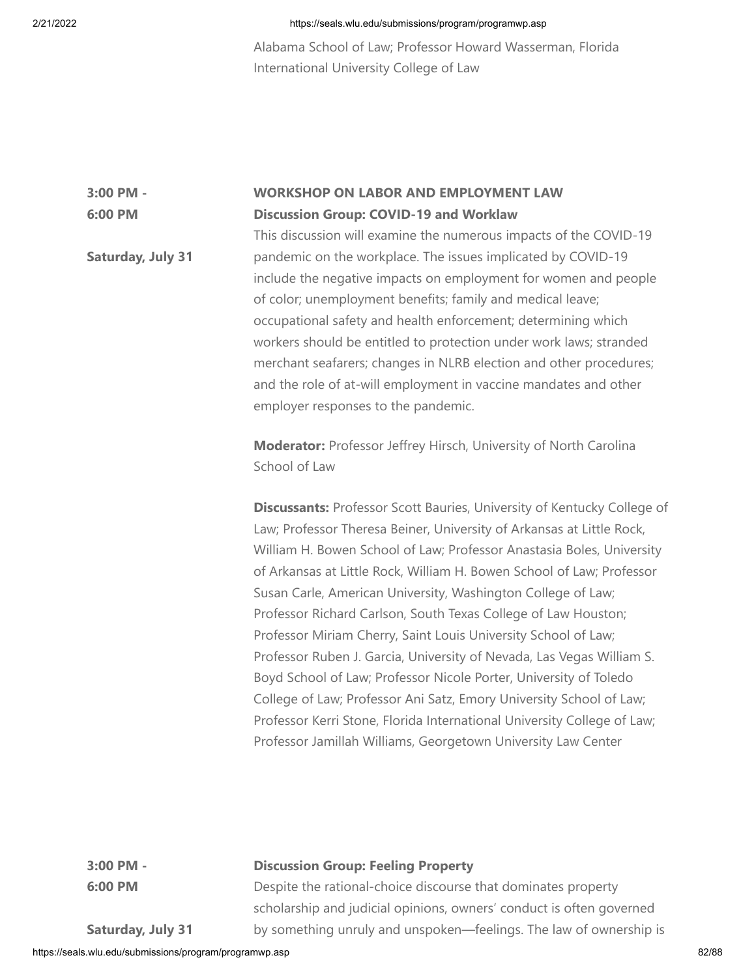Alabama School of Law; Professor Howard Wasserman, Florida International University College of Law

#### **3:00 PM - 6:00 PM WORKSHOP ON LABOR AND EMPLOYMENT LAW Discussion Group: COVID-19 and Worklaw**

**Saturday, July 31** This discussion will examine the numerous impacts of the COVID-19 pandemic on the workplace. The issues implicated by COVID-19 include the negative impacts on employment for women and people of color; unemployment benefits; family and medical leave; occupational safety and health enforcement; determining which workers should be entitled to protection under work laws; stranded merchant seafarers; changes in NLRB election and other procedures; and the role of at-will employment in vaccine mandates and other employer responses to the pandemic.

> **Moderator:** Professor Jeffrey Hirsch, University of North Carolina School of Law

**Discussants:** Professor Scott Bauries, University of Kentucky College of Law; Professor Theresa Beiner, University of Arkansas at Little Rock, William H. Bowen School of Law; Professor Anastasia Boles, University of Arkansas at Little Rock, William H. Bowen School of Law; Professor Susan Carle, American University, Washington College of Law; Professor Richard Carlson, South Texas College of Law Houston; Professor Miriam Cherry, Saint Louis University School of Law; Professor Ruben J. Garcia, University of Nevada, Las Vegas William S. Boyd School of Law; Professor Nicole Porter, University of Toledo College of Law; Professor Ani Satz, Emory University School of Law; Professor Kerri Stone, Florida International University College of Law; Professor Jamillah Williams, Georgetown University Law Center

**3:00 PM - 6:00 PM**

# **Discussion Group: Feeling Property**

Despite the rational-choice discourse that dominates property scholarship and judicial opinions, owners' conduct is often governed by something unruly and unspoken—feelings. The law of ownership is

**Saturday, July 31**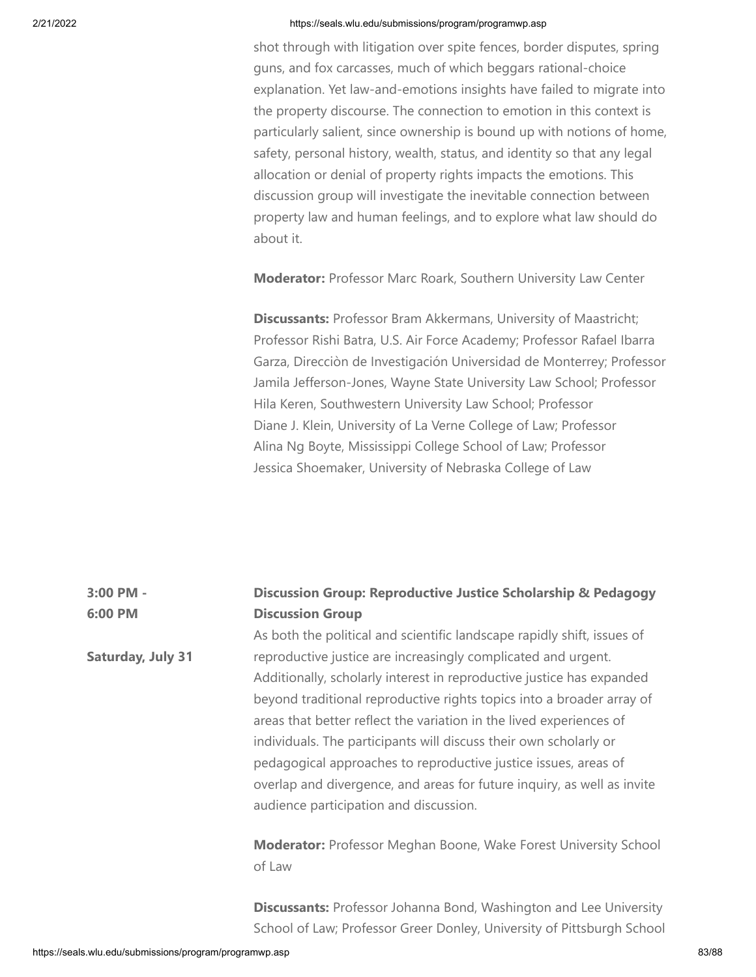shot through with litigation over spite fences, border disputes, spring guns, and fox carcasses, much of which beggars rational-choice explanation. Yet law-and-emotions insights have failed to migrate into the property discourse. The connection to emotion in this context is particularly salient, since ownership is bound up with notions of home, safety, personal history, wealth, status, and identity so that any legal allocation or denial of property rights impacts the emotions. This discussion group will investigate the inevitable connection between property law and human feelings, and to explore what law should do about it.

**Moderator:** Professor Marc Roark, Southern University Law Center

**Discussants:** Professor Bram Akkermans, University of Maastricht; Professor Rishi Batra, U.S. Air Force Academy; Professor Rafael Ibarra Garza, Direcciòn de Investigación Universidad de Monterrey; Professor Jamila Jefferson-Jones, Wayne State University Law School; Professor Hila Keren, Southwestern University Law School; Professor Diane J. Klein, University of La Verne College of Law; Professor Alina Ng Boyte, Mississippi College School of Law; Professor Jessica Shoemaker, University of Nebraska College of Law

# **3:00 PM - 6:00 PM Saturday, July 31 Discussion Group: Reproductive Justice Scholarship & Pedagogy Discussion Group** As both the political and scientific landscape rapidly shift, issues of reproductive justice are increasingly complicated and urgent. Additionally, scholarly interest in reproductive justice has expanded beyond traditional reproductive rights topics into a broader array of areas that better reflect the variation in the lived experiences of individuals. The participants will discuss their own scholarly or pedagogical approaches to reproductive justice issues, areas of overlap and divergence, and areas for future inquiry, as well as invite audience participation and discussion. **Moderator:** Professor Meghan Boone, Wake Forest University School of Law

**Discussants:** Professor Johanna Bond, Washington and Lee University School of Law; Professor Greer Donley, University of Pittsburgh School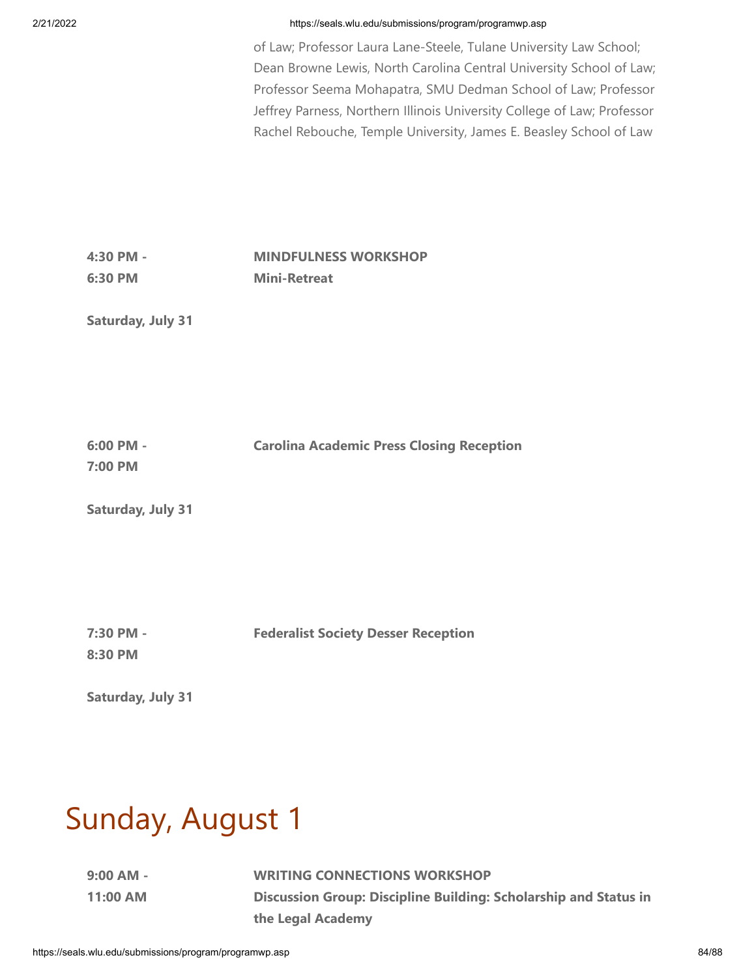of Law; Professor Laura Lane-Steele, Tulane University Law School; Dean Browne Lewis, North Carolina Central University School of Law; Professor Seema Mohapatra, SMU Dedman School of Law; Professor Jeffrey Parness, Northern Illinois University College of Law; Professor Rachel Rebouche, Temple University, James E. Beasley School of Law

**4:30 PM - 6:30 PM MINDFULNESS WORKSHOP Mini-Retreat**

**Saturday, July 31**

**6:00 PM - 7:00 PM Carolina Academic Press Closing Reception**

**Saturday, July 31**

**7:30 PM - Federalist Society Desser Reception**

**8:30 PM**

**Saturday, July 31**

# Sunday, August 1

**9:00 AM - 11:00 AM** **WRITING CONNECTIONS WORKSHOP Discussion Group: Discipline Building: Scholarship and Status in the Legal Academy**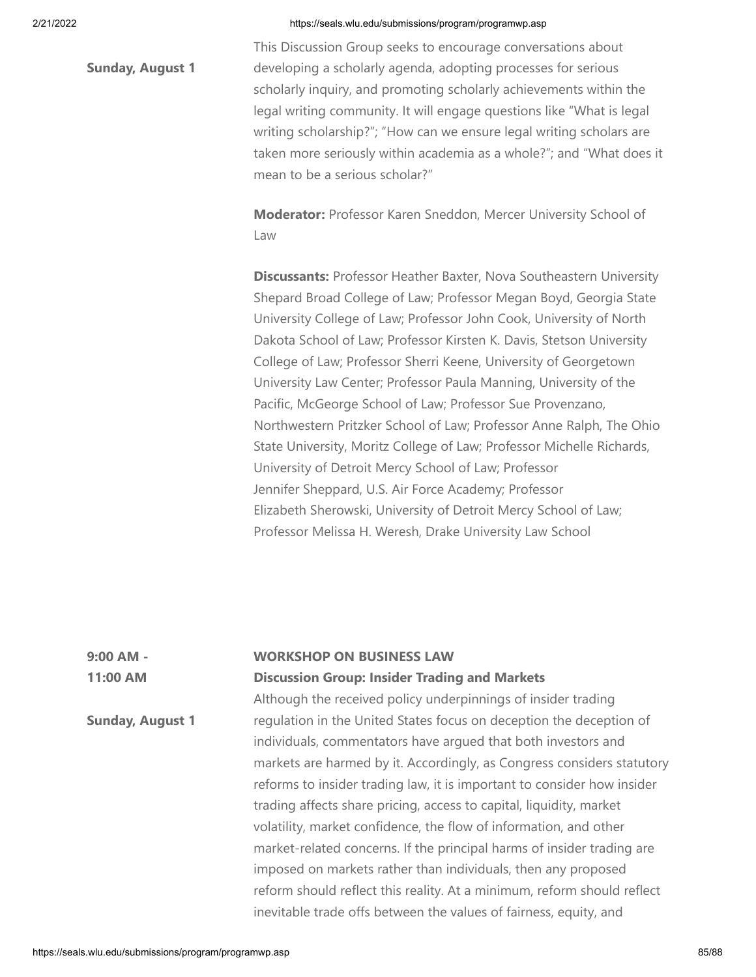**Sunday, August 1**

This Discussion Group seeks to encourage conversations about developing a scholarly agenda, adopting processes for serious scholarly inquiry, and promoting scholarly achievements within the legal writing community. It will engage questions like "What is legal writing scholarship?"; "How can we ensure legal writing scholars are taken more seriously within academia as a whole?"; and "What does it mean to be a serious scholar?"

**Moderator:** Professor Karen Sneddon, Mercer University School of Law

**Discussants:** Professor Heather Baxter, Nova Southeastern University Shepard Broad College of Law; Professor Megan Boyd, Georgia State University College of Law; Professor John Cook, University of North Dakota School of Law; Professor Kirsten K. Davis, Stetson University College of Law; Professor Sherri Keene, University of Georgetown University Law Center; Professor Paula Manning, University of the Pacific, McGeorge School of Law; Professor Sue Provenzano, Northwestern Pritzker School of Law; Professor Anne Ralph, The Ohio State University, Moritz College of Law; Professor Michelle Richards, University of Detroit Mercy School of Law; Professor Jennifer Sheppard, U.S. Air Force Academy; Professor Elizabeth Sherowski, University of Detroit Mercy School of Law; Professor Melissa H. Weresh, Drake University Law School

| $9:00$ AM -             | <b>WORKSHOP ON BUSINESS LAW</b>                                         |
|-------------------------|-------------------------------------------------------------------------|
| 11:00 AM                | <b>Discussion Group: Insider Trading and Markets</b>                    |
|                         | Although the received policy underpinnings of insider trading           |
| <b>Sunday, August 1</b> | regulation in the United States focus on deception the deception of     |
|                         | individuals, commentators have argued that both investors and           |
|                         | markets are harmed by it. Accordingly, as Congress considers statutory  |
|                         | reforms to insider trading law, it is important to consider how insider |
|                         | trading affects share pricing, access to capital, liquidity, market     |
|                         | volatility, market confidence, the flow of information, and other       |
|                         | market-related concerns. If the principal harms of insider trading are  |
|                         | imposed on markets rather than individuals, then any proposed           |
|                         | reform should reflect this reality. At a minimum, reform should reflect |
|                         | inevitable trade offs between the values of fairness, equity, and       |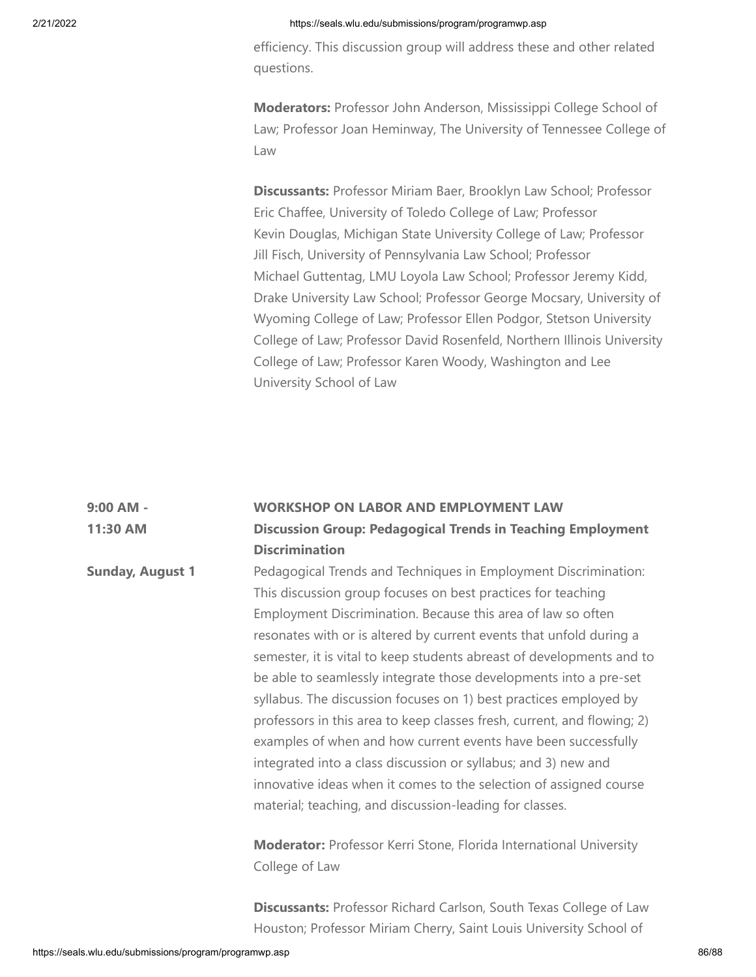efficiency. This discussion group will address these and other related questions.

**Moderators:** Professor John Anderson, Mississippi College School of Law; Professor Joan Heminway, The University of Tennessee College of Law

**Discussants:** Professor Miriam Baer, Brooklyn Law School; Professor Eric Chaffee, University of Toledo College of Law; Professor Kevin Douglas, Michigan State University College of Law; Professor Jill Fisch, University of Pennsylvania Law School; Professor Michael Guttentag, LMU Loyola Law School; Professor Jeremy Kidd, Drake University Law School; Professor George Mocsary, University of Wyoming College of Law; Professor Ellen Podgor, Stetson University College of Law; Professor David Rosenfeld, Northern Illinois University College of Law; Professor Karen Woody, Washington and Lee University School of Law

| 9:00 AM -               | <b>WORKSHOP ON LABOR AND EMPLOYMENT LAW</b>                               |
|-------------------------|---------------------------------------------------------------------------|
| 11:30 AM                | <b>Discussion Group: Pedagogical Trends in Teaching Employment</b>        |
|                         | <b>Discrimination</b>                                                     |
| <b>Sunday, August 1</b> | Pedagogical Trends and Techniques in Employment Discrimination:           |
|                         | This discussion group focuses on best practices for teaching              |
|                         | Employment Discrimination. Because this area of law so often              |
|                         | resonates with or is altered by current events that unfold during a       |
|                         | semester, it is vital to keep students abreast of developments and to     |
|                         | be able to seamlessly integrate those developments into a pre-set         |
|                         | syllabus. The discussion focuses on 1) best practices employed by         |
|                         | professors in this area to keep classes fresh, current, and flowing; 2)   |
|                         | examples of when and how current events have been successfully            |
|                         | integrated into a class discussion or syllabus; and 3) new and            |
|                         | innovative ideas when it comes to the selection of assigned course        |
|                         | material; teaching, and discussion-leading for classes.                   |
|                         | <b>Moderator:</b> Professor Kerri Stone, Florida International University |
|                         | College of Law                                                            |
|                         |                                                                           |

**Discussants:** Professor Richard Carlson, South Texas College of Law Houston; Professor Miriam Cherry, Saint Louis University School of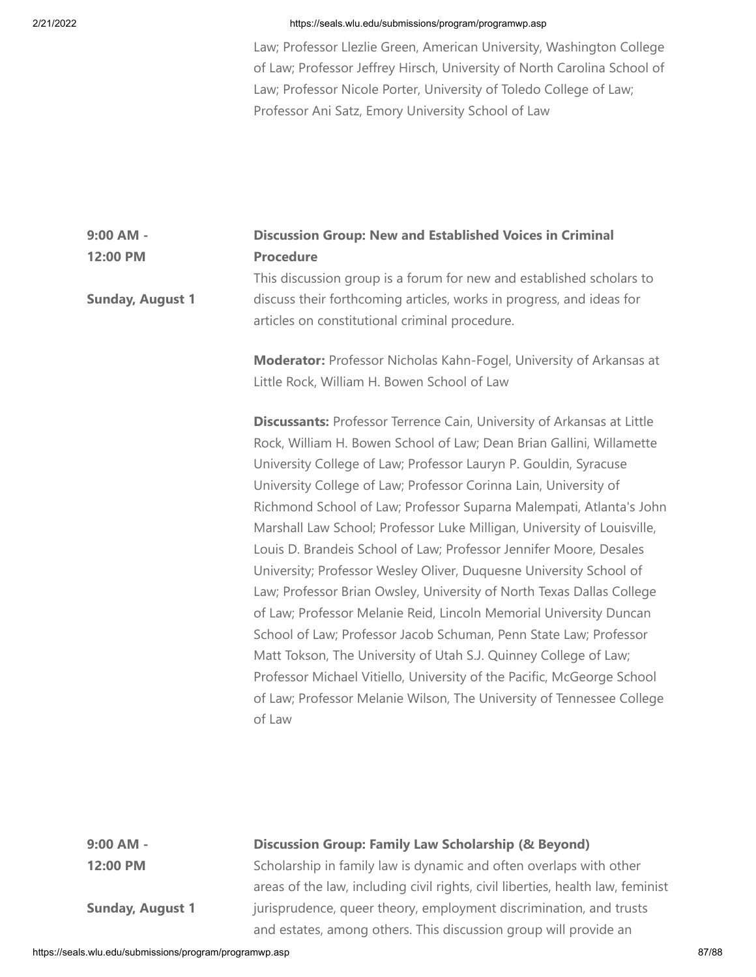Law; Professor Llezlie Green, American University, Washington College of Law; Professor Jeffrey Hirsch, University of North Carolina School of Law; Professor Nicole Porter, University of Toledo College of Law; Professor Ani Satz, Emory University School of Law

## **9:00 AM - 12:00 PM Discussion Group: New and Established Voices in Criminal Procedure** This discussion group is a forum for new and established scholars to

**Sunday, August 1** discuss their forthcoming articles, works in progress, and ideas for articles on constitutional criminal procedure.

> **Moderator:** Professor Nicholas Kahn-Fogel, University of Arkansas at Little Rock, William H. Bowen School of Law

**Discussants:** Professor Terrence Cain, University of Arkansas at Little Rock, William H. Bowen School of Law; Dean Brian Gallini, Willamette University College of Law; Professor Lauryn P. Gouldin, Syracuse University College of Law; Professor Corinna Lain, University of Richmond School of Law; Professor Suparna Malempati, Atlanta's John Marshall Law School; Professor Luke Milligan, University of Louisville, Louis D. Brandeis School of Law; Professor Jennifer Moore, Desales University; Professor Wesley Oliver, Duquesne University School of Law; Professor Brian Owsley, University of North Texas Dallas College of Law; Professor Melanie Reid, Lincoln Memorial University Duncan School of Law; Professor Jacob Schuman, Penn State Law; Professor Matt Tokson, The University of Utah S.J. Quinney College of Law; Professor Michael Vitiello, University of the Pacific, McGeorge School of Law; Professor Melanie Wilson, The University of Tennessee College of Law

**9:00 AM - 12:00 PM**

**Sunday, August 1**

# **Discussion Group: Family Law Scholarship (& Beyond)**

Scholarship in family law is dynamic and often overlaps with other areas of the law, including civil rights, civil liberties, health law, feminist jurisprudence, queer theory, employment discrimination, and trusts and estates, among others. This discussion group will provide an